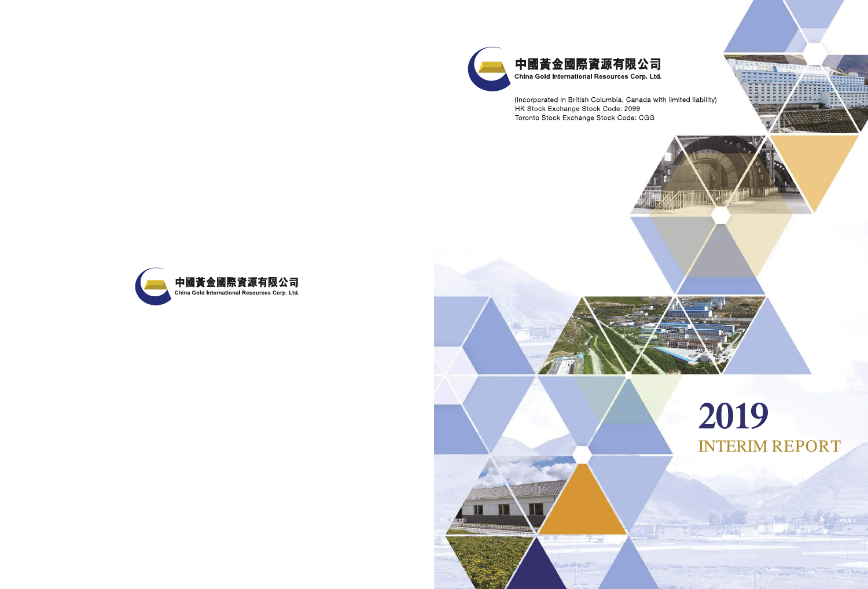

(Incorporated in British Columbia, Canada with limited liability) HK Stock Exchange Stock Code: 2099 Toronto Stock Exchange Stock Code: CGG





**ALLIN** 

ar 1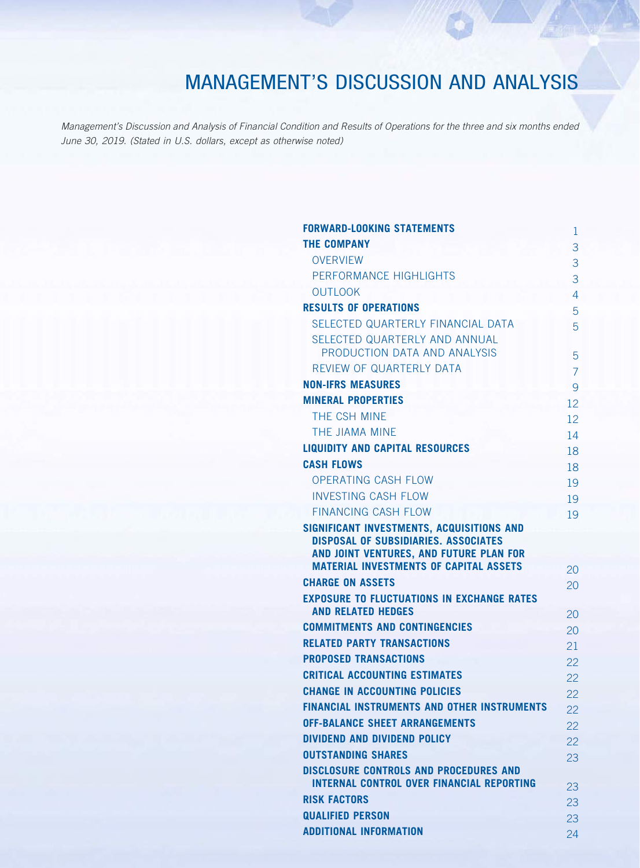*Management's Discussion and Analysis of Financial Condition and Results of Operations for the three and six months ended June 30, 2019. (Stated in U.S. dollars, except as otherwise noted)*

| <b>FORWARD-LOOKING STATEMENTS</b>                                                                 | 1              |
|---------------------------------------------------------------------------------------------------|----------------|
| <b>THE COMPANY</b>                                                                                | 3              |
| <b>OVERVIEW</b>                                                                                   | 3              |
| PERFORMANCE HIGHLIGHTS                                                                            | 3              |
| <b>OUTLOOK</b>                                                                                    | 4              |
| <b>RESULTS OF OPERATIONS</b>                                                                      | 5              |
| SELECTED QUARTERLY FINANCIAL DATA                                                                 | 5              |
| SELECTED QUARTERLY AND ANNUAL                                                                     |                |
| PRODUCTION DATA AND ANALYSIS                                                                      | 5              |
| REVIEW OF QUARTERLY DATA                                                                          | $\overline{7}$ |
| <b>NON-IFRS MEASURES</b>                                                                          | 9              |
| <b>MINERAL PROPERTIES</b>                                                                         | 12             |
| THE CSH MINE                                                                                      | 12             |
| THE JIAMA MINE                                                                                    | 14             |
| <b>LIQUIDITY AND CAPITAL RESOURCES</b>                                                            | 18             |
| <b>CASH FLOWS</b>                                                                                 | 18             |
| <b>OPERATING CASH FLOW</b>                                                                        | 19             |
| <b>INVESTING CASH FLOW</b>                                                                        | 19             |
| <b>FINANCING CASH FLOW</b>                                                                        | 19             |
| SIGNIFICANT INVESTMENTS, ACQUISITIONS AND<br><b>DISPOSAL OF SUBSIDIARIES. ASSOCIATES</b>          |                |
| AND JOINT VENTURES, AND FUTURE PLAN FOR                                                           |                |
| <b>MATERIAL INVESTMENTS OF CAPITAL ASSETS</b>                                                     | 20             |
| <b>CHARGE ON ASSETS</b>                                                                           | 20             |
| <b>EXPOSURE TO FLUCTUATIONS IN EXCHANGE RATES</b>                                                 |                |
| <b>AND RELATED HEDGES</b>                                                                         | 20             |
| <b>COMMITMENTS AND CONTINGENCIES</b>                                                              | 20             |
| <b>RELATED PARTY TRANSACTIONS</b>                                                                 | 21             |
| <b>PROPOSED TRANSACTIONS</b>                                                                      | 22             |
| <b>CRITICAL ACCOUNTING ESTIMATES</b>                                                              | 22             |
| <b>CHANGE IN ACCOUNTING POLICIES</b>                                                              | 22             |
| <b>FINANCIAL INSTRUMENTS AND OTHER INSTRUMENTS</b>                                                | 22             |
| <b>OFF-BALANCE SHEET ARRANGEMENTS</b>                                                             | 22             |
| <b>DIVIDEND AND DIVIDEND POLICY</b>                                                               | 22             |
| <b>OUTSTANDING SHARES</b>                                                                         | 23             |
| <b>DISCLOSURE CONTROLS AND PROCEDURES AND</b><br><b>INTERNAL CONTROL OVER FINANCIAL REPORTING</b> |                |
| <b>RISK FACTORS</b>                                                                               | 23             |
| <b>QUALIFIED PERSON</b>                                                                           | 23             |
| <b>ADDITIONAL INFORMATION</b>                                                                     | 23             |
|                                                                                                   | 24             |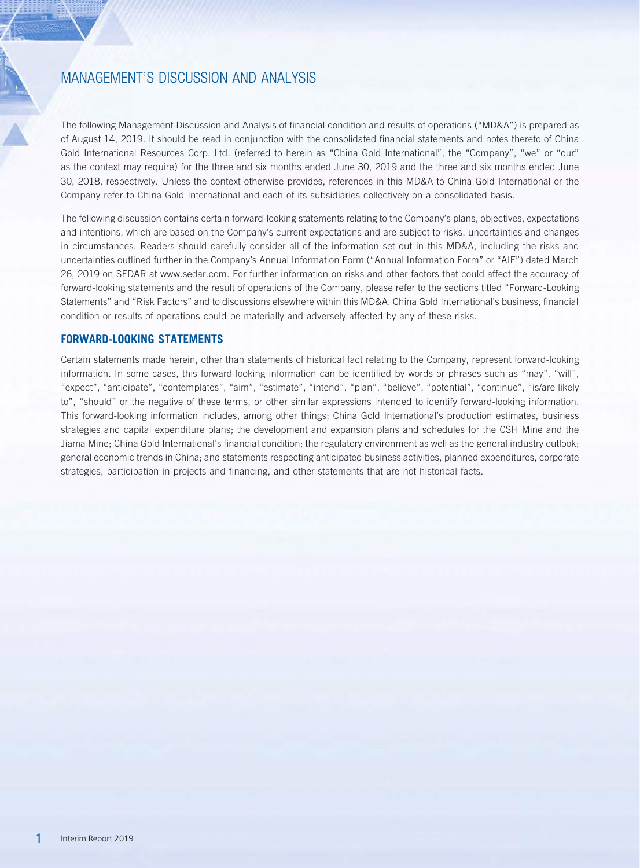The following Management Discussion and Analysis of financial condition and results of operations ("MD&A") is prepared as of August 14, 2019. It should be read in conjunction with the consolidated financial statements and notes thereto of China Gold International Resources Corp. Ltd. (referred to herein as "China Gold International", the "Company", "we" or "our" as the context may require) for the three and six months ended June 30, 2019 and the three and six months ended June 30, 2018, respectively. Unless the context otherwise provides, references in this MD&A to China Gold International or the Company refer to China Gold International and each of its subsidiaries collectively on a consolidated basis.

The following discussion contains certain forward-looking statements relating to the Company's plans, objectives, expectations and intentions, which are based on the Company's current expectations and are subject to risks, uncertainties and changes in circumstances. Readers should carefully consider all of the information set out in this MD&A, including the risks and uncertainties outlined further in the Company's Annual Information Form ("Annual Information Form" or "AIF") dated March 26, 2019 on SEDAR at www.sedar.com. For further information on risks and other factors that could affect the accuracy of forward-looking statements and the result of operations of the Company, please refer to the sections titled "Forward-Looking Statements" and "Risk Factors" and to discussions elsewhere within this MD&A. China Gold International's business, financial condition or results of operations could be materially and adversely affected by any of these risks.

## **FORWARD-LOOKING STATEMENTS**

Certain statements made herein, other than statements of historical fact relating to the Company, represent forward-looking information. In some cases, this forward-looking information can be identified by words or phrases such as "may", "will", "expect", "anticipate", "contemplates", "aim", "estimate", "intend", "plan", "believe", "potential", "continue", "is/are likely to", "should" or the negative of these terms, or other similar expressions intended to identify forward-looking information. This forward-looking information includes, among other things; China Gold International's production estimates, business strategies and capital expenditure plans; the development and expansion plans and schedules for the CSH Mine and the Jiama Mine; China Gold International's financial condition; the regulatory environment as well as the general industry outlook; general economic trends in China; and statements respecting anticipated business activities, planned expenditures, corporate strategies, participation in projects and financing, and other statements that are not historical facts.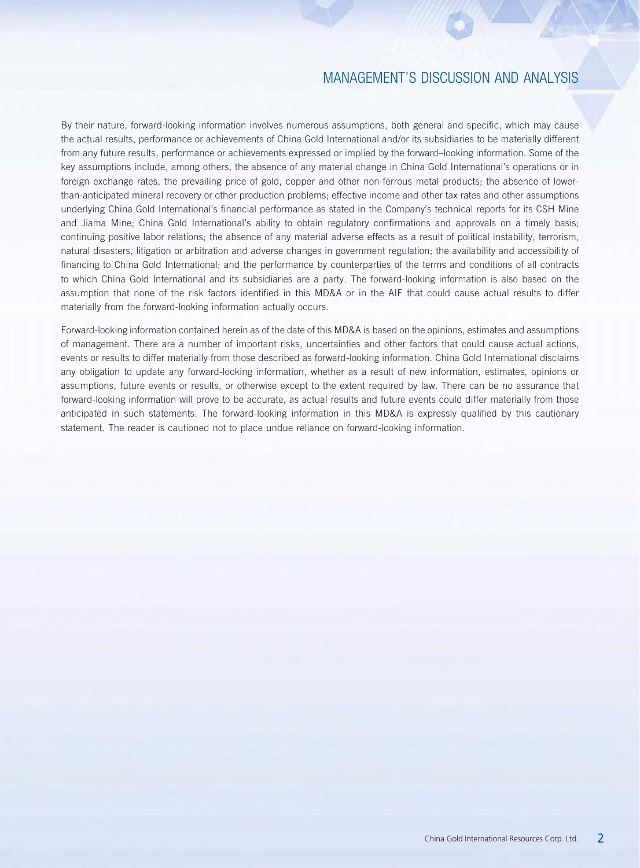By their nature, forward-looking information involves numerous assumptions, both general and specific, which may cause the actual results, performance or achievements of China Gold International and/or its subsidiaries to be materially different from any future results, performance or achievements expressed or implied by the forward–looking information. Some of the key assumptions include, among others, the absence of any material change in China Gold International's operations or in foreign exchange rates, the prevailing price of gold, copper and other non-ferrous metal products; the absence of lowerthan-anticipated mineral recovery or other production problems; effective income and other tax rates and other assumptions underlying China Gold International's financial performance as stated in the Company's technical reports for its CSH Mine and Jiama Mine; China Gold International's ability to obtain regulatory confirmations and approvals on a timely basis; continuing positive labor relations; the absence of any material adverse effects as a result of political instability, terrorism, natural disasters, litigation or arbitration and adverse changes in government regulation; the availability and accessibility of financing to China Gold International; and the performance by counterparties of the terms and conditions of all contracts to which China Gold International and its subsidiaries are a party. The forward-looking information is also based on the assumption that none of the risk factors identified in this MD&A or in the AIF that could cause actual results to differ materially from the forward-looking information actually occurs.

Forward-looking information contained herein as of the date of this MD&A is based on the opinions, estimates and assumptions of management. There are a number of important risks, uncertainties and other factors that could cause actual actions, events or results to differ materially from those described as forward-looking information. China Gold International disclaims any obligation to update any forward-looking information, whether as a result of new information, estimates, opinions or assumptions, future events or results, or otherwise except to the extent required by law. There can be no assurance that forward-looking information will prove to be accurate, as actual results and future events could differ materially from those anticipated in such statements. The forward-looking information in this MD&A is expressly qualified by this cautionary statement. The reader is cautioned not to place undue reliance on forward-looking information.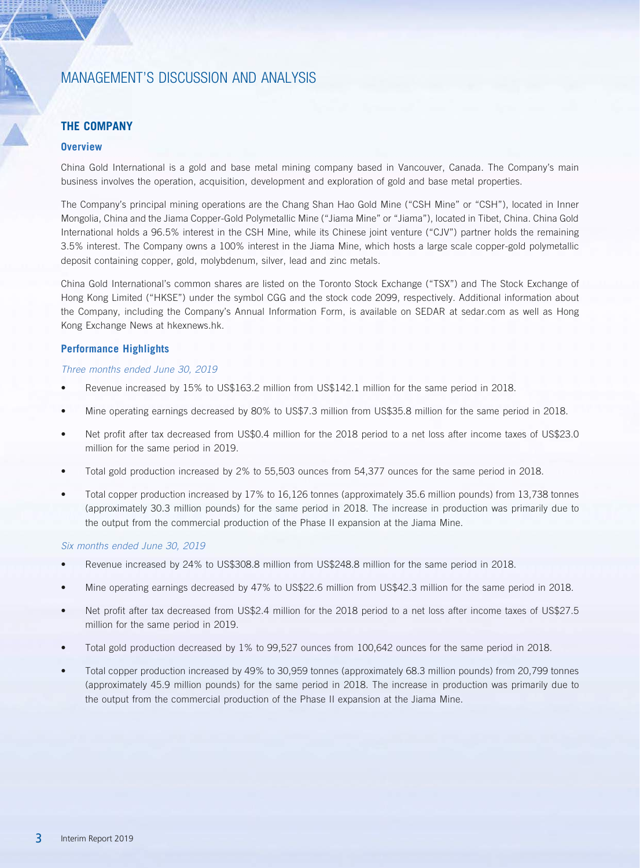## **THE COMPANY**

## **Overview**

China Gold International is a gold and base metal mining company based in Vancouver, Canada. The Company's main business involves the operation, acquisition, development and exploration of gold and base metal properties.

The Company's principal mining operations are the Chang Shan Hao Gold Mine ("CSH Mine" or "CSH"), located in Inner Mongolia, China and the Jiama Copper-Gold Polymetallic Mine ("Jiama Mine" or "Jiama"), located in Tibet, China. China Gold International holds a 96.5% interest in the CSH Mine, while its Chinese joint venture ("CJV") partner holds the remaining 3.5% interest. The Company owns a 100% interest in the Jiama Mine, which hosts a large scale copper-gold polymetallic deposit containing copper, gold, molybdenum, silver, lead and zinc metals.

China Gold International's common shares are listed on the Toronto Stock Exchange ("TSX") and The Stock Exchange of Hong Kong Limited ("HKSE") under the symbol CGG and the stock code 2099, respectively. Additional information about the Company, including the Company's Annual Information Form, is available on SEDAR at sedar.com as well as Hong Kong Exchange News at hkexnews.hk.

### **Performance Highlights**

### *Three months ended June 30, 2019*

- Revenue increased by 15% to US\$163.2 million from US\$142.1 million for the same period in 2018.
- Mine operating earnings decreased by 80% to US\$7.3 million from US\$35.8 million for the same period in 2018.
- Net profit after tax decreased from US\$0.4 million for the 2018 period to a net loss after income taxes of US\$23.0 million for the same period in 2019.
- Total gold production increased by 2% to 55,503 ounces from 54,377 ounces for the same period in 2018.
- Total copper production increased by 17% to 16,126 tonnes (approximately 35.6 million pounds) from 13,738 tonnes (approximately 30.3 million pounds) for the same period in 2018. The increase in production was primarily due to the output from the commercial production of the Phase II expansion at the Jiama Mine.

### *Six months ended June 30, 2019*

- Revenue increased by 24% to US\$308.8 million from US\$248.8 million for the same period in 2018.
- Mine operating earnings decreased by 47% to US\$22.6 million from US\$42.3 million for the same period in 2018.
- Net profit after tax decreased from US\$2.4 million for the 2018 period to a net loss after income taxes of US\$27.5 million for the same period in 2019.
- Total gold production decreased by 1% to 99,527 ounces from 100,642 ounces for the same period in 2018.
- Total copper production increased by 49% to 30,959 tonnes (approximately 68.3 million pounds) from 20,799 tonnes (approximately 45.9 million pounds) for the same period in 2018. The increase in production was primarily due to the output from the commercial production of the Phase II expansion at the Jiama Mine.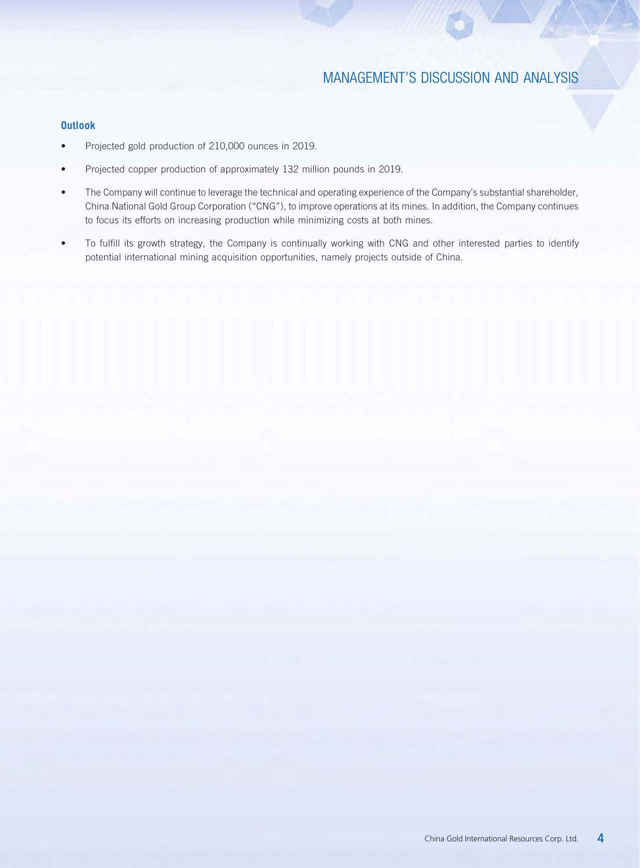## **Outlook**

- Projected gold production of 210,000 ounces in 2019.
- Projected copper production of approximately 132 million pounds in 2019.
- The Company will continue to leverage the technical and operating experience of the Company's substantial shareholder, China National Gold Group Corporation ("CNG"), to improve operations at its mines. In addition, the Company continues to focus its efforts on increasing production while minimizing costs at both mines.
- To fulfill its growth strategy, the Company is continually working with CNG and other interested parties to identify potential international mining acquisition opportunities, namely projects outside of China.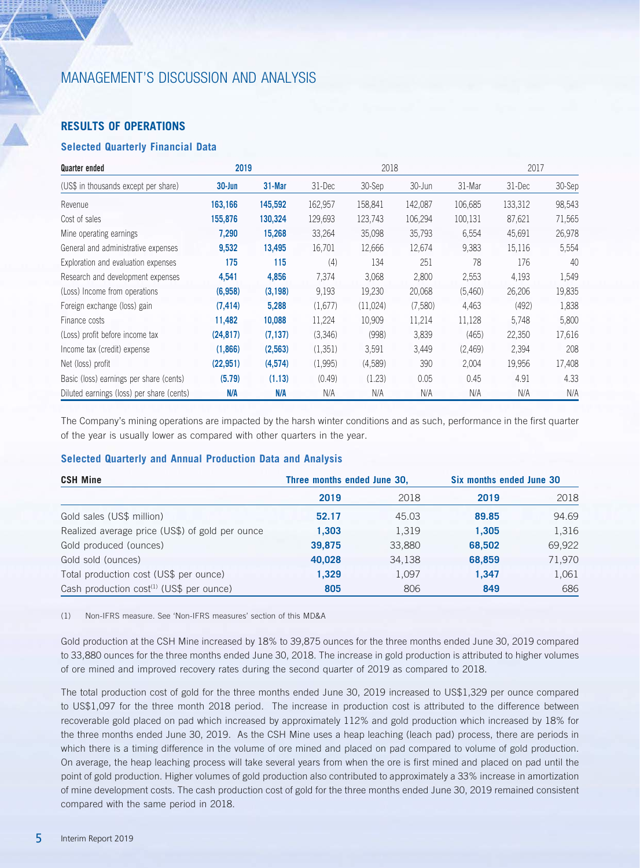# **RESULTS OF OPERATIONS**

## **Selected Quarterly Financial Data**

| Quarter ended                             | 2019       |          | 2018    |          |         |         |         | 2017   |
|-------------------------------------------|------------|----------|---------|----------|---------|---------|---------|--------|
| (US\$ in thousands except per share)      | $30 - Jun$ | 31-Mar   | 31-Dec  | 30-Sep   | 30-Jun  | 31-Mar  | 31-Dec  | 30-Sep |
| Revenue                                   | 163,166    | 145,592  | 162,957 | 158,841  | 142,087 | 106,685 | 133,312 | 98,543 |
| Cost of sales                             | 155,876    | 130,324  | 129,693 | 123,743  | 106,294 | 100,131 | 87,621  | 71,565 |
| Mine operating earnings                   | 7,290      | 15,268   | 33,264  | 35,098   | 35,793  | 6,554   | 45,691  | 26,978 |
| General and administrative expenses       | 9,532      | 13,495   | 16,701  | 12,666   | 12,674  | 9,383   | 15,116  | 5,554  |
| Exploration and evaluation expenses       | 175        | 115      | (4)     | 134      | 251     | 78      | 176     | 40     |
| Research and development expenses         | 4,541      | 4,856    | 7,374   | 3,068    | 2,800   | 2,553   | 4,193   | 1,549  |
| (Loss) Income from operations             | (6,958)    | (3, 198) | 9,193   | 19,230   | 20,068  | (5,460) | 26,206  | 19,835 |
| Foreign exchange (loss) gain              | (7, 414)   | 5,288    | (1,677) | (11,024) | (7,580) | 4,463   | (492)   | 1,838  |
| Finance costs                             | 11,482     | 10,088   | 11,224  | 10,909   | 11,214  | 11,128  | 5,748   | 5,800  |
| (Loss) profit before income tax           | (24, 817)  | (7, 137) | (3,346) | (998)    | 3,839   | (465)   | 22,350  | 17,616 |
| Income tax (credit) expense               | (1,866)    | (2,563)  | (1,351) | 3,591    | 3,449   | (2,469) | 2,394   | 208    |
| Net (loss) profit                         | (22, 951)  | (4,574)  | (1,995) | (4,589)  | 390     | 2,004   | 19,956  | 17,408 |
| Basic (loss) earnings per share (cents)   | (5.79)     | (1.13)   | (0.49)  | (1.23)   | 0.05    | 0.45    | 4.91    | 4.33   |
| Diluted earnings (loss) per share (cents) | N/A        | N/A      | N/A     | N/A      | N/A     | N/A     | N/A     | N/A    |

The Company's mining operations are impacted by the harsh winter conditions and as such, performance in the first quarter of the year is usually lower as compared with other quarters in the year.

### **Selected Quarterly and Annual Production Data and Analysis**

| <b>CSH Mine</b>                                      | Three months ended June 30, |        | Six months ended June 30 |        |
|------------------------------------------------------|-----------------------------|--------|--------------------------|--------|
|                                                      | 2019                        | 2018   | 2019                     | 2018   |
| Gold sales (US\$ million)                            | 52.17                       | 45.03  | 89.85                    | 94.69  |
| Realized average price (US\$) of gold per ounce      | 1,303                       | 1,319  | 1.305                    | 1,316  |
| Gold produced (ounces)                               | 39,875                      | 33,880 | 68,502                   | 69,922 |
| Gold sold (ounces)                                   | 40,028                      | 34,138 | 68,859                   | 71,970 |
| Total production cost (US\$ per ounce)               | 1,329                       | 1,097  | 1.347                    | 1,061  |
| Cash production cost <sup>(1)</sup> (US\$ per ounce) | 805                         | 806    | 849                      | 686    |

(1) Non-IFRS measure. See 'Non-IFRS measures' section of this MD&A

Gold production at the CSH Mine increased by 18% to 39,875 ounces for the three months ended June 30, 2019 compared to 33,880 ounces for the three months ended June 30, 2018. The increase in gold production is attributed to higher volumes of ore mined and improved recovery rates during the second quarter of 2019 as compared to 2018.

The total production cost of gold for the three months ended June 30, 2019 increased to US\$1,329 per ounce compared to US\$1,097 for the three month 2018 period. The increase in production cost is attributed to the difference between recoverable gold placed on pad which increased by approximately 112% and gold production which increased by 18% for the three months ended June 30, 2019. As the CSH Mine uses a heap leaching (leach pad) process, there are periods in which there is a timing difference in the volume of ore mined and placed on pad compared to volume of gold production. On average, the heap leaching process will take several years from when the ore is first mined and placed on pad until the point of gold production. Higher volumes of gold production also contributed to approximately a 33% increase in amortization of mine development costs. The cash production cost of gold for the three months ended June 30, 2019 remained consistent compared with the same period in 2018.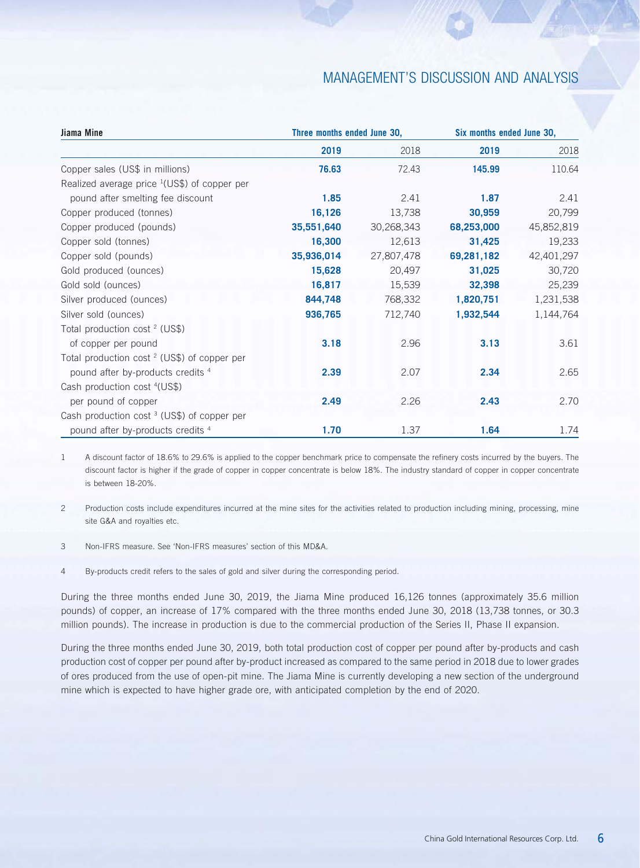| Jiama Mine                                              | Three months ended June 30, |            | Six months ended June 30, |            |  |
|---------------------------------------------------------|-----------------------------|------------|---------------------------|------------|--|
|                                                         | 2019                        | 2018       | 2019                      | 2018       |  |
| Copper sales (US\$ in millions)                         | 76.63                       | 72.43      | 145.99                    | 110.64     |  |
| Realized average price $(US$)$ of copper per            |                             |            |                           |            |  |
| pound after smelting fee discount                       | 1.85                        | 2.41       | 1.87                      | 2.41       |  |
| Copper produced (tonnes)                                | 16,126                      | 13,738     | 30,959                    | 20,799     |  |
| Copper produced (pounds)                                | 35,551,640                  | 30,268,343 | 68,253,000                | 45,852,819 |  |
| Copper sold (tonnes)                                    | 16,300                      | 12,613     | 31,425                    | 19,233     |  |
| Copper sold (pounds)                                    | 35,936,014                  | 27,807,478 | 69,281,182                | 42,401,297 |  |
| Gold produced (ounces)                                  | 15,628                      | 20,497     | 31,025                    | 30,720     |  |
| Gold sold (ounces)                                      | 16,817                      | 15,539     | 32,398                    | 25,239     |  |
| Silver produced (ounces)                                | 844,748                     | 768,332    | 1,820,751                 | 1,231,538  |  |
| Silver sold (ounces)                                    | 936,765                     | 712,740    | 1,932,544                 | 1,144,764  |  |
| Total production cost $2$ (US\$)                        |                             |            |                           |            |  |
| of copper per pound                                     | 3.18                        | 2.96       | 3.13                      | 3.61       |  |
| Total production cost <sup>2</sup> (US\$) of copper per |                             |            |                           |            |  |
| pound after by-products credits 4                       | 2.39                        | 2.07       | 2.34                      | 2.65       |  |
| Cash production cost <sup>4</sup> (US\$)                |                             |            |                           |            |  |
| per pound of copper                                     | 2.49                        | 2.26       | 2.43                      | 2.70       |  |
| Cash production cost <sup>3</sup> (US\$) of copper per  |                             |            |                           |            |  |
| pound after by-products credits 4                       | 1.70                        | 1.37       | 1.64                      | 1.74       |  |

1 A discount factor of 18.6% to 29.6% is applied to the copper benchmark price to compensate the refinery costs incurred by the buyers. The discount factor is higher if the grade of copper in copper concentrate is below 18%. The industry standard of copper in copper concentrate is between 18-20%.

2 Production costs include expenditures incurred at the mine sites for the activities related to production including mining, processing, mine site G&A and royalties etc.

3 Non-IFRS measure. See 'Non-IFRS measures' section of this MD&A.

4 By-products credit refers to the sales of gold and silver during the corresponding period.

During the three months ended June 30, 2019, the Jiama Mine produced 16,126 tonnes (approximately 35.6 million pounds) of copper, an increase of 17% compared with the three months ended June 30, 2018 (13,738 tonnes, or 30.3 million pounds). The increase in production is due to the commercial production of the Series II, Phase II expansion.

During the three months ended June 30, 2019, both total production cost of copper per pound after by-products and cash production cost of copper per pound after by-product increased as compared to the same period in 2018 due to lower grades of ores produced from the use of open-pit mine. The Jiama Mine is currently developing a new section of the underground mine which is expected to have higher grade ore, with anticipated completion by the end of 2020.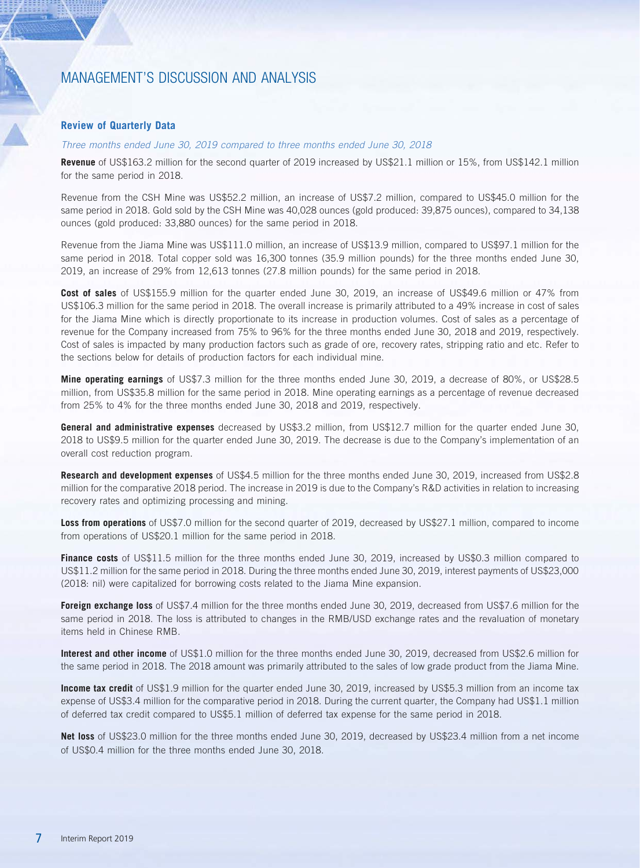### **Review of Quarterly Data**

#### *Three months ended June 30, 2019 compared to three months ended June 30, 2018*

**Revenue** of US\$163.2 million for the second quarter of 2019 increased by US\$21.1 million or 15%, from US\$142.1 million for the same period in 2018.

Revenue from the CSH Mine was US\$52.2 million, an increase of US\$7.2 million, compared to US\$45.0 million for the same period in 2018. Gold sold by the CSH Mine was 40,028 ounces (gold produced: 39,875 ounces), compared to 34,138 ounces (gold produced: 33,880 ounces) for the same period in 2018.

Revenue from the Jiama Mine was US\$111.0 million, an increase of US\$13.9 million, compared to US\$97.1 million for the same period in 2018. Total copper sold was 16,300 tonnes (35.9 million pounds) for the three months ended June 30, 2019, an increase of 29% from 12,613 tonnes (27.8 million pounds) for the same period in 2018.

**Cost of sales** of US\$155.9 million for the quarter ended June 30, 2019, an increase of US\$49.6 million or 47% from US\$106.3 million for the same period in 2018. The overall increase is primarily attributed to a 49% increase in cost of sales for the Jiama Mine which is directly proportionate to its increase in production volumes. Cost of sales as a percentage of revenue for the Company increased from 75% to 96% for the three months ended June 30, 2018 and 2019, respectively. Cost of sales is impacted by many production factors such as grade of ore, recovery rates, stripping ratio and etc. Refer to the sections below for details of production factors for each individual mine.

**Mine operating earnings** of US\$7.3 million for the three months ended June 30, 2019, a decrease of 80%, or US\$28.5 million, from US\$35.8 million for the same period in 2018. Mine operating earnings as a percentage of revenue decreased from 25% to 4% for the three months ended June 30, 2018 and 2019, respectively.

**General and administrative expenses** decreased by US\$3.2 million, from US\$12.7 million for the quarter ended June 30, 2018 to US\$9.5 million for the quarter ended June 30, 2019. The decrease is due to the Company's implementation of an overall cost reduction program.

**Research and development expenses** of US\$4.5 million for the three months ended June 30, 2019, increased from US\$2.8 million for the comparative 2018 period. The increase in 2019 is due to the Company's R&D activities in relation to increasing recovery rates and optimizing processing and mining.

**Loss from operations** of US\$7.0 million for the second quarter of 2019, decreased by US\$27.1 million, compared to income from operations of US\$20.1 million for the same period in 2018.

**Finance costs** of US\$11.5 million for the three months ended June 30, 2019, increased by US\$0.3 million compared to US\$11.2 million for the same period in 2018. During the three months ended June 30, 2019, interest payments of US\$23,000 (2018: nil) were capitalized for borrowing costs related to the Jiama Mine expansion.

**Foreign exchange loss** of US\$7.4 million for the three months ended June 30, 2019, decreased from US\$7.6 million for the same period in 2018. The loss is attributed to changes in the RMB/USD exchange rates and the revaluation of monetary items held in Chinese RMB.

**Interest and other income** of US\$1.0 million for the three months ended June 30, 2019, decreased from US\$2.6 million for the same period in 2018. The 2018 amount was primarily attributed to the sales of low grade product from the Jiama Mine.

**Income tax credit** of US\$1.9 million for the quarter ended June 30, 2019, increased by US\$5.3 million from an income tax expense of US\$3.4 million for the comparative period in 2018. During the current quarter, the Company had US\$1.1 million of deferred tax credit compared to US\$5.1 million of deferred tax expense for the same period in 2018.

**Net loss** of US\$23.0 million for the three months ended June 30, 2019, decreased by US\$23.4 million from a net income of US\$0.4 million for the three months ended June 30, 2018.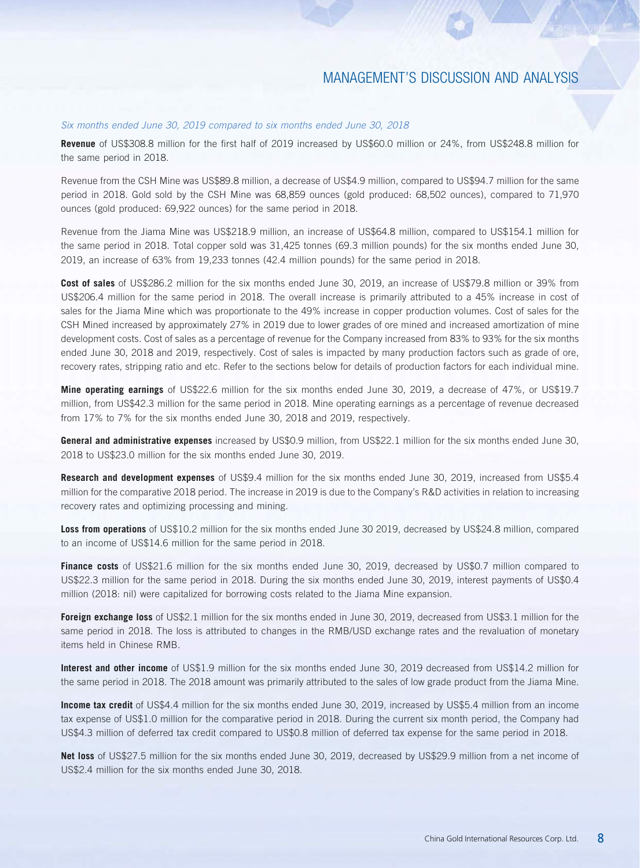### *Six months ended June 30, 2019 compared to six months ended June 30, 2018*

**Revenue** of US\$308.8 million for the first half of 2019 increased by US\$60.0 million or 24%, from US\$248.8 million for the same period in 2018.

Revenue from the CSH Mine was US\$89.8 million, a decrease of US\$4.9 million, compared to US\$94.7 million for the same period in 2018. Gold sold by the CSH Mine was 68,859 ounces (gold produced: 68,502 ounces), compared to 71,970 ounces (gold produced: 69,922 ounces) for the same period in 2018.

Revenue from the Jiama Mine was US\$218.9 million, an increase of US\$64.8 million, compared to US\$154.1 million for the same period in 2018. Total copper sold was 31,425 tonnes (69.3 million pounds) for the six months ended June 30, 2019, an increase of 63% from 19,233 tonnes (42.4 million pounds) for the same period in 2018.

**Cost of sales** of US\$286.2 million for the six months ended June 30, 2019, an increase of US\$79.8 million or 39% from US\$206.4 million for the same period in 2018. The overall increase is primarily attributed to a 45% increase in cost of sales for the Jiama Mine which was proportionate to the 49% increase in copper production volumes. Cost of sales for the CSH Mined increased by approximately 27% in 2019 due to lower grades of ore mined and increased amortization of mine development costs. Cost of sales as a percentage of revenue for the Company increased from 83% to 93% for the six months ended June 30, 2018 and 2019, respectively. Cost of sales is impacted by many production factors such as grade of ore, recovery rates, stripping ratio and etc. Refer to the sections below for details of production factors for each individual mine.

**Mine operating earnings** of US\$22.6 million for the six months ended June 30, 2019, a decrease of 47%, or US\$19.7 million, from US\$42.3 million for the same period in 2018. Mine operating earnings as a percentage of revenue decreased from 17% to 7% for the six months ended June 30, 2018 and 2019, respectively.

**General and administrative expenses** increased by US\$0.9 million, from US\$22.1 million for the six months ended June 30, 2018 to US\$23.0 million for the six months ended June 30, 2019.

**Research and development expenses** of US\$9.4 million for the six months ended June 30, 2019, increased from US\$5.4 million for the comparative 2018 period. The increase in 2019 is due to the Company's R&D activities in relation to increasing recovery rates and optimizing processing and mining.

**Loss from operations** of US\$10.2 million for the six months ended June 30 2019, decreased by US\$24.8 million, compared to an income of US\$14.6 million for the same period in 2018.

**Finance costs** of US\$21.6 million for the six months ended June 30, 2019, decreased by US\$0.7 million compared to US\$22.3 million for the same period in 2018. During the six months ended June 30, 2019, interest payments of US\$0.4 million (2018: nil) were capitalized for borrowing costs related to the Jiama Mine expansion.

**Foreign exchange loss** of US\$2.1 million for the six months ended in June 30, 2019, decreased from US\$3.1 million for the same period in 2018. The loss is attributed to changes in the RMB/USD exchange rates and the revaluation of monetary items held in Chinese RMB.

**Interest and other income** of US\$1.9 million for the six months ended June 30, 2019 decreased from US\$14.2 million for the same period in 2018. The 2018 amount was primarily attributed to the sales of low grade product from the Jiama Mine.

**Income tax credit** of US\$4.4 million for the six months ended June 30, 2019, increased by US\$5.4 million from an income tax expense of US\$1.0 million for the comparative period in 2018. During the current six month period, the Company had US\$4.3 million of deferred tax credit compared to US\$0.8 million of deferred tax expense for the same period in 2018.

**Net loss** of US\$27.5 million for the six months ended June 30, 2019, decreased by US\$29.9 million from a net income of US\$2.4 million for the six months ended June 30, 2018.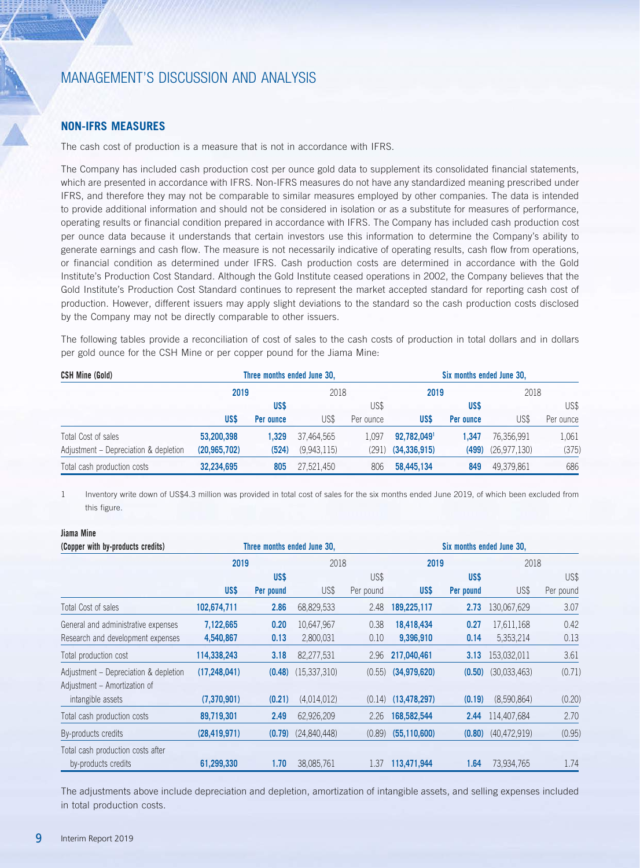## **NON-IFRS MEASURES**

The cash cost of production is a measure that is not in accordance with IFRS.

The Company has included cash production cost per ounce gold data to supplement its consolidated financial statements, which are presented in accordance with IFRS. Non-IFRS measures do not have any standardized meaning prescribed under IFRS, and therefore they may not be comparable to similar measures employed by other companies. The data is intended to provide additional information and should not be considered in isolation or as a substitute for measures of performance, operating results or financial condition prepared in accordance with IFRS. The Company has included cash production cost per ounce data because it understands that certain investors use this information to determine the Company's ability to generate earnings and cash flow. The measure is not necessarily indicative of operating results, cash flow from operations, or financial condition as determined under IFRS. Cash production costs are determined in accordance with the Gold Institute's Production Cost Standard. Although the Gold Institute ceased operations in 2002, the Company believes that the Gold Institute's Production Cost Standard continues to represent the market accepted standard for reporting cash cost of production. However, different issuers may apply slight deviations to the standard so the cash production costs disclosed by the Company may not be directly comparable to other issuers.

The following tables provide a reconciliation of cost of sales to the cash costs of production in total dollars and in dollars per gold ounce for the CSH Mine or per copper pound for the Jiama Mine:

| <b>CSH Mine (Gold)</b>                | Three months ended June 30, |           |             |           | Six months ended June 30, |           |               |           |
|---------------------------------------|-----------------------------|-----------|-------------|-----------|---------------------------|-----------|---------------|-----------|
|                                       | 2019                        |           | 2018        |           | 2019                      |           | 2018          |           |
|                                       |                             | US\$      |             | US\$      |                           | US\$      |               | US\$      |
|                                       | US\$                        | Per ounce | US\$        | Per ounce | US\$                      | Per ounce | US\$          | Per ounce |
| Total Cost of sales                   | 53,200,398                  | .329      | 37,464,565  | L.097     | 92,782,0491               | 1.347     | 76.356.991    | 1.061     |
| Adjustment - Depreciation & depletion | (20, 965, 702)              | (524)     | (9,943,115) | (291      | (34, 336, 915)            | (499)     | (26.977, 130) | (375)     |
| Total cash production costs           | 32.234.695                  | 805       | 27,521,450  | 806       | 58,445,134                | 849       | 49.379.861    | 686       |

1 Inventory write down of US\$4.3 million was provided in total cost of sales for the six months ended June 2019, of which been excluded from this figure.

## **Jiama Mine**

| (Copper with by-products credits)                                     |                |           | Three months ended June 30. |           |                | Six months ended June 30, |                |           |
|-----------------------------------------------------------------------|----------------|-----------|-----------------------------|-----------|----------------|---------------------------|----------------|-----------|
|                                                                       | 2019           |           | 2018                        |           | 2019           |                           | 2018           |           |
|                                                                       |                | US\$      |                             | US\$      |                | US\$                      |                | US\$      |
|                                                                       | US\$           | Per pound | US\$                        | Per pound | US\$           | Per pound                 | US\$           | Per pound |
| Total Cost of sales                                                   | 102,674,711    | 2.86      | 68,829,533                  | 2.48      | 189,225,117    | 2.73                      | 130,067,629    | 3.07      |
| General and administrative expenses                                   | 7,122,665      | 0.20      | 10,647,967                  | 0.38      | 18,418,434     | 0.27                      | 17,611,168     | 0.42      |
| Research and development expenses                                     | 4,540,867      | 0.13      | 2,800,031                   | 0.10      | 9,396,910      | 0.14                      | 5,353,214      | 0.13      |
| Total production cost                                                 | 114,338,243    | 3.18      | 82,277,531                  | 2.96      | 217,040,461    | 3.13                      | 153,032,011    | 3.61      |
| Adjustment - Depreciation & depletion<br>Adjustment - Amortization of | (17, 248, 041) | (0.48)    | (15,337,310)                | (0.55)    | (34,979,620)   | (0.50)                    | (30,033,463)   | (0.71)    |
| intangible assets                                                     | (7,370,901)    | (0.21)    | (4,014,012)                 | (0.14)    | (13, 478, 297) | (0.19)                    | (8,590,864)    | (0.20)    |
| Total cash production costs                                           | 89,719,301     | 2.49      | 62,926,209                  | 2.26      | 168,582,544    | 2.44                      | 114,407,684    | 2.70      |
| By-products credits                                                   | (28, 419, 971) | (0.79)    | (24,840,448)                | (0.89)    | (55, 110, 600) | (0.80)                    | (40, 472, 919) | (0.95)    |
| Total cash production costs after<br>by-products credits              | 61,299,330     | 1.70      | 38,085,761                  | 1.37      | 113,471,944    | 1.64                      | 73,934,765     | 1.74      |

The adjustments above include depreciation and depletion, amortization of intangible assets, and selling expenses included in total production costs.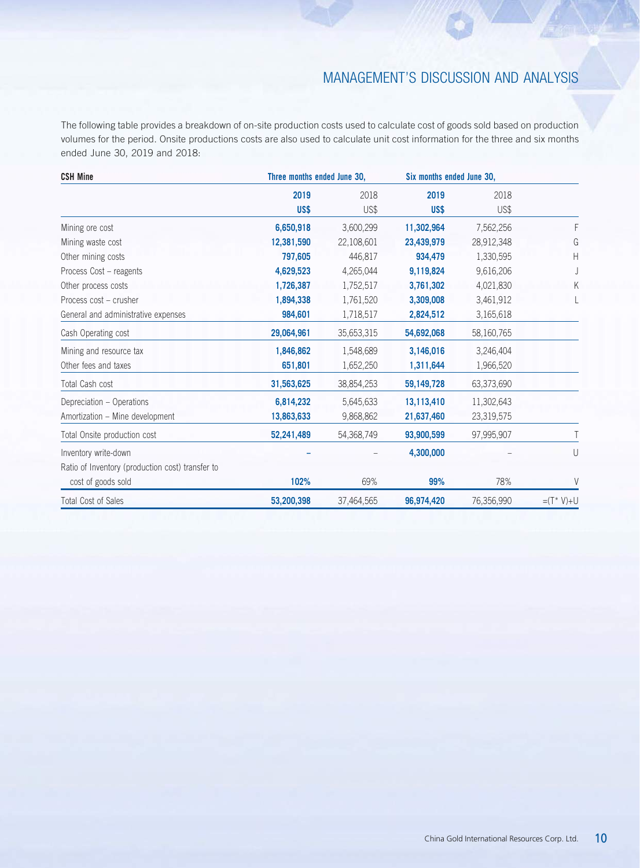The following table provides a breakdown of on-site production costs used to calculate cost of goods sold based on production volumes for the period. Onsite productions costs are also used to calculate unit cost information for the three and six months ended June 30, 2019 and 2018:

| <b>CSH Mine</b>                                                        | Three months ended June 30, |              | Six months ended June 30, |              |              |
|------------------------------------------------------------------------|-----------------------------|--------------|---------------------------|--------------|--------------|
|                                                                        | 2019<br>US\$                | 2018<br>US\$ | 2019<br>US\$              | 2018<br>US\$ |              |
| Mining ore cost                                                        | 6,650,918                   | 3,600,299    | 11,302,964                | 7,562,256    | F            |
| Mining waste cost                                                      | 12,381,590                  | 22,108,601   | 23,439,979                | 28,912,348   | G            |
| Other mining costs                                                     | 797,605                     | 446,817      | 934,479                   | 1,330,595    | Н            |
| Process Cost - reagents                                                | 4,629,523                   | 4,265,044    | 9,119,824                 | 9,616,206    |              |
| Other process costs                                                    | 1,726,387                   | 1,752,517    | 3,761,302                 | 4,021,830    | Κ            |
| Process cost - crusher                                                 | 1,894,338                   | 1,761,520    | 3,309,008                 | 3,461,912    |              |
| General and administrative expenses                                    | 984,601                     | 1,718,517    | 2,824,512                 | 3,165,618    |              |
| Cash Operating cost                                                    | 29,064,961                  | 35,653,315   | 54,692,068                | 58,160,765   |              |
| Mining and resource tax                                                | 1,846,862                   | 1,548,689    | 3,146,016                 | 3,246,404    |              |
| Other fees and taxes                                                   | 651,801                     | 1,652,250    | 1,311,644                 | 1,966,520    |              |
| Total Cash cost                                                        | 31,563,625                  | 38,854,253   | 59,149,728                | 63,373,690   |              |
| Depreciation - Operations                                              | 6,814,232                   | 5,645,633    | 13,113,410                | 11,302,643   |              |
| Amortization - Mine development                                        | 13,863,633                  | 9,868,862    | 21,637,460                | 23,319,575   |              |
| Total Onsite production cost                                           | 52,241,489                  | 54,368,749   | 93,900,599                | 97,995,907   |              |
| Inventory write-down                                                   |                             |              | 4,300,000                 |              | U            |
| Ratio of Inventory (production cost) transfer to<br>cost of goods sold | 102%                        | 69%          | 99%                       | 78%          | V            |
| <b>Total Cost of Sales</b>                                             | 53,200,398                  | 37,464,565   | 96,974,420                | 76,356,990   | $=(T^* V)+U$ |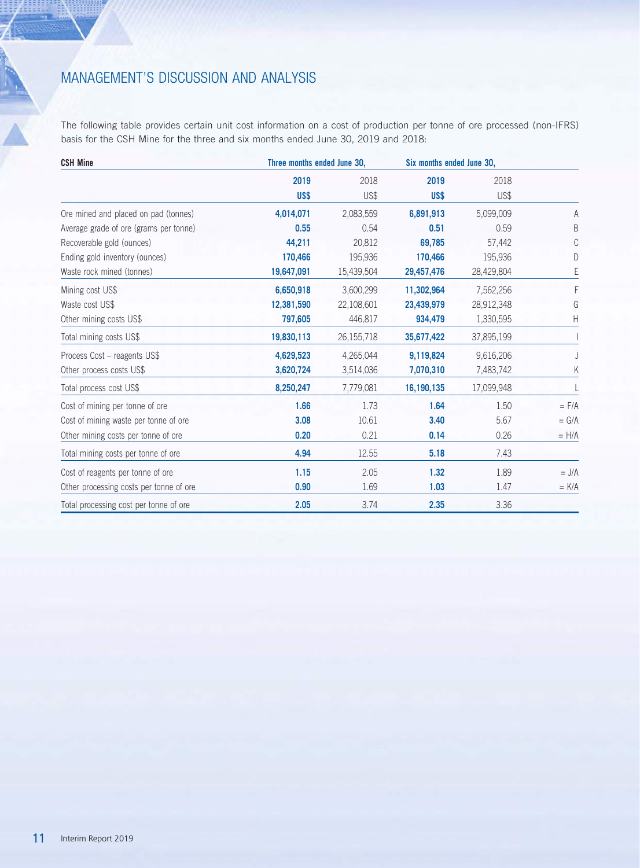$\frac{1}{\sqrt{2}}$ 

The following table provides certain unit cost information on a cost of production per tonne of ore processed (non-IFRS) basis for the CSH Mine for the three and six months ended June 30, 2019 and 2018:

| <b>CSH Mine</b>                         | Three months ended June 30, |            |            | Six months ended June 30, |           |
|-----------------------------------------|-----------------------------|------------|------------|---------------------------|-----------|
|                                         | 2019                        | 2018       | 2019       | 2018                      |           |
|                                         | US\$                        | US\$       | US\$       | US\$                      |           |
| Ore mined and placed on pad (tonnes)    | 4,014,071                   | 2,083,559  | 6,891,913  | 5,099,009                 | Α         |
| Average grade of ore (grams per tonne)  | 0.55                        | 0.54       | 0.51       | 0.59                      | B         |
| Recoverable gold (ounces)               | 44,211                      | 20,812     | 69,785     | 57,442                    |           |
| Ending gold inventory (ounces)          | 170,466                     | 195,936    | 170,466    | 195,936                   | D         |
| Waste rock mined (tonnes)               | 19,647,091                  | 15,439,504 | 29,457,476 | 28,429,804                | Ε         |
| Mining cost US\$                        | 6,650,918                   | 3,600,299  | 11,302,964 | 7,562,256                 | F         |
| Waste cost US\$                         | 12,381,590                  | 22,108,601 | 23,439,979 | 28,912,348                | G         |
| Other mining costs US\$                 | 797,605                     | 446,817    | 934,479    | 1,330,595                 | Н         |
| Total mining costs US\$                 | 19,830,113                  | 26,155,718 | 35,677,422 | 37,895,199                |           |
| Process Cost - reagents US\$            | 4,629,523                   | 4,265,044  | 9,119,824  | 9,616,206                 |           |
| Other process costs US\$                | 3,620,724                   | 3,514,036  | 7,070,310  | 7,483,742                 | Κ         |
| Total process cost US\$                 | 8,250,247                   | 7,779,081  | 16,190,135 | 17,099,948                |           |
| Cost of mining per tonne of ore         | 1.66                        | 1.73       | 1.64       | 1.50                      | $=$ $F/A$ |
| Cost of mining waste per tonne of ore   | 3.08                        | 10.61      | 3.40       | 5.67                      | $= G/A$   |
| Other mining costs per tonne of ore     | 0.20                        | 0.21       | 0.14       | 0.26                      | $= H/A$   |
| Total mining costs per tonne of ore     | 4.94                        | 12.55      | 5.18       | 7.43                      |           |
| Cost of reagents per tonne of ore       | 1.15                        | 2.05       | 1.32       | 1.89                      | $= J/A$   |
| Other processing costs per tonne of ore | 0.90                        | 1.69       | 1.03       | 1.47                      | $= K/A$   |
| Total processing cost per tonne of ore  | 2.05                        | 3.74       | 2.35       | 3.36                      |           |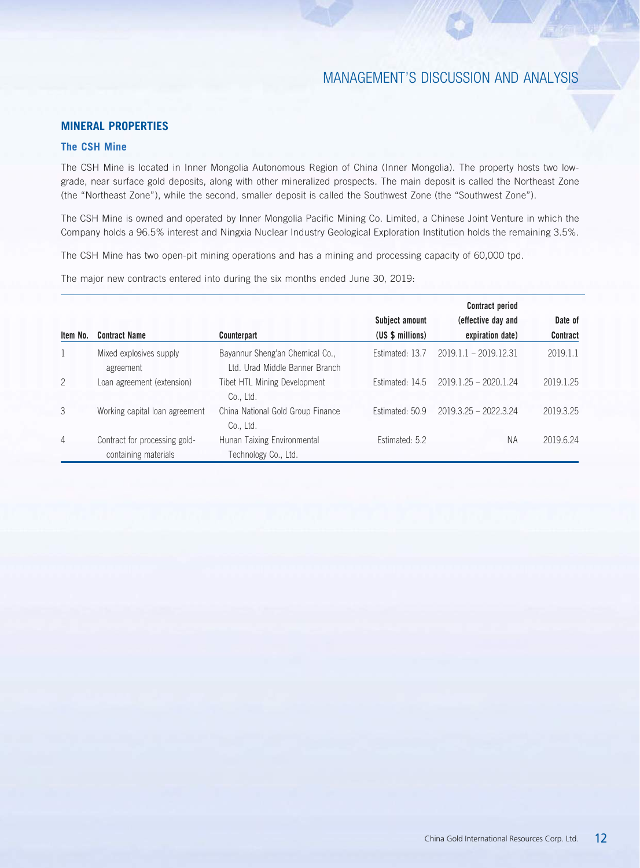# **MINERAL PROPERTIES**

## **The CSH Mine**

The CSH Mine is located in Inner Mongolia Autonomous Region of China (Inner Mongolia). The property hosts two lowgrade, near surface gold deposits, along with other mineralized prospects. The main deposit is called the Northeast Zone (the "Northeast Zone"), while the second, smaller deposit is called the Southwest Zone (the "Southwest Zone").

The CSH Mine is owned and operated by Inner Mongolia Pacific Mining Co. Limited, a Chinese Joint Venture in which the Company holds a 96.5% interest and Ningxia Nuclear Industry Geological Exploration Institution holds the remaining 3.5%.

The CSH Mine has two open-pit mining operations and has a mining and processing capacity of 60,000 tpd.

The major new contracts entered into during the six months ended June 30, 2019:

|                |                                                       |                                                                   |                                    | <b>Contract period</b>                 |                            |
|----------------|-------------------------------------------------------|-------------------------------------------------------------------|------------------------------------|----------------------------------------|----------------------------|
| Item No.       | <b>Contract Name</b>                                  | Counterpart                                                       | Subject amount<br>(US \$ millions) | (effective day and<br>expiration date) | Date of<br><b>Contract</b> |
|                | Mixed explosives supply<br>agreement                  | Bayannur Sheng'an Chemical Co.,<br>Ltd. Urad Middle Banner Branch | Estimated: 13.7                    | $2019.1.1 - 2019.12.31$                | 2019.1.1                   |
| 2              | Loan agreement (extension)                            | Tibet HTL Mining Development<br>Co., Ltd.                         | Estimated: 14.5                    | $2019.1.25 - 2020.1.24$                | 2019.1.25                  |
| 3              | Working capital loan agreement                        | China National Gold Group Finance<br>Co., Ltd.                    | Estimated: 50.9                    | $2019.3.25 - 2022.3.24$                | 2019.3.25                  |
| $\overline{4}$ | Contract for processing gold-<br>containing materials | Hunan Taixing Environmental<br>Technology Co., Ltd.               | Estimated: 5.2                     | <b>NA</b>                              | 2019.6.24                  |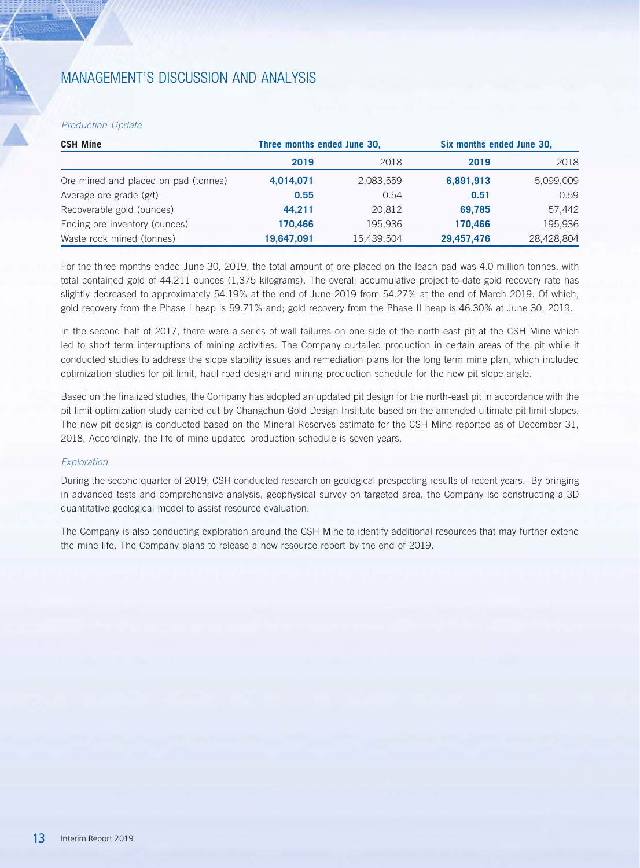### *Production Update*

| <b>CSH Mine</b>                      | Three months ended June 30, |            |            | Six months ended June 30, |  |  |
|--------------------------------------|-----------------------------|------------|------------|---------------------------|--|--|
|                                      | 2019                        | 2018       | 2019       | 2018                      |  |  |
| Ore mined and placed on pad (tonnes) | 4,014,071                   | 2,083,559  | 6,891,913  | 5,099,009                 |  |  |
| Average ore grade (g/t)              | 0.55                        | 0.54       | 0.51       | 0.59                      |  |  |
| Recoverable gold (ounces)            | 44.211                      | 20.812     | 69.785     | 57,442                    |  |  |
| Ending ore inventory (ounces)        | 170,466                     | 195.936    | 170,466    | 195,936                   |  |  |
| Waste rock mined (tonnes)            | 19,647,091                  | 15,439,504 | 29,457,476 | 28,428,804                |  |  |

For the three months ended June 30, 2019, the total amount of ore placed on the leach pad was 4.0 million tonnes, with total contained gold of 44,211 ounces (1,375 kilograms). The overall accumulative project-to-date gold recovery rate has slightly decreased to approximately 54.19% at the end of June 2019 from 54.27% at the end of March 2019. Of which, gold recovery from the Phase I heap is 59.71% and; gold recovery from the Phase II heap is 46.30% at June 30, 2019.

In the second half of 2017, there were a series of wall failures on one side of the north-east pit at the CSH Mine which led to short term interruptions of mining activities. The Company curtailed production in certain areas of the pit while it conducted studies to address the slope stability issues and remediation plans for the long term mine plan, which included optimization studies for pit limit, haul road design and mining production schedule for the new pit slope angle.

Based on the finalized studies, the Company has adopted an updated pit design for the north-east pit in accordance with the pit limit optimization study carried out by Changchun Gold Design Institute based on the amended ultimate pit limit slopes. The new pit design is conducted based on the Mineral Reserves estimate for the CSH Mine reported as of December 31, 2018. Accordingly, the life of mine updated production schedule is seven years.

### *Exploration*

During the second quarter of 2019, CSH conducted research on geological prospecting results of recent years. By bringing in advanced tests and comprehensive analysis, geophysical survey on targeted area, the Company iso constructing a 3D quantitative geological model to assist resource evaluation.

The Company is also conducting exploration around the CSH Mine to identify additional resources that may further extend the mine life. The Company plans to release a new resource report by the end of 2019.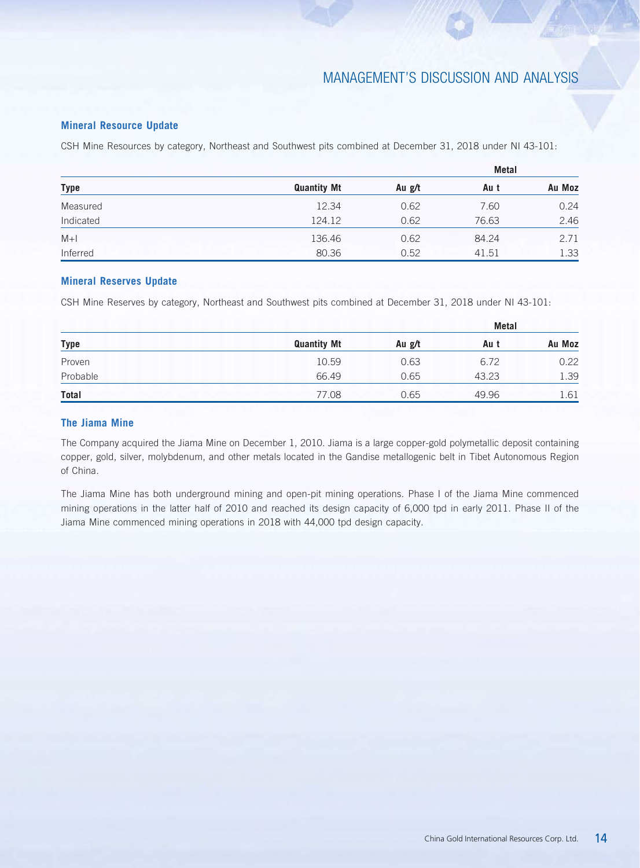## **Mineral Resource Update**

CSH Mine Resources by category, Northeast and Southwest pits combined at December 31, 2018 under NI 43-101:

| <b>Type</b> |                    |        |       |        |
|-------------|--------------------|--------|-------|--------|
|             | <b>Quantity Mt</b> | Au g/t | Au t  | Au Moz |
| Measured    | 12.34              | 0.62   | 7.60  | 0.24   |
| Indicated   | 124.12             | 0.62   | 76.63 | 2.46   |
| $M+1$       | 136.46             | 0.62   | 84.24 | 2.71   |
| Inferred    | 80.36              | 0.52   | 41.51 | 1.33   |

### **Mineral Reserves Update**

CSH Mine Reserves by category, Northeast and Southwest pits combined at December 31, 2018 under NI 43-101:

| <b>Type</b> |                    |        | <b>Metal</b> |        |  |  |
|-------------|--------------------|--------|--------------|--------|--|--|
|             | <b>Quantity Mt</b> | Au g/t | Au t         | Au Moz |  |  |
| Proven      | 10.59              | 0.63   | 6.72         | 0.22   |  |  |
| Probable    | 66.49              | 0.65   | 43.23        | 1.39   |  |  |
| Total       | 77.08              | 0.65   | 49.96        | 1.61   |  |  |

## **The Jiama Mine**

The Company acquired the Jiama Mine on December 1, 2010. Jiama is a large copper-gold polymetallic deposit containing copper, gold, silver, molybdenum, and other metals located in the Gandise metallogenic belt in Tibet Autonomous Region of China.

The Jiama Mine has both underground mining and open-pit mining operations. Phase I of the Jiama Mine commenced mining operations in the latter half of 2010 and reached its design capacity of 6,000 tpd in early 2011. Phase II of the Jiama Mine commenced mining operations in 2018 with 44,000 tpd design capacity.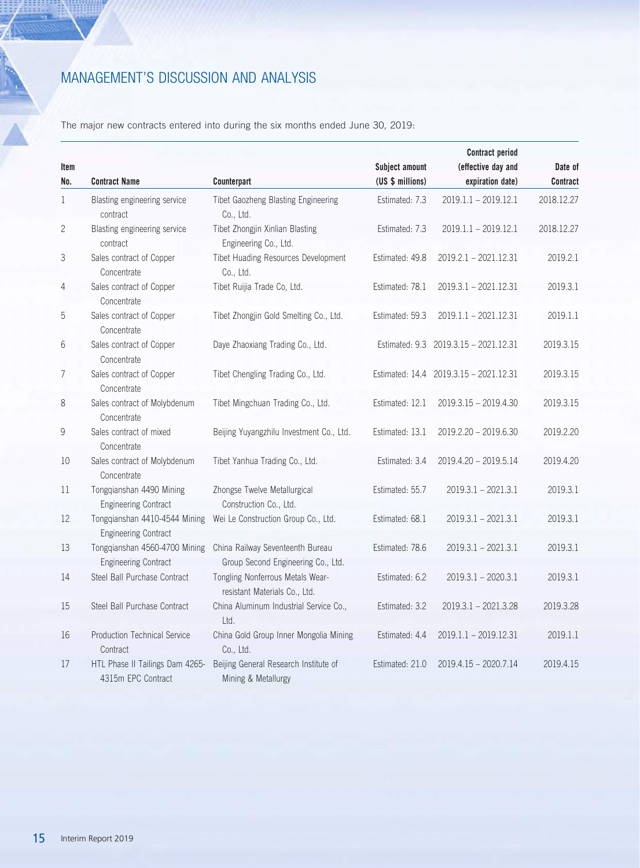The major new contracts entered into during the six months ended June 30, 2019:

|                |                                                              |                                                                   |                  | <b>Contract period</b>                 |            |
|----------------|--------------------------------------------------------------|-------------------------------------------------------------------|------------------|----------------------------------------|------------|
| ltem           |                                                              |                                                                   | Subject amount   | (effective day and                     | Date of    |
| No.            | <b>Contract Name</b>                                         | Counterpart                                                       | (US \$ millions) | expiration date)                       | Contract   |
| $\mathbf{1}$   | Blasting engineering service<br>contract                     | Tibet Gaozheng Blasting Engineering<br>Co., Ltd.                  | Estimated: 7.3   | $2019.1.1 - 2019.12.1$                 | 2018.12.27 |
| 2              | Blasting engineering service<br>contract                     | Tibet Zhongjin Xinlian Blasting<br>Engineering Co., Ltd.          | Estimated: 7.3   | $2019.1.1 - 2019.12.1$                 | 2018.12.27 |
| 3              | Sales contract of Copper<br>Concentrate                      | Tibet Huading Resources Development<br>Co., Ltd.                  | Estimated: 49.8  | $2019.2.1 - 2021.12.31$                | 2019.2.1   |
| 4              | Sales contract of Copper<br>Concentrate                      | Tibet Ruijia Trade Co, Ltd.                                       | Estimated: 78.1  | $2019.3.1 - 2021.12.31$                | 2019.3.1   |
| 5              | Sales contract of Copper<br>Concentrate                      | Tibet Zhongjin Gold Smelting Co., Ltd.                            | Estimated: 59.3  | 2019.1.1 - 2021.12.31                  | 2019.1.1   |
| 6              | Sales contract of Copper<br>Concentrate                      | Daye Zhaoxiang Trading Co., Ltd.                                  |                  | Estimated: 9.3 2019.3.15 - 2021.12.31  | 2019.3.15  |
| $\overline{7}$ | Sales contract of Copper<br>Concentrate                      | Tibet Chengling Trading Co., Ltd.                                 |                  | Estimated: 14.4 2019.3.15 - 2021.12.31 | 2019.3.15  |
| 8              | Sales contract of Molybdenum<br>Concentrate                  | Tibet Mingchuan Trading Co., Ltd.                                 | Estimated: 12.1  | 2019.3.15 - 2019.4.30                  | 2019.3.15  |
| 9              | Sales contract of mixed                                      | Beijing Yuyangzhilu Investment Co., Ltd.                          | Estimated: 13.1  | 2019.2.20 - 2019.6.30                  | 2019.2.20  |
|                | Concentrate                                                  |                                                                   |                  |                                        |            |
| 10             | Sales contract of Molybdenum<br>Concentrate                  | Tibet Yanhua Trading Co., Ltd.                                    | Estimated: 3.4   | 2019.4.20 - 2019.5.14                  | 2019.4.20  |
| 11             | Tongqianshan 4490 Mining                                     | Zhongse Twelve Metallurgical                                      | Estimated: 55.7  | $2019.3.1 - 2021.3.1$                  | 2019.3.1   |
|                | <b>Engineering Contract</b>                                  | Construction Co., Ltd.                                            |                  |                                        |            |
| 12             | Tongqianshan 4410-4544 Mining<br><b>Engineering Contract</b> | Wei Le Construction Group Co., Ltd.                               | Estimated: 68.1  | $2019.3.1 - 2021.3.1$                  | 2019.3.1   |
| 13             | Tongqianshan 4560-4700 Mining                                | China Railway Seventeenth Bureau                                  | Estimated: 78.6  | $2019.3.1 - 2021.3.1$                  | 2019.3.1   |
|                | <b>Engineering Contract</b>                                  | Group Second Engineering Co., Ltd.                                |                  |                                        |            |
| 14             | Steel Ball Purchase Contract                                 | Tongling Nonferrous Metals Wear-<br>resistant Materials Co., Ltd. | Estimated: 6.2   | $2019.3.1 - 2020.3.1$                  | 2019.3.1   |
| 15             | Steel Ball Purchase Contract                                 | China Aluminum Industrial Service Co.,<br>Ltd.                    | Estimated: 3.2   | $2019.3.1 - 2021.3.28$                 | 2019.3.28  |
| 16             | <b>Production Technical Service</b><br>Contract              | China Gold Group Inner Mongolia Mining<br>Co., Ltd.               | Estimated: 4.4   | 2019.1.1 - 2019.12.31                  | 2019.1.1   |
| 17             | HTL Phase II Tailings Dam 4265-<br>4315m EPC Contract        | Beijing General Research Institute of<br>Mining & Metallurgy      | Estimated: 21.0  | $2019.4.15 - 2020.7.14$                | 2019.4.15  |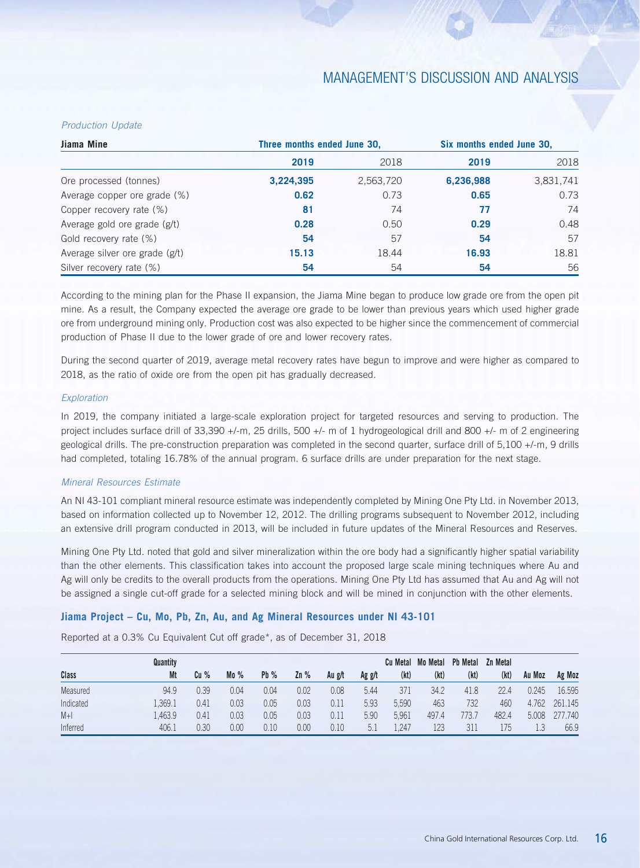### *Production Update*

| Jiama Mine                     | Three months ended June 30, |           | Six months ended June 30, |           |  |  |
|--------------------------------|-----------------------------|-----------|---------------------------|-----------|--|--|
|                                | 2019                        | 2018      | 2019                      | 2018      |  |  |
| Ore processed (tonnes)         | 3,224,395                   | 2,563,720 | 6,236,988                 | 3,831,741 |  |  |
| Average copper ore grade (%)   | 0.62                        | 0.73      | 0.65                      | 0.73      |  |  |
| Copper recovery rate (%)       | 81                          | 74        | 77                        | 74        |  |  |
| Average gold ore grade (g/t)   | 0.28                        | 0.50      | 0.29                      | 0.48      |  |  |
| Gold recovery rate (%)         | 54                          | 57        | 54                        | 57        |  |  |
| Average silver ore grade (g/t) | 15.13                       | 18.44     | 16.93                     | 18.81     |  |  |
| Silver recovery rate (%)       | 54                          | 54        | 54                        | 56        |  |  |

According to the mining plan for the Phase II expansion, the Jiama Mine began to produce low grade ore from the open pit mine. As a result, the Company expected the average ore grade to be lower than previous years which used higher grade ore from underground mining only. Production cost was also expected to be higher since the commencement of commercial production of Phase II due to the lower grade of ore and lower recovery rates.

During the second quarter of 2019, average metal recovery rates have begun to improve and were higher as compared to 2018, as the ratio of oxide ore from the open pit has gradually decreased.

### *Exploration*

In 2019, the company initiated a large-scale exploration project for targeted resources and serving to production. The project includes surface drill of 33,390 +/-m, 25 drills, 500 +/- m of 1 hydrogeological drill and 800 +/- m of 2 engineering geological drills. The pre-construction preparation was completed in the second quarter, surface drill of 5,100 +/-m, 9 drills had completed, totaling 16.78% of the annual program. 6 surface drills are under preparation for the next stage.

### *Mineral Resources Estimate*

An NI 43-101 compliant mineral resource estimate was independently completed by Mining One Pty Ltd. in November 2013, based on information collected up to November 12, 2012. The drilling programs subsequent to November 2012, including an extensive drill program conducted in 2013, will be included in future updates of the Mineral Resources and Reserves.

Mining One Pty Ltd. noted that gold and silver mineralization within the ore body had a significantly higher spatial variability than the other elements. This classification takes into account the proposed large scale mining techniques where Au and Ag will only be credits to the overall products from the operations. Mining One Pty Ltd has assumed that Au and Ag will not be assigned a single cut-off grade for a selected mining block and will be mined in conjunction with the other elements.

### **Jiama Project – Cu, Mo, Pb, Zn, Au, and Ag Mineral Resources under NI 43-101**

Reported at a 0.3% Cu Equivalent Cut off grade\*, as of December 31, 2018

|           | Quantity |      |      |      |      |        |        | Cu Metal | <b>Mo Metal</b> | <b>Pb Metal</b> | Zn Metal |        |         |
|-----------|----------|------|------|------|------|--------|--------|----------|-----------------|-----------------|----------|--------|---------|
| Class     | Mt       | Cu%  | Mo%  | Pb%  | 2n%  | Au g/t | Ag g/t | (kt)     | (kt)            | (kt)            | (kt)     | Au Moz | Ag Moz  |
| Measured  | 94.9     | 0.39 | 0.04 | 0.04 | 0.02 | 0.08   | 5.44   | 371      | 34.2            | 41.8            | 22.4     | 0.245  | 16.595  |
| Indicated | 1.369.1  | 0.41 | 0.03 | 0.05 | 0.03 | 0.11   | 5.93   | 5.590    | 463             | 732             | 460      | 4.762  | 261.145 |
| $M+1$     | .463.9   | 0.41 | 0.03 | 0.05 | 0.03 | 0.11   | 5.90   | 5.961    | 497.4           | 773.7           | 482.4    | 5.008  | 277.740 |
| Inferred  | 406.1    | 0.30 | 0.00 | 0.10 | 0.00 | 0.10   | 5.     | .247     | 123             | 311             | 175      | 1.3    | 66.9    |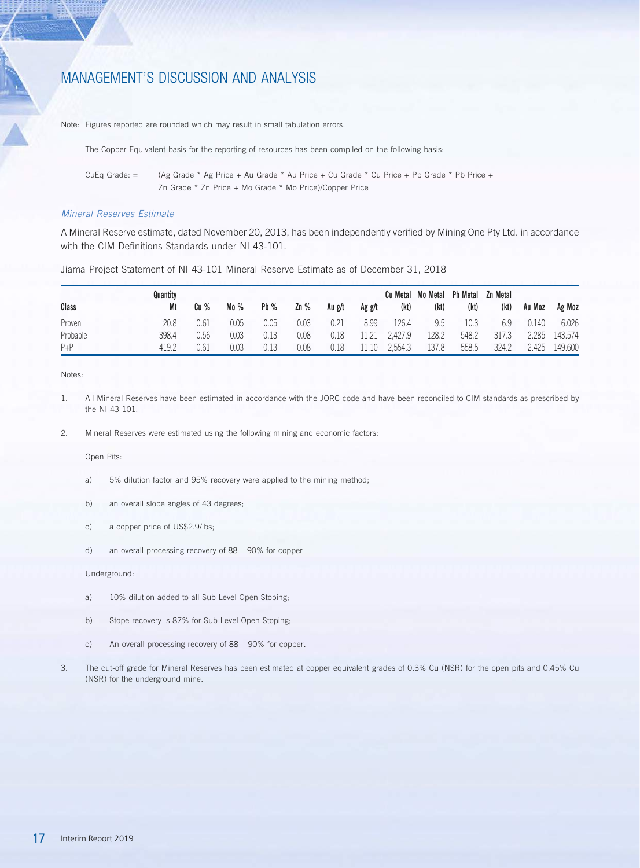Note: Figures reported are rounded which may result in small tabulation errors.

The Copper Equivalent basis for the reporting of resources has been compiled on the following basis:

CuEq Grade: = (Ag Grade \* Ag Price + Au Grade \* Au Price + Cu Grade \* Cu Price + Pb Grade \* Pb Price + Zn Grade \* Zn Price + Mo Grade \* Mo Price)/Copper Price

### *Mineral Reserves Estimate*

A Mineral Reserve estimate, dated November 20, 2013, has been independently verified by Mining One Pty Ltd. in accordance with the CIM Definitions Standards under NI 43-101.

Jiama Project Statement of NI 43-101 Mineral Reserve Estimate as of December 31, 2018

|          | Quantity |      |      |        |        |        |        |         | Cu Metal Mo Metal | <b>Pb Metal</b> | Zn Metal |        |         |
|----------|----------|------|------|--------|--------|--------|--------|---------|-------------------|-----------------|----------|--------|---------|
| Class    | Mt       | Cu % | Mo%  | $Pb\%$ | $Zn\%$ | Au g/t | Ag g/t | (kt)    | (kt)              | (kt)            | (kt)     | Au Moz | Ag Moz  |
| Proven   | 20.8     | 0.61 | 0.05 | 0.05   | 0.03   | 0.21   | 8.99   | .26.4   | 9.5               | 10.3            | 6.9      | 0.140  | 6.026   |
| Probable | 398.4    | 0.56 | 0.03 | 0.13   | 0.08   | 0.18   | 11.21  | 2.427.9 | 128.2             | 548.2           | 317.3    | 2.285  | 143.574 |
| $P + P$  | 419.2    | 0.6. | 0.03 | 0.13   | 0.08   | 0.18   | 11.10  | 2.554.3 | 137.8             | 558.5           | 324.2    | .425   | 149.600 |

Notes:

1. All Mineral Reserves have been estimated in accordance with the JORC code and have been reconciled to CIM standards as prescribed by the NI 43-101.

2. Mineral Reserves were estimated using the following mining and economic factors:

Open Pits:

- a) 5% dilution factor and 95% recovery were applied to the mining method;
- b) an overall slope angles of 43 degrees;
- c) a copper price of US\$2.9/lbs;
- d) an overall processing recovery of 88 90% for copper

Underground:

- a) 10% dilution added to all Sub-Level Open Stoping;
- b) Stope recovery is 87% for Sub-Level Open Stoping;
- c) An overall processing recovery of 88 90% for copper.
- 3. The cut-off grade for Mineral Reserves has been estimated at copper equivalent grades of 0.3% Cu (NSR) for the open pits and 0.45% Cu (NSR) for the underground mine.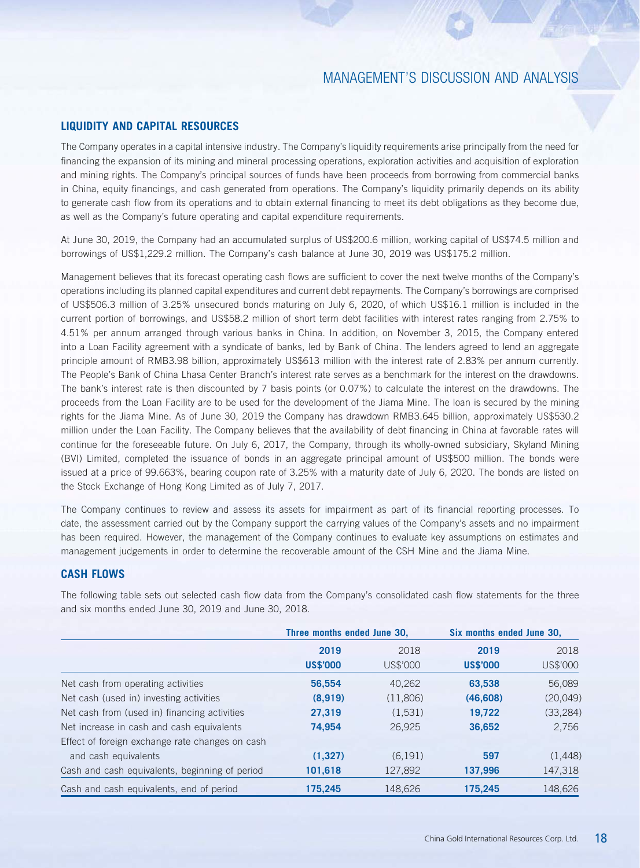## **LIQUIDITY AND CAPITAL RESOURCES**

The Company operates in a capital intensive industry. The Company's liquidity requirements arise principally from the need for financing the expansion of its mining and mineral processing operations, exploration activities and acquisition of exploration and mining rights. The Company's principal sources of funds have been proceeds from borrowing from commercial banks in China, equity financings, and cash generated from operations. The Company's liquidity primarily depends on its ability to generate cash flow from its operations and to obtain external financing to meet its debt obligations as they become due, as well as the Company's future operating and capital expenditure requirements.

At June 30, 2019, the Company had an accumulated surplus of US\$200.6 million, working capital of US\$74.5 million and borrowings of US\$1,229.2 million. The Company's cash balance at June 30, 2019 was US\$175.2 million.

Management believes that its forecast operating cash flows are sufficient to cover the next twelve months of the Company's operations including its planned capital expenditures and current debt repayments. The Company's borrowings are comprised of US\$506.3 million of 3.25% unsecured bonds maturing on July 6, 2020, of which US\$16.1 million is included in the current portion of borrowings, and US\$58.2 million of short term debt facilities with interest rates ranging from 2.75% to 4.51% per annum arranged through various banks in China. In addition, on November 3, 2015, the Company entered into a Loan Facility agreement with a syndicate of banks, led by Bank of China. The lenders agreed to lend an aggregate principle amount of RMB3.98 billion, approximately US\$613 million with the interest rate of 2.83% per annum currently. The People's Bank of China Lhasa Center Branch's interest rate serves as a benchmark for the interest on the drawdowns. The bank's interest rate is then discounted by 7 basis points (or 0.07%) to calculate the interest on the drawdowns. The proceeds from the Loan Facility are to be used for the development of the Jiama Mine. The loan is secured by the mining rights for the Jiama Mine. As of June 30, 2019 the Company has drawdown RMB3.645 billion, approximately US\$530.2 million under the Loan Facility. The Company believes that the availability of debt financing in China at favorable rates will continue for the foreseeable future. On July 6, 2017, the Company, through its wholly-owned subsidiary, Skyland Mining (BVI) Limited, completed the issuance of bonds in an aggregate principal amount of US\$500 million. The bonds were issued at a price of 99.663%, bearing coupon rate of 3.25% with a maturity date of July 6, 2020. The bonds are listed on the Stock Exchange of Hong Kong Limited as of July 7, 2017.

The Company continues to review and assess its assets for impairment as part of its financial reporting processes. To date, the assessment carried out by the Company support the carrying values of the Company's assets and no impairment has been required. However, the management of the Company continues to evaluate key assumptions on estimates and management judgements in order to determine the recoverable amount of the CSH Mine and the Jiama Mine.

### **CASH FLOWS**

|                                                 |                 | Three months ended June 30, |                 | Six months ended June 30, |  |
|-------------------------------------------------|-----------------|-----------------------------|-----------------|---------------------------|--|
|                                                 | 2019            | 2018                        |                 | 2018                      |  |
|                                                 | <b>US\$'000</b> | US\$'000                    | <b>US\$'000</b> | US\$'000                  |  |
| Net cash from operating activities              | 56.554          | 40.262                      | 63.538          | 56,089                    |  |
| Net cash (used in) investing activities         | (8,919)         | (11,806)                    | (46,608)        | (20, 049)                 |  |
| Net cash from (used in) financing activities    | 27,319          | (1,531)                     | 19,722          | (33, 284)                 |  |
| Net increase in cash and cash equivalents       | 74,954          | 26,925                      | 36,652          | 2,756                     |  |
| Effect of foreign exchange rate changes on cash |                 |                             |                 |                           |  |
| and cash equivalents                            | (1,327)         | (6, 191)                    | 597             | (1,448)                   |  |
| Cash and cash equivalents, beginning of period  | 101,618         | 127,892                     | 137,996         | 147,318                   |  |
| Cash and cash equivalents, end of period        | 175.245         | 148.626                     | 175.245         | 148,626                   |  |

The following table sets out selected cash flow data from the Company's consolidated cash flow statements for the three and six months ended June 30, 2019 and June 30, 2018.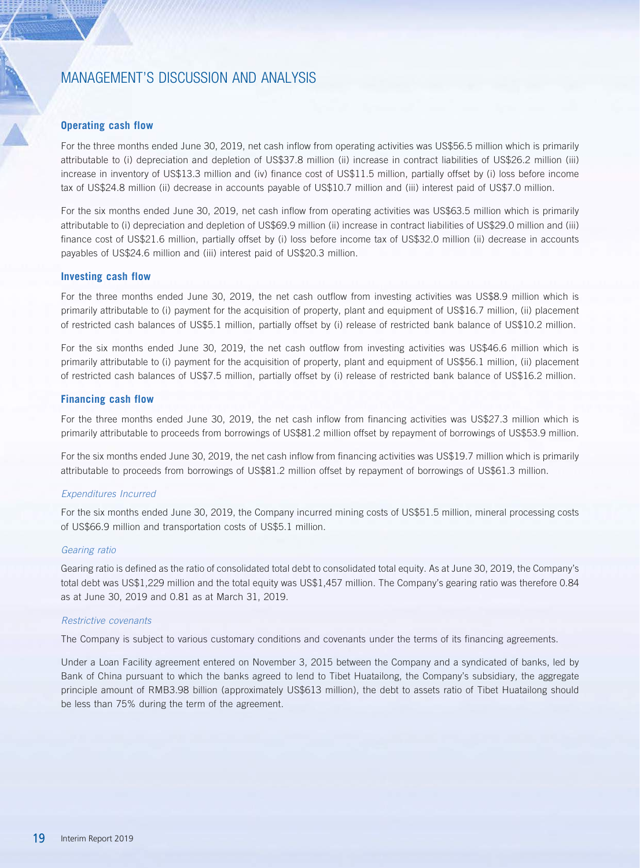### **Operating cash flow**

For the three months ended June 30, 2019, net cash inflow from operating activities was US\$56.5 million which is primarily attributable to (i) depreciation and depletion of US\$37.8 million (ii) increase in contract liabilities of US\$26.2 million (iii) increase in inventory of US\$13.3 million and (iv) finance cost of US\$11.5 million, partially offset by (i) loss before income tax of US\$24.8 million (ii) decrease in accounts payable of US\$10.7 million and (iii) interest paid of US\$7.0 million.

For the six months ended June 30, 2019, net cash inflow from operating activities was US\$63.5 million which is primarily attributable to (i) depreciation and depletion of US\$69.9 million (ii) increase in contract liabilities of US\$29.0 million and (iii) finance cost of US\$21.6 million, partially offset by (i) loss before income tax of US\$32.0 million (ii) decrease in accounts payables of US\$24.6 million and (iii) interest paid of US\$20.3 million.

### **Investing cash flow**

For the three months ended June 30, 2019, the net cash outflow from investing activities was US\$8.9 million which is primarily attributable to (i) payment for the acquisition of property, plant and equipment of US\$16.7 million, (ii) placement of restricted cash balances of US\$5.1 million, partially offset by (i) release of restricted bank balance of US\$10.2 million.

For the six months ended June 30, 2019, the net cash outflow from investing activities was US\$46.6 million which is primarily attributable to (i) payment for the acquisition of property, plant and equipment of US\$56.1 million, (ii) placement of restricted cash balances of US\$7.5 million, partially offset by (i) release of restricted bank balance of US\$16.2 million.

### **Financing cash flow**

For the three months ended June 30, 2019, the net cash inflow from financing activities was US\$27.3 million which is primarily attributable to proceeds from borrowings of US\$81.2 million offset by repayment of borrowings of US\$53.9 million.

For the six months ended June 30, 2019, the net cash inflow from financing activities was US\$19.7 million which is primarily attributable to proceeds from borrowings of US\$81.2 million offset by repayment of borrowings of US\$61.3 million.

### *Expenditures Incurred*

For the six months ended June 30, 2019, the Company incurred mining costs of US\$51.5 million, mineral processing costs of US\$66.9 million and transportation costs of US\$5.1 million.

### *Gearing ratio*

Gearing ratio is defined as the ratio of consolidated total debt to consolidated total equity. As at June 30, 2019, the Company's total debt was US\$1,229 million and the total equity was US\$1,457 million. The Company's gearing ratio was therefore 0.84 as at June 30, 2019 and 0.81 as at March 31, 2019.

### *Restrictive covenants*

The Company is subject to various customary conditions and covenants under the terms of its financing agreements.

Under a Loan Facility agreement entered on November 3, 2015 between the Company and a syndicated of banks, led by Bank of China pursuant to which the banks agreed to lend to Tibet Huatailong, the Company's subsidiary, the aggregate principle amount of RMB3.98 billion (approximately US\$613 million), the debt to assets ratio of Tibet Huatailong should be less than 75% during the term of the agreement.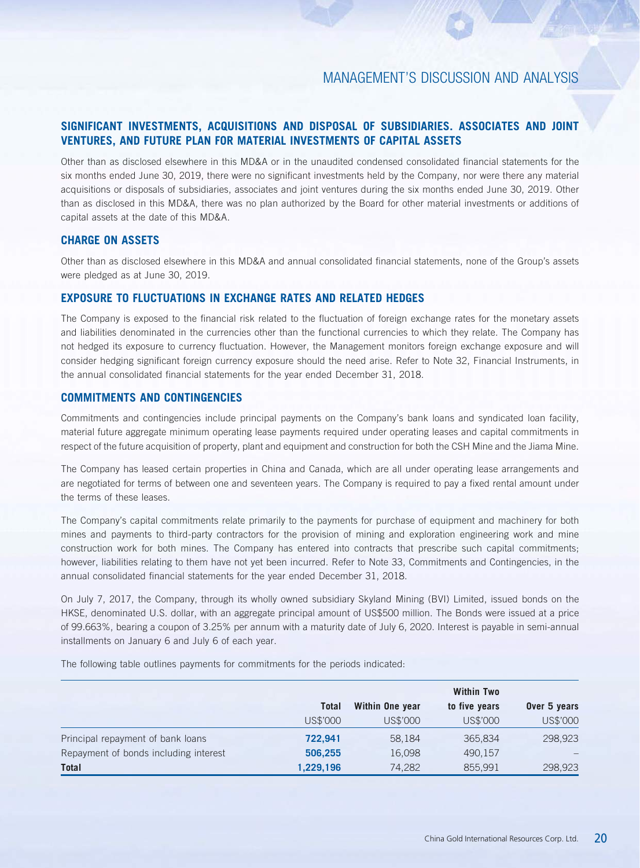## **SIGNIFICANT INVESTMENTS, ACQUISITIONS AND DISPOSAL OF SUBSIDIARIES. ASSOCIATES AND JOINT VENTURES, AND FUTURE PLAN FOR MATERIAL INVESTMENTS OF CAPITAL ASSETS**

Other than as disclosed elsewhere in this MD&A or in the unaudited condensed consolidated financial statements for the six months ended June 30, 2019, there were no significant investments held by the Company, nor were there any material acquisitions or disposals of subsidiaries, associates and joint ventures during the six months ended June 30, 2019. Other than as disclosed in this MD&A, there was no plan authorized by the Board for other material investments or additions of capital assets at the date of this MD&A.

## **CHARGE ON ASSETS**

Other than as disclosed elsewhere in this MD&A and annual consolidated financial statements, none of the Group's assets were pledged as at June 30, 2019.

### **EXPOSURE TO FLUCTUATIONS IN EXCHANGE RATES AND RELATED HEDGES**

The Company is exposed to the financial risk related to the fluctuation of foreign exchange rates for the monetary assets and liabilities denominated in the currencies other than the functional currencies to which they relate. The Company has not hedged its exposure to currency fluctuation. However, the Management monitors foreign exchange exposure and will consider hedging significant foreign currency exposure should the need arise. Refer to Note 32, Financial Instruments, in the annual consolidated financial statements for the year ended December 31, 2018.

## **COMMITMENTS AND CONTINGENCIES**

Commitments and contingencies include principal payments on the Company's bank loans and syndicated loan facility, material future aggregate minimum operating lease payments required under operating leases and capital commitments in respect of the future acquisition of property, plant and equipment and construction for both the CSH Mine and the Jiama Mine.

The Company has leased certain properties in China and Canada, which are all under operating lease arrangements and are negotiated for terms of between one and seventeen years. The Company is required to pay a fixed rental amount under the terms of these leases.

The Company's capital commitments relate primarily to the payments for purchase of equipment and machinery for both mines and payments to third-party contractors for the provision of mining and exploration engineering work and mine construction work for both mines. The Company has entered into contracts that prescribe such capital commitments; however, liabilities relating to them have not yet been incurred. Refer to Note 33, Commitments and Contingencies, in the annual consolidated financial statements for the year ended December 31, 2018.

On July 7, 2017, the Company, through its wholly owned subsidiary Skyland Mining (BVI) Limited, issued bonds on the HKSE, denominated U.S. dollar, with an aggregate principal amount of US\$500 million. The Bonds were issued at a price of 99.663%, bearing a coupon of 3.25% per annum with a maturity date of July 6, 2020. Interest is payable in semi-annual installments on January 6 and July 6 of each year.

The following table outlines payments for commitments for the periods indicated:

|                                       |              |                 | <b>Within Two</b> |              |
|---------------------------------------|--------------|-----------------|-------------------|--------------|
|                                       | <b>Total</b> | Within One year | to five years     | Over 5 years |
|                                       | US\$'000     | US\$'000        | US\$'000          | US\$'000     |
| Principal repayment of bank loans     | 722,941      | 58,184          | 365,834           | 298,923      |
| Repayment of bonds including interest | 506,255      | 16,098          | 490,157           |              |
| Total                                 | 1,229,196    | 74,282          | 855,991           | 298,923      |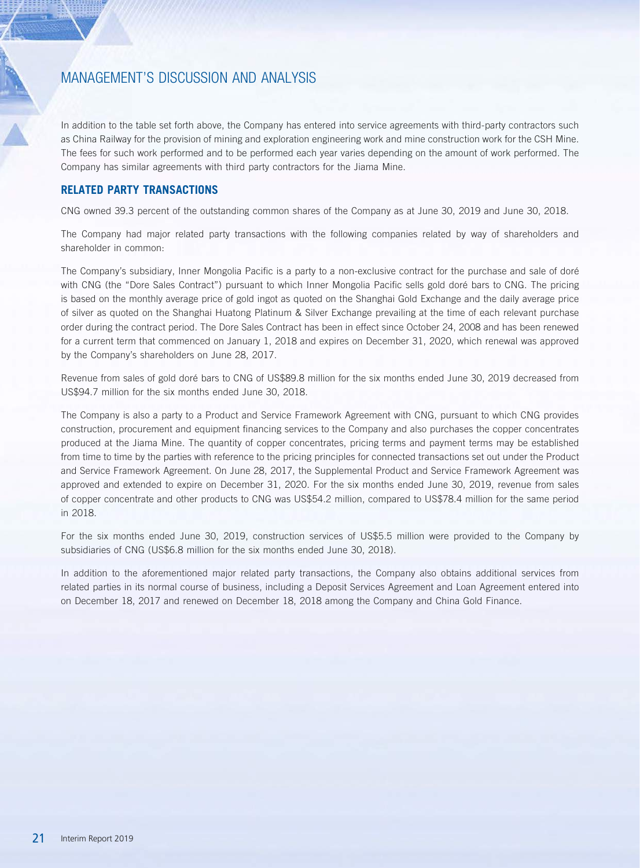In addition to the table set forth above, the Company has entered into service agreements with third-party contractors such as China Railway for the provision of mining and exploration engineering work and mine construction work for the CSH Mine. The fees for such work performed and to be performed each year varies depending on the amount of work performed. The Company has similar agreements with third party contractors for the Jiama Mine.

## **RELATED PARTY TRANSACTIONS**

CNG owned 39.3 percent of the outstanding common shares of the Company as at June 30, 2019 and June 30, 2018.

The Company had major related party transactions with the following companies related by way of shareholders and shareholder in common:

The Company's subsidiary, Inner Mongolia Pacific is a party to a non-exclusive contract for the purchase and sale of doré with CNG (the "Dore Sales Contract") pursuant to which Inner Mongolia Pacific sells gold doré bars to CNG. The pricing is based on the monthly average price of gold ingot as quoted on the Shanghai Gold Exchange and the daily average price of silver as quoted on the Shanghai Huatong Platinum & Silver Exchange prevailing at the time of each relevant purchase order during the contract period. The Dore Sales Contract has been in effect since October 24, 2008 and has been renewed for a current term that commenced on January 1, 2018 and expires on December 31, 2020, which renewal was approved by the Company's shareholders on June 28, 2017.

Revenue from sales of gold doré bars to CNG of US\$89.8 million for the six months ended June 30, 2019 decreased from US\$94.7 million for the six months ended June 30, 2018.

The Company is also a party to a Product and Service Framework Agreement with CNG, pursuant to which CNG provides construction, procurement and equipment financing services to the Company and also purchases the copper concentrates produced at the Jiama Mine. The quantity of copper concentrates, pricing terms and payment terms may be established from time to time by the parties with reference to the pricing principles for connected transactions set out under the Product and Service Framework Agreement. On June 28, 2017, the Supplemental Product and Service Framework Agreement was approved and extended to expire on December 31, 2020. For the six months ended June 30, 2019, revenue from sales of copper concentrate and other products to CNG was US\$54.2 million, compared to US\$78.4 million for the same period in 2018.

For the six months ended June 30, 2019, construction services of US\$5.5 million were provided to the Company by subsidiaries of CNG (US\$6.8 million for the six months ended June 30, 2018).

In addition to the aforementioned major related party transactions, the Company also obtains additional services from related parties in its normal course of business, including a Deposit Services Agreement and Loan Agreement entered into on December 18, 2017 and renewed on December 18, 2018 among the Company and China Gold Finance.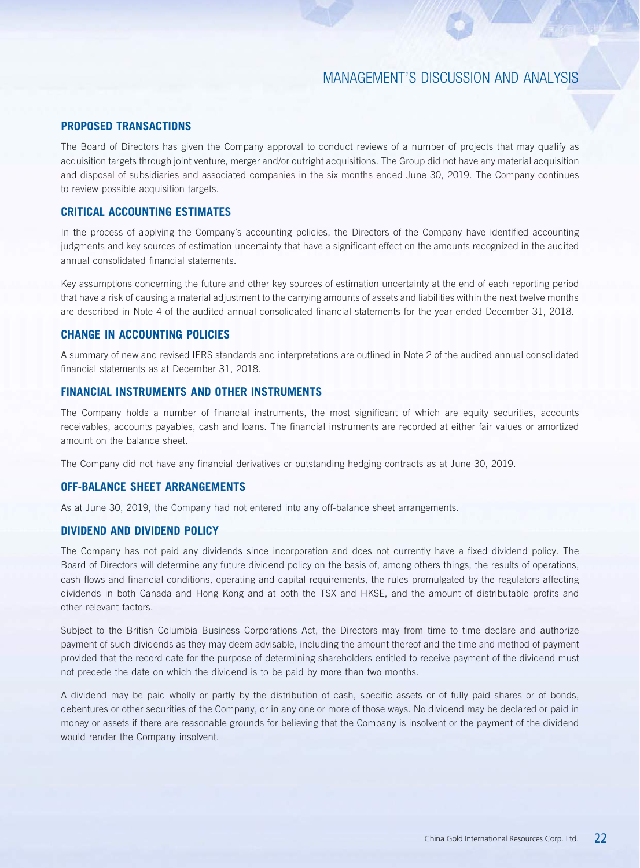### **PROPOSED TRANSACTIONS**

The Board of Directors has given the Company approval to conduct reviews of a number of projects that may qualify as acquisition targets through joint venture, merger and/or outright acquisitions. The Group did not have any material acquisition and disposal of subsidiaries and associated companies in the six months ended June 30, 2019. The Company continues to review possible acquisition targets.

## **CRITICAL ACCOUNTING ESTIMATES**

In the process of applying the Company's accounting policies, the Directors of the Company have identified accounting judgments and key sources of estimation uncertainty that have a significant effect on the amounts recognized in the audited annual consolidated financial statements.

Key assumptions concerning the future and other key sources of estimation uncertainty at the end of each reporting period that have a risk of causing a material adjustment to the carrying amounts of assets and liabilities within the next twelve months are described in Note 4 of the audited annual consolidated financial statements for the year ended December 31, 2018.

## **CHANGE IN ACCOUNTING POLICIES**

A summary of new and revised IFRS standards and interpretations are outlined in Note 2 of the audited annual consolidated financial statements as at December 31, 2018.

## **FINANCIAL INSTRUMENTS AND OTHER INSTRUMENTS**

The Company holds a number of financial instruments, the most significant of which are equity securities, accounts receivables, accounts payables, cash and loans. The financial instruments are recorded at either fair values or amortized amount on the balance sheet.

The Company did not have any financial derivatives or outstanding hedging contracts as at June 30, 2019.

### **OFF-BALANCE SHEET ARRANGEMENTS**

As at June 30, 2019, the Company had not entered into any off-balance sheet arrangements.

### **DIVIDEND AND DIVIDEND POLICY**

The Company has not paid any dividends since incorporation and does not currently have a fixed dividend policy. The Board of Directors will determine any future dividend policy on the basis of, among others things, the results of operations, cash flows and financial conditions, operating and capital requirements, the rules promulgated by the regulators affecting dividends in both Canada and Hong Kong and at both the TSX and HKSE, and the amount of distributable profits and other relevant factors.

Subject to the British Columbia Business Corporations Act, the Directors may from time to time declare and authorize payment of such dividends as they may deem advisable, including the amount thereof and the time and method of payment provided that the record date for the purpose of determining shareholders entitled to receive payment of the dividend must not precede the date on which the dividend is to be paid by more than two months.

A dividend may be paid wholly or partly by the distribution of cash, specific assets or of fully paid shares or of bonds, debentures or other securities of the Company, or in any one or more of those ways. No dividend may be declared or paid in money or assets if there are reasonable grounds for believing that the Company is insolvent or the payment of the dividend would render the Company insolvent.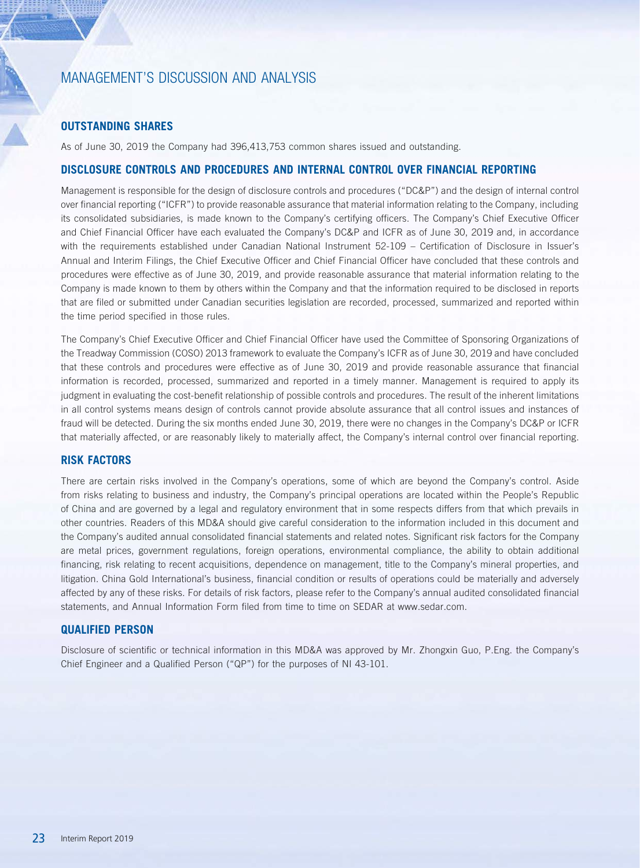## **OUTSTANDING SHARES**

As of June 30, 2019 the Company had 396,413,753 common shares issued and outstanding.

## **DISCLOSURE CONTROLS AND PROCEDURES AND INTERNAL CONTROL OVER FINANCIAL REPORTING**

Management is responsible for the design of disclosure controls and procedures ("DC&P") and the design of internal control over financial reporting ("ICFR") to provide reasonable assurance that material information relating to the Company, including its consolidated subsidiaries, is made known to the Company's certifying officers. The Company's Chief Executive Officer and Chief Financial Officer have each evaluated the Company's DC&P and ICFR as of June 30, 2019 and, in accordance with the requirements established under Canadian National Instrument 52-109 – Certification of Disclosure in Issuer's Annual and Interim Filings, the Chief Executive Officer and Chief Financial Officer have concluded that these controls and procedures were effective as of June 30, 2019, and provide reasonable assurance that material information relating to the Company is made known to them by others within the Company and that the information required to be disclosed in reports that are filed or submitted under Canadian securities legislation are recorded, processed, summarized and reported within the time period specified in those rules.

The Company's Chief Executive Officer and Chief Financial Officer have used the Committee of Sponsoring Organizations of the Treadway Commission (COSO) 2013 framework to evaluate the Company's ICFR as of June 30, 2019 and have concluded that these controls and procedures were effective as of June 30, 2019 and provide reasonable assurance that financial information is recorded, processed, summarized and reported in a timely manner. Management is required to apply its judgment in evaluating the cost-benefit relationship of possible controls and procedures. The result of the inherent limitations in all control systems means design of controls cannot provide absolute assurance that all control issues and instances of fraud will be detected. During the six months ended June 30, 2019, there were no changes in the Company's DC&P or ICFR that materially affected, or are reasonably likely to materially affect, the Company's internal control over financial reporting.

## **RISK FACTORS**

There are certain risks involved in the Company's operations, some of which are beyond the Company's control. Aside from risks relating to business and industry, the Company's principal operations are located within the People's Republic of China and are governed by a legal and regulatory environment that in some respects differs from that which prevails in other countries. Readers of this MD&A should give careful consideration to the information included in this document and the Company's audited annual consolidated financial statements and related notes. Significant risk factors for the Company are metal prices, government regulations, foreign operations, environmental compliance, the ability to obtain additional financing, risk relating to recent acquisitions, dependence on management, title to the Company's mineral properties, and litigation. China Gold International's business, financial condition or results of operations could be materially and adversely affected by any of these risks. For details of risk factors, please refer to the Company's annual audited consolidated financial statements, and Annual Information Form filed from time to time on SEDAR at www.sedar.com.

### **QUALIFIED PERSON**

Disclosure of scientific or technical information in this MD&A was approved by Mr. Zhongxin Guo, P.Eng. the Company's Chief Engineer and a Qualified Person ("QP") for the purposes of NI 43-101.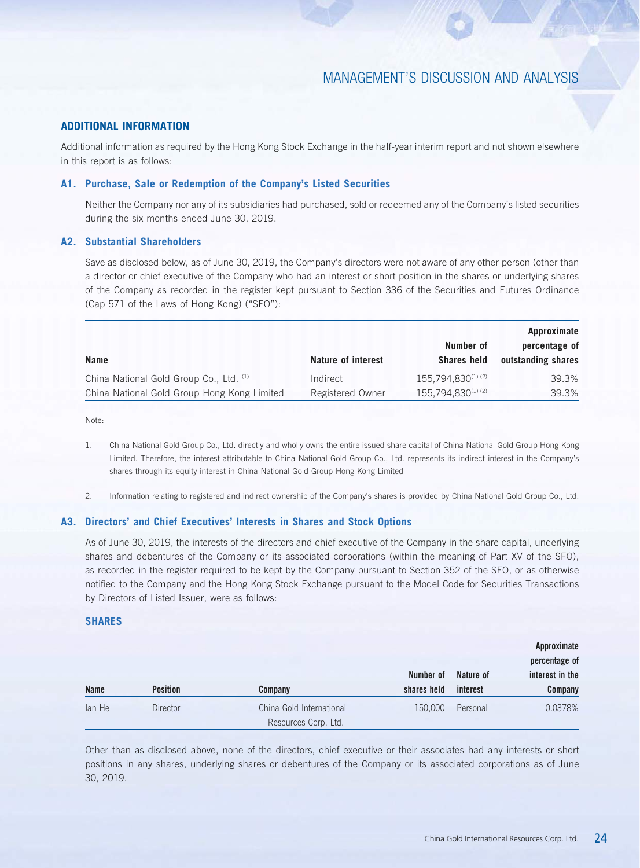## **ADDITIONAL INFORMATION**

Additional information as required by the Hong Kong Stock Exchange in the half-year interim report and not shown elsewhere in this report is as follows:

### **A1. Purchase, Sale or Redemption of the Company's Listed Securities**

Neither the Company nor any of its subsidiaries had purchased, sold or redeemed any of the Company's listed securities during the six months ended June 30, 2019.

## **A2. Substantial Shareholders**

Save as disclosed below, as of June 30, 2019, the Company's directors were not aware of any other person (other than a director or chief executive of the Company who had an interest or short position in the shares or underlying shares of the Company as recorded in the register kept pursuant to Section 336 of the Securities and Futures Ordinance (Cap 571 of the Laws of Hong Kong) ("SFO"):

|                                             |                    |                    | Approximate        |  |
|---------------------------------------------|--------------------|--------------------|--------------------|--|
|                                             |                    | Number of          | percentage of      |  |
| Name                                        | Nature of interest | <b>Shares held</b> | outstanding shares |  |
| China National Gold Group Co., Ltd. (1)     | Indirect           | 155,794,830(1)(2)  | 39.3%              |  |
| China National Gold Group Hong Kong Limited | Registered Owner   | 155.794.830(1)(2)  | 39.3%              |  |

Note:

- 1. China National Gold Group Co., Ltd. directly and wholly owns the entire issued share capital of China National Gold Group Hong Kong Limited. Therefore, the interest attributable to China National Gold Group Co., Ltd. represents its indirect interest in the Company's shares through its equity interest in China National Gold Group Hong Kong Limited
- 2. Information relating to registered and indirect ownership of the Company's shares is provided by China National Gold Group Co., Ltd.

### **A3. Directors' and Chief Executives' Interests in Shares and Stock Options**

As of June 30, 2019, the interests of the directors and chief executive of the Company in the share capital, underlying shares and debentures of the Company or its associated corporations (within the meaning of Part XV of the SFO), as recorded in the register required to be kept by the Company pursuant to Section 352 of the SFO, or as otherwise notified to the Company and the Hong Kong Stock Exchange pursuant to the Model Code for Securities Transactions by Directors of Listed Issuer, were as follows:

### **SHARES**

|             |                 |                          |             |           | Approximate<br>percentage of |
|-------------|-----------------|--------------------------|-------------|-----------|------------------------------|
|             |                 |                          | Number of   | Nature of | interest in the              |
| <b>Name</b> | <b>Position</b> | Company                  | shares held | interest  | <b>Company</b>               |
| lan He      | <b>Director</b> | China Gold International | 150,000     | Personal  | 0.0378%                      |
|             |                 | Resources Corp. Ltd.     |             |           |                              |

Other than as disclosed above, none of the directors, chief executive or their associates had any interests or short positions in any shares, underlying shares or debentures of the Company or its associated corporations as of June 30, 2019.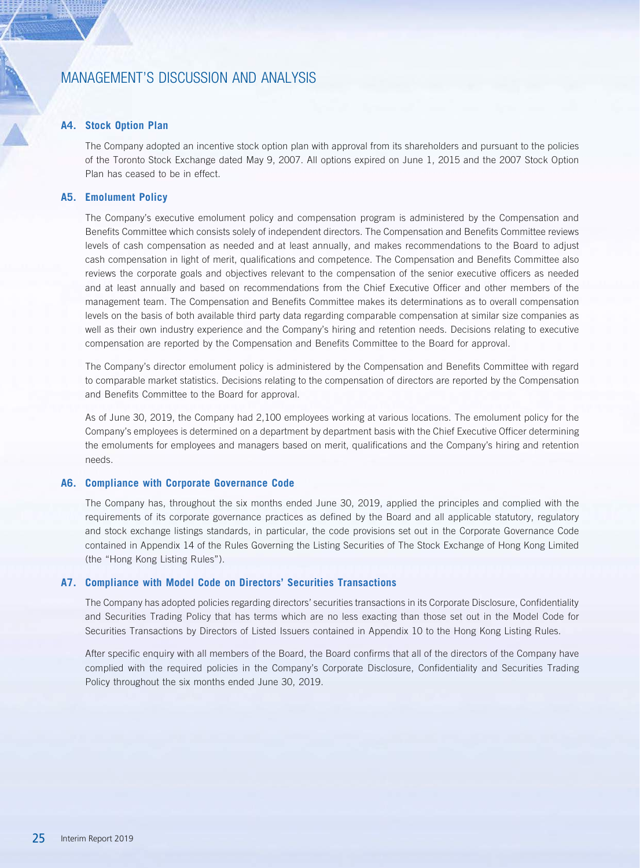### **A4. Stock Option Plan**

The Company adopted an incentive stock option plan with approval from its shareholders and pursuant to the policies of the Toronto Stock Exchange dated May 9, 2007. All options expired on June 1, 2015 and the 2007 Stock Option Plan has ceased to be in effect.

### **A5. Emolument Policy**

The Company's executive emolument policy and compensation program is administered by the Compensation and Benefits Committee which consists solely of independent directors. The Compensation and Benefits Committee reviews levels of cash compensation as needed and at least annually, and makes recommendations to the Board to adjust cash compensation in light of merit, qualifications and competence. The Compensation and Benefits Committee also reviews the corporate goals and objectives relevant to the compensation of the senior executive officers as needed and at least annually and based on recommendations from the Chief Executive Officer and other members of the management team. The Compensation and Benefits Committee makes its determinations as to overall compensation levels on the basis of both available third party data regarding comparable compensation at similar size companies as well as their own industry experience and the Company's hiring and retention needs. Decisions relating to executive compensation are reported by the Compensation and Benefits Committee to the Board for approval.

The Company's director emolument policy is administered by the Compensation and Benefits Committee with regard to comparable market statistics. Decisions relating to the compensation of directors are reported by the Compensation and Benefits Committee to the Board for approval.

As of June 30, 2019, the Company had 2,100 employees working at various locations. The emolument policy for the Company's employees is determined on a department by department basis with the Chief Executive Officer determining the emoluments for employees and managers based on merit, qualifications and the Company's hiring and retention needs.

### **A6. Compliance with Corporate Governance Code**

The Company has, throughout the six months ended June 30, 2019, applied the principles and complied with the requirements of its corporate governance practices as defined by the Board and all applicable statutory, regulatory and stock exchange listings standards, in particular, the code provisions set out in the Corporate Governance Code contained in Appendix 14 of the Rules Governing the Listing Securities of The Stock Exchange of Hong Kong Limited (the "Hong Kong Listing Rules").

### **A7. Compliance with Model Code on Directors' Securities Transactions**

The Company has adopted policies regarding directors' securities transactions in its Corporate Disclosure, Confidentiality and Securities Trading Policy that has terms which are no less exacting than those set out in the Model Code for Securities Transactions by Directors of Listed Issuers contained in Appendix 10 to the Hong Kong Listing Rules.

After specific enquiry with all members of the Board, the Board confirms that all of the directors of the Company have complied with the required policies in the Company's Corporate Disclosure, Confidentiality and Securities Trading Policy throughout the six months ended June 30, 2019.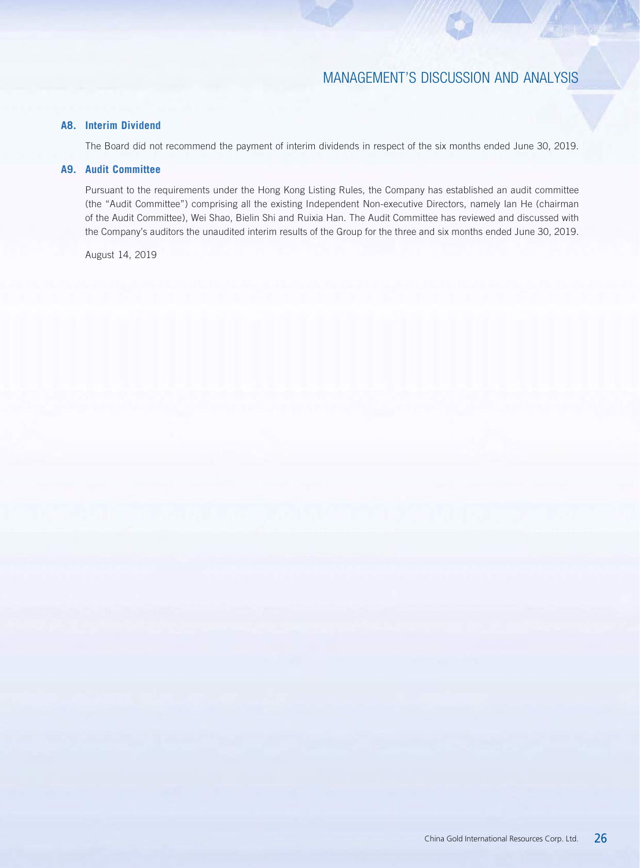## **A8. Interim Dividend**

The Board did not recommend the payment of interim dividends in respect of the six months ended June 30, 2019.

### **A9. Audit Committee**

Pursuant to the requirements under the Hong Kong Listing Rules, the Company has established an audit committee (the "Audit Committee") comprising all the existing Independent Non-executive Directors, namely Ian He (chairman of the Audit Committee), Wei Shao, Bielin Shi and Ruixia Han. The Audit Committee has reviewed and discussed with the Company's auditors the unaudited interim results of the Group for the three and six months ended June 30, 2019.

August 14, 2019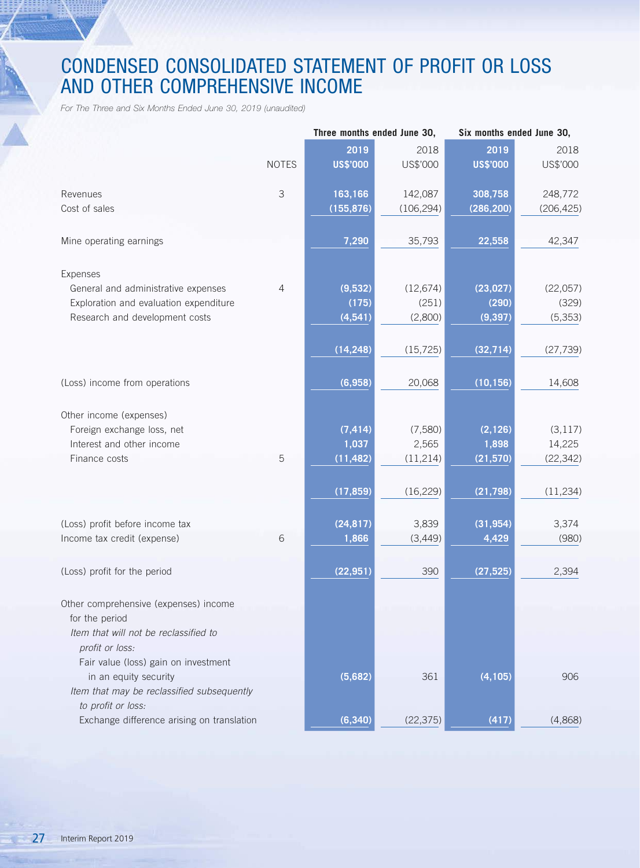# CONDENSED CONSOLIDATED STATEMENT OF PROFIT OR LOSS AND OTHER COMPREHENSIVE INCOME

*For The Three and Six Months Ended June 30, 2019 (unaudited)*

|                                            | Three months ended June 30, |                 |            | Six months ended June 30, |            |  |  |
|--------------------------------------------|-----------------------------|-----------------|------------|---------------------------|------------|--|--|
|                                            |                             | 2019            | 2018       | 2019                      | 2018       |  |  |
|                                            | <b>NOTES</b>                | <b>US\$'000</b> | US\$'000   | <b>US\$'000</b>           | US\$'000   |  |  |
|                                            |                             |                 |            |                           |            |  |  |
| Revenues                                   | $\mathcal{S}$               | 163,166         | 142,087    | 308,758                   | 248,772    |  |  |
| Cost of sales                              |                             | (155, 876)      | (106, 294) | (286, 200)                | (206, 425) |  |  |
|                                            |                             |                 |            |                           |            |  |  |
| Mine operating earnings                    |                             | 7,290           | 35,793     | 22,558                    | 42,347     |  |  |
|                                            |                             |                 |            |                           |            |  |  |
| Expenses                                   |                             |                 |            |                           |            |  |  |
| General and administrative expenses        | 4                           | (9,532)         | (12, 674)  | (23, 027)                 | (22,057)   |  |  |
| Exploration and evaluation expenditure     |                             | (175)           | (251)      | (290)                     | (329)      |  |  |
| Research and development costs             |                             | (4, 541)        | (2,800)    | (9, 397)                  | (5, 353)   |  |  |
|                                            |                             |                 |            |                           |            |  |  |
|                                            |                             | (14, 248)       | (15, 725)  | (32, 714)                 | (27, 739)  |  |  |
|                                            |                             |                 |            |                           |            |  |  |
| (Loss) income from operations              |                             | (6,958)         | 20,068     | (10, 156)                 | 14,608     |  |  |
|                                            |                             |                 |            |                           |            |  |  |
| Other income (expenses)                    |                             |                 |            |                           |            |  |  |
| Foreign exchange loss, net                 |                             | (7, 414)        | (7,580)    | (2, 126)                  | (3, 117)   |  |  |
| Interest and other income                  |                             | 1,037           | 2,565      | 1,898                     | 14,225     |  |  |
| Finance costs                              | 5                           | (11, 482)       | (11, 214)  | (21, 570)                 | (22, 342)  |  |  |
|                                            |                             |                 |            |                           |            |  |  |
|                                            |                             | (17, 859)       | (16, 229)  | (21, 798)                 | (11, 234)  |  |  |
|                                            |                             |                 |            |                           |            |  |  |
| (Loss) profit before income tax            |                             | (24, 817)       | 3,839      | (31, 954)                 | 3,374      |  |  |
| Income tax credit (expense)                | 6                           | 1,866           | (3, 449)   | 4,429                     | (980)      |  |  |
|                                            |                             |                 |            |                           |            |  |  |
| (Loss) profit for the period               |                             | (22, 951)       | 390        | (27, 525)                 | 2,394      |  |  |
|                                            |                             |                 |            |                           |            |  |  |
| Other comprehensive (expenses) income      |                             |                 |            |                           |            |  |  |
| for the period                             |                             |                 |            |                           |            |  |  |
| Item that will not be reclassified to      |                             |                 |            |                           |            |  |  |
| profit or loss:                            |                             |                 |            |                           |            |  |  |
| Fair value (loss) gain on investment       |                             |                 |            |                           |            |  |  |
| in an equity security                      |                             | (5,682)         | 361        | (4, 105)                  | 906        |  |  |
| Item that may be reclassified subsequently |                             |                 |            |                           |            |  |  |
| to profit or loss:                         |                             |                 |            |                           |            |  |  |
| Exchange difference arising on translation |                             | (6, 340)        | (22, 375)  | (417)                     | (4,868)    |  |  |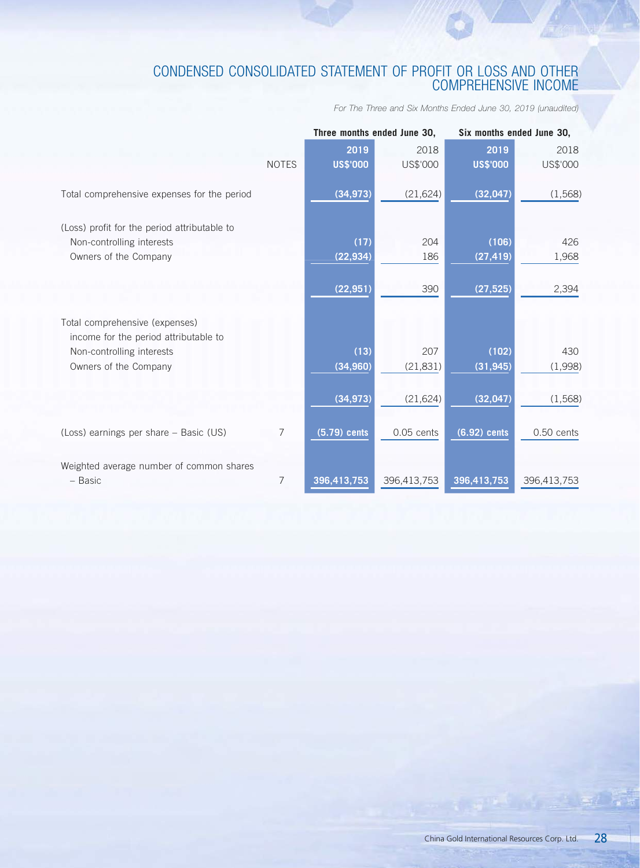# CONDENSED CONSOLIDATED STATEMENT OF PROFIT OR LOSS AND OTHER COMPREHENSIVE INCOME

*For The Three and Six Months Ended June 30, 2019 (unaudited)*

|                                                                                                    |              | Three months ended June 30, |              |                    | Six months ended June 30, |  |  |
|----------------------------------------------------------------------------------------------------|--------------|-----------------------------|--------------|--------------------|---------------------------|--|--|
|                                                                                                    |              | 2019                        | 2018         | 2019               | 2018                      |  |  |
|                                                                                                    | <b>NOTES</b> | <b>US\$'000</b>             | US\$'000     | <b>US\$'000</b>    | US\$'000                  |  |  |
| Total comprehensive expenses for the period                                                        |              | (34, 973)                   | (21, 624)    | (32, 047)          | (1,568)                   |  |  |
| (Loss) profit for the period attributable to<br>Non-controlling interests<br>Owners of the Company |              | (17)<br>(22, 934)           | 204<br>186   | (106)<br>(27, 419) | 426<br>1,968              |  |  |
|                                                                                                    |              | (22, 951)                   | 390          | (27, 525)          | 2,394                     |  |  |
| Total comprehensive (expenses)<br>income for the period attributable to                            |              |                             |              |                    |                           |  |  |
| Non-controlling interests                                                                          |              | (13)                        | 207          | (102)              | 430                       |  |  |
| Owners of the Company                                                                              |              | (34, 960)                   | (21, 831)    | (31, 945)          | (1,998)                   |  |  |
|                                                                                                    |              | (34, 973)                   | (21, 624)    | (32, 047)          | (1,568)                   |  |  |
| (Loss) earnings per share - Basic (US)                                                             | 7            | $(5.79)$ cents              | $0.05$ cents | $(6.92)$ cents     | 0.50 cents                |  |  |
| Weighted average number of common shares<br>- Basic                                                | 7            | 396,413,753                 | 396,413,753  | 396,413,753        | 396,413,753               |  |  |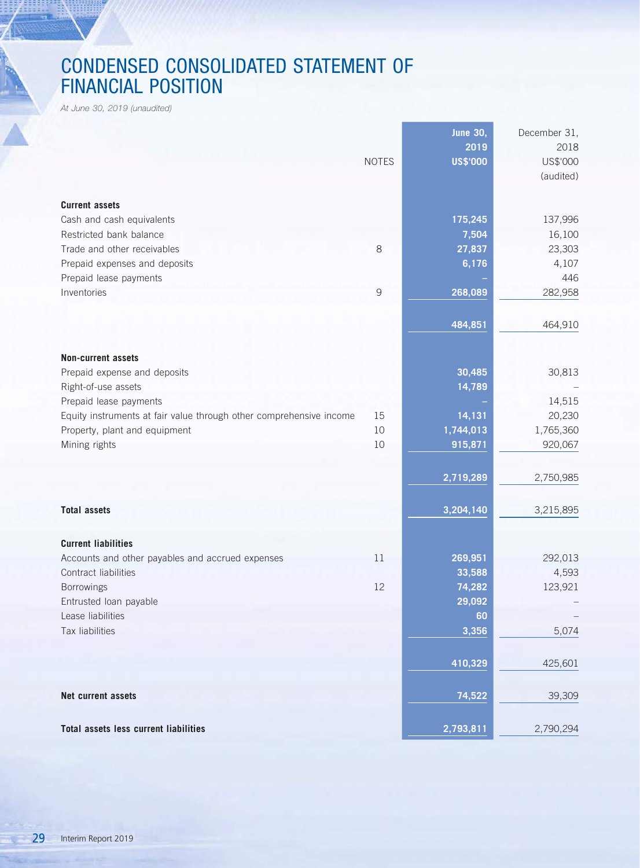# CONDENSED CONSOLIDATED STATEMENT OF FINANCIAL POSITION

*At June 30, 2019 (unaudited)*

|                                                                          |              | <b>June 30,</b><br>2019 | December 31,<br>2018 |
|--------------------------------------------------------------------------|--------------|-------------------------|----------------------|
|                                                                          | <b>NOTES</b> | <b>US\$'000</b>         | US\$'000             |
|                                                                          |              |                         | (audited)            |
| <b>Current assets</b>                                                    |              |                         |                      |
| Cash and cash equivalents                                                |              | 175,245                 | 137,996              |
| Restricted bank balance                                                  |              | 7,504                   | 16,100               |
| Trade and other receivables                                              | 8            | 27,837                  | 23,303               |
| Prepaid expenses and deposits                                            |              | 6,176                   | 4,107                |
| Prepaid lease payments                                                   |              |                         | 446                  |
| Inventories                                                              | 9            | 268,089                 | 282,958              |
|                                                                          |              |                         |                      |
|                                                                          |              | 484,851                 | 464,910              |
| <b>Non-current assets</b>                                                |              |                         |                      |
| Prepaid expense and deposits                                             |              | 30,485                  | 30,813               |
| Right-of-use assets                                                      |              | 14,789                  |                      |
| Prepaid lease payments                                                   |              |                         | 14,515               |
| Equity instruments at fair value through other comprehensive income      | 15           | 14,131                  | 20,230               |
| Property, plant and equipment                                            | 10           | 1,744,013               | 1,765,360            |
| Mining rights                                                            | 10           | 915,871                 | 920,067              |
|                                                                          |              |                         |                      |
|                                                                          |              | 2,719,289               | 2,750,985            |
| <b>Total assets</b>                                                      |              | 3,204,140               | 3,215,895            |
|                                                                          |              |                         |                      |
| <b>Current liabilities</b>                                               |              |                         |                      |
| Accounts and other payables and accrued expenses<br>Contract liabilities | 11           | 269,951                 | 292,013              |
| Borrowings                                                               | 12           | 33,588<br>74,282        | 4,593<br>123,921     |
| Entrusted loan payable                                                   |              | 29,092                  |                      |
| Lease liabilities                                                        |              | 60                      |                      |
| Tax liabilities                                                          |              | 3,356                   | 5,074                |
|                                                                          |              |                         |                      |
|                                                                          |              | 410,329                 | 425,601              |
| Net current assets                                                       |              | 74,522                  | 39,309               |
| <b>Total assets less current liabilities</b>                             |              | 2,793,811               | 2,790,294            |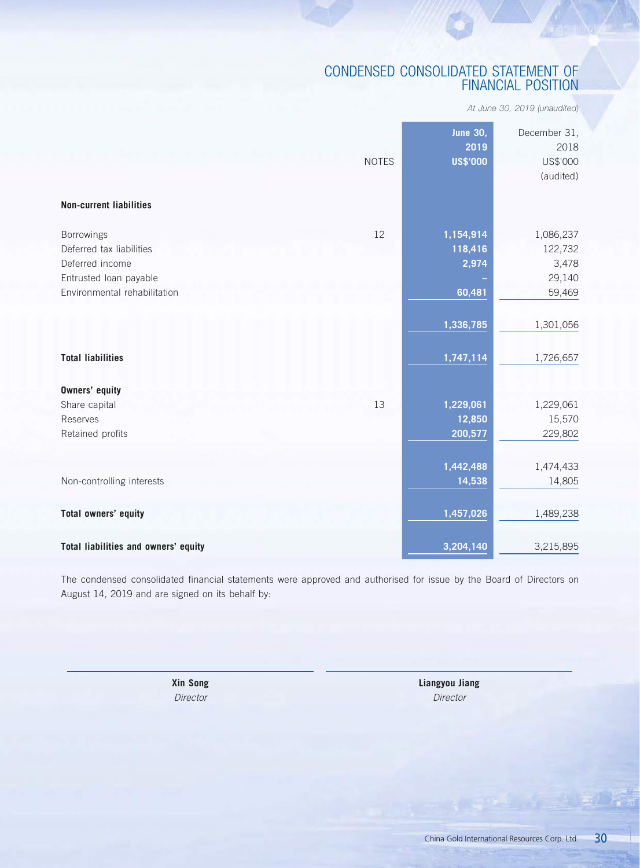# CONDENSED CONSOLIDATED STATEMENT OF FINANCIAL POSITION

*At June 30, 2019 (unaudited)*

| <b>Non-current liabilities</b>       | <b>NOTES</b> | <b>June 30,</b><br>2019<br><b>US\$'000</b> | December 31,<br>2018<br>US\$'000<br>(audited) |
|--------------------------------------|--------------|--------------------------------------------|-----------------------------------------------|
| Borrowings                           | 12           | 1,154,914                                  | 1,086,237                                     |
| Deferred tax liabilities             |              | 118,416                                    | 122,732                                       |
| Deferred income                      |              | 2,974                                      | 3,478                                         |
| Entrusted loan payable               |              |                                            | 29,140                                        |
| Environmental rehabilitation         |              | 60,481                                     | 59,469                                        |
| <b>Total liabilities</b>             |              | 1,336,785<br>1,747,114                     | 1,301,056<br>1,726,657                        |
| <b>Owners' equity</b>                |              |                                            |                                               |
| Share capital                        | 13           | 1,229,061                                  | 1,229,061                                     |
| Reserves                             |              | 12,850                                     | 15,570                                        |
| Retained profits                     |              | 200,577                                    | 229,802                                       |
|                                      |              | 1,442,488                                  | 1,474,433                                     |
| Non-controlling interests            |              | 14,538                                     | 14,805                                        |
| Total owners' equity                 |              | 1,457,026                                  | 1,489,238                                     |
| Total liabilities and owners' equity |              | 3,204,140                                  | 3,215,895                                     |

The condensed consolidated financial statements were approved and authorised for issue by the Board of Directors on August 14, 2019 and are signed on its behalf by:

**Xin Song Liangyou Jiang** *Director Director*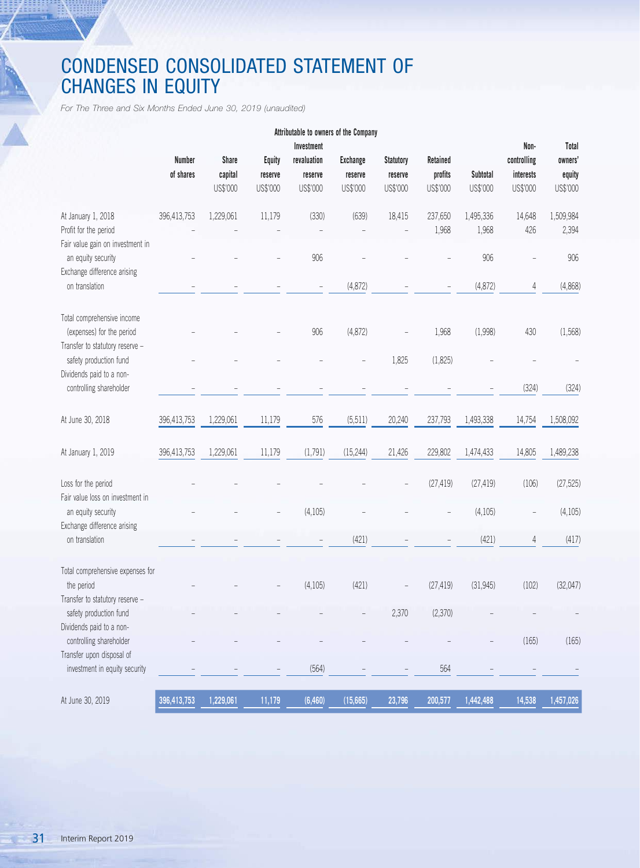# CONDENSED CONSOLIDATED STATEMENT OF CHANGES IN EQUITY

*For The Three and Six Months Ended June 30, 2019 (unaudited)*

1111 =<br>1111 =

|                                                                                            |                            |                                     |                                      | Attributable to owners of the Company            |                                        |                                         |                                 |                      |                                              |                                        |
|--------------------------------------------------------------------------------------------|----------------------------|-------------------------------------|--------------------------------------|--------------------------------------------------|----------------------------------------|-----------------------------------------|---------------------------------|----------------------|----------------------------------------------|----------------------------------------|
|                                                                                            | <b>Number</b><br>of shares | <b>Share</b><br>capital<br>US\$'000 | <b>Equity</b><br>reserve<br>US\$'000 | Investment<br>revaluation<br>reserve<br>US\$'000 | <b>Exchange</b><br>reserve<br>US\$'000 | <b>Statutory</b><br>reserve<br>US\$'000 | Retained<br>profits<br>US\$'000 | Subtotal<br>US\$'000 | Non-<br>controlling<br>interests<br>US\$'000 | Total<br>owners'<br>equity<br>US\$'000 |
| At January 1, 2018<br>Profit for the period                                                | 396,413,753                | 1,229,061                           | 11,179                               | (330)                                            | (639)                                  | 18,415                                  | 237,650<br>1,968                | 1,495,336<br>1,968   | 14,648<br>426                                | 1,509,984<br>2,394                     |
| Fair value gain on investment in<br>an equity security<br>Exchange difference arising      |                            |                                     |                                      | 906                                              |                                        |                                         |                                 | 906                  |                                              | 906                                    |
| on translation                                                                             |                            |                                     |                                      |                                                  | (4,872)                                |                                         |                                 | (4, 872)             | 4                                            | (4,868)                                |
| Total comprehensive income<br>(expenses) for the period<br>Transfer to statutory reserve - |                            |                                     |                                      | 906                                              | (4,872)                                |                                         | 1,968                           | (1,998)              | 430                                          | (1,568)                                |
| safety production fund<br>Dividends paid to a non-                                         |                            |                                     |                                      |                                                  |                                        | 1,825                                   | (1,825)                         |                      |                                              |                                        |
| controlling shareholder                                                                    |                            |                                     |                                      |                                                  |                                        |                                         |                                 |                      | (324)                                        | (324)                                  |
| At June 30, 2018                                                                           | 396,413,753                | 1,229,061                           | 11,179                               | 576                                              | (5, 511)                               | 20,240                                  | 237,793                         | 1,493,338            | 14,754                                       | 1,508,092                              |
| At January 1, 2019                                                                         | 396,413,753                | 1,229,061                           | 11,179                               | (1,791)                                          | (15, 244)                              | 21,426                                  | 229,802                         | 1,474,433            | 14,805                                       | 1,489,238                              |
| Loss for the period<br>Fair value loss on investment in                                    |                            |                                     |                                      |                                                  |                                        |                                         | (27, 419)                       | (27, 419)            | (106)                                        | (27, 525)                              |
| an equity security<br>Exchange difference arising                                          |                            |                                     |                                      | (4, 105)                                         |                                        |                                         |                                 | (4, 105)             | $\overline{\phantom{0}}$                     | (4,105)                                |
| on translation                                                                             |                            |                                     |                                      |                                                  | (421)                                  |                                         |                                 | (421)                | 4                                            | (417)                                  |
| Total comprehensive expenses for<br>the period<br>Transfer to statutory reserve -          |                            |                                     |                                      | (4, 105)                                         | (421)                                  |                                         | (27, 419)                       | (31, 945)            | (102)                                        | (32,047)                               |
| safety production fund<br>Dividends paid to a non-                                         |                            |                                     |                                      |                                                  |                                        | 2,370                                   | (2,370)                         |                      |                                              | $\overline{\phantom{a}}$               |
| controlling shareholder                                                                    |                            |                                     |                                      |                                                  |                                        |                                         |                                 |                      | (165)                                        | (165)                                  |
| Transfer upon disposal of<br>investment in equity security                                 |                            |                                     |                                      | (564)                                            |                                        |                                         | 564                             |                      |                                              |                                        |
| At June 30, 2019                                                                           | 396,413,753                | 1,229,061                           | 11,179                               | (6, 460)                                         | (15,665)                               | 23,796                                  | 200,577                         | 1,442,488            | 14,538                                       | 1,457,026                              |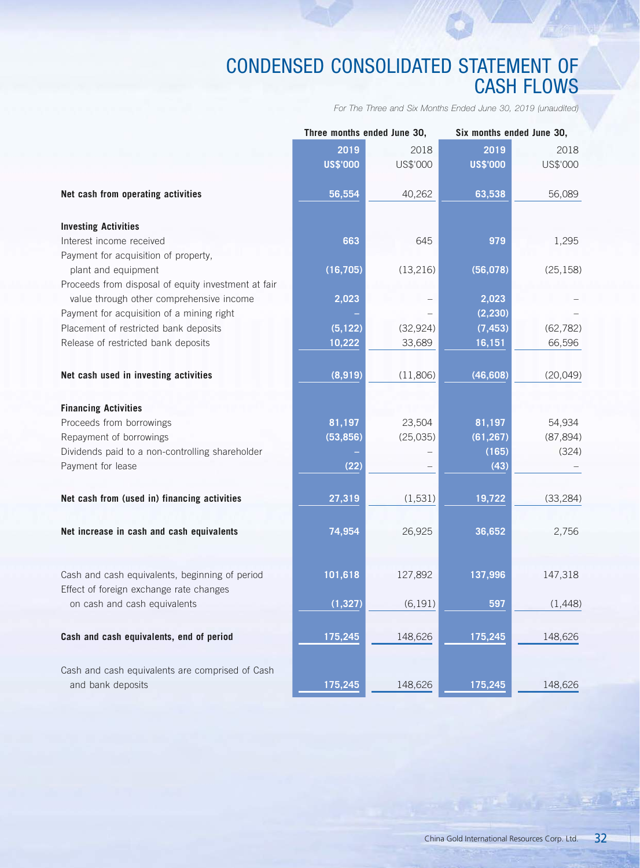# CONDENSED CONSOLIDATED STATEMENT OF CASH FLOWS

*For The Three and Six Months Ended June 30, 2019 (unaudited)*

|                                                                                           | Three months ended June 30, |           |                 | Six months ended June 30, |  |
|-------------------------------------------------------------------------------------------|-----------------------------|-----------|-----------------|---------------------------|--|
|                                                                                           | 2019                        | 2018      | 2019            | 2018                      |  |
|                                                                                           | <b>US\$'000</b>             | US\$'000  | <b>US\$'000</b> | US\$'000                  |  |
| Net cash from operating activities                                                        | 56,554                      | 40,262    | 63,538          | 56,089                    |  |
| <b>Investing Activities</b>                                                               |                             |           |                 |                           |  |
| Interest income received                                                                  | 663                         | 645       | 979             | 1,295                     |  |
| Payment for acquisition of property,                                                      |                             |           |                 |                           |  |
| plant and equipment                                                                       | (16, 705)                   | (13, 216) | (56, 078)       | (25, 158)                 |  |
| Proceeds from disposal of equity investment at fair                                       |                             |           |                 |                           |  |
| value through other comprehensive income                                                  | 2,023                       |           | 2,023           |                           |  |
| Payment for acquisition of a mining right                                                 |                             |           | (2, 230)        |                           |  |
| Placement of restricted bank deposits                                                     | (5, 122)                    | (32, 924) | (7, 453)        | (62, 782)                 |  |
| Release of restricted bank deposits                                                       | 10,222                      | 33,689    | 16,151          | 66,596                    |  |
| Net cash used in investing activities                                                     | (8,919)                     | (11,806)  | (46, 608)       | (20, 049)                 |  |
|                                                                                           |                             |           |                 |                           |  |
| <b>Financing Activities</b>                                                               |                             |           |                 |                           |  |
| Proceeds from borrowings                                                                  | 81,197                      | 23,504    | 81,197          | 54,934                    |  |
| Repayment of borrowings                                                                   | (53, 856)                   | (25, 035) | (61, 267)       | (87, 894)                 |  |
| Dividends paid to a non-controlling shareholder                                           |                             |           | (165)           | (324)                     |  |
| Payment for lease                                                                         | (22)                        |           | (43)            |                           |  |
| Net cash from (used in) financing activities                                              | 27,319                      | (1, 531)  | 19,722          | (33, 284)                 |  |
|                                                                                           |                             |           |                 |                           |  |
| Net increase in cash and cash equivalents                                                 | 74,954                      | 26,925    | 36,652          | 2,756                     |  |
| Cash and cash equivalents, beginning of period<br>Effect of foreign exchange rate changes | 101,618                     | 127,892   | 137,996         | 147,318                   |  |
| on cash and cash equivalents                                                              | (1, 327)                    | (6, 191)  | 597             | (1, 448)                  |  |
| Cash and cash equivalents, end of period                                                  | 175,245                     | 148,626   | 175,245         | 148,626                   |  |
| Cash and cash equivalents are comprised of Cash<br>and bank deposits                      | 175,245                     | 148,626   | 175,245         | 148,626                   |  |
|                                                                                           |                             |           |                 |                           |  |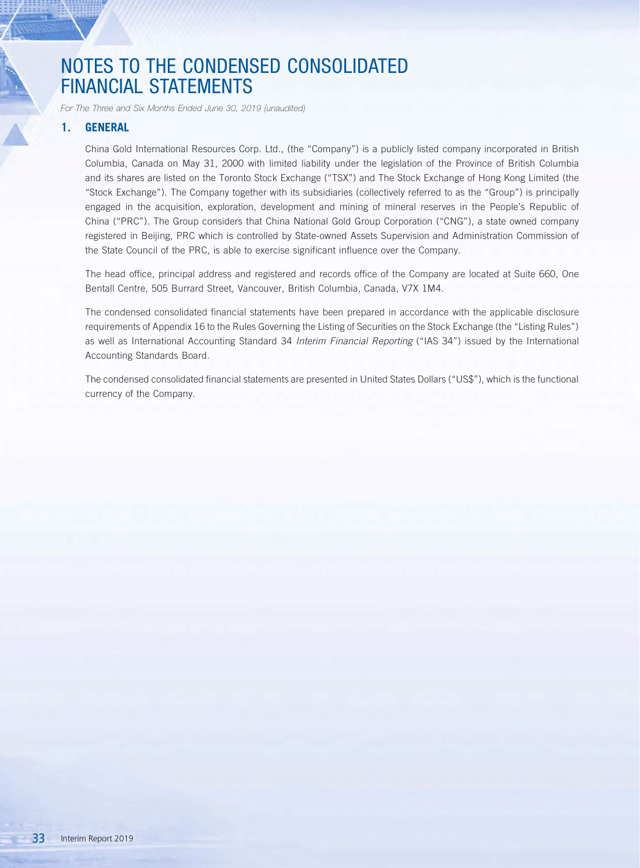*For The Three and Six Months Ended June 30, 2019 (unaudited)*

## **1. GENERAL**

China Gold International Resources Corp. Ltd., (the "Company") is a publicly listed company incorporated in British Columbia, Canada on May 31, 2000 with limited liability under the legislation of the Province of British Columbia and its shares are listed on the Toronto Stock Exchange ("TSX") and The Stock Exchange of Hong Kong Limited (the "Stock Exchange"). The Company together with its subsidiaries (collectively referred to as the "Group") is principally engaged in the acquisition, exploration, development and mining of mineral reserves in the People's Republic of China ("PRC"). The Group considers that China National Gold Group Corporation ("CNG"), a state owned company registered in Beijing, PRC which is controlled by State-owned Assets Supervision and Administration Commission of the State Council of the PRC, is able to exercise significant influence over the Company.

The head office, principal address and registered and records office of the Company are located at Suite 660, One Bentall Centre, 505 Burrard Street, Vancouver, British Columbia, Canada, V7X 1M4.

The condensed consolidated financial statements have been prepared in accordance with the applicable disclosure requirements of Appendix 16 to the Rules Governing the Listing of Securities on the Stock Exchange (the "Listing Rules") as well as International Accounting Standard 34 *Interim Financial Reporting* ("IAS 34") issued by the International Accounting Standards Board.

The condensed consolidated financial statements are presented in United States Dollars ("US\$"), which is the functional currency of the Company.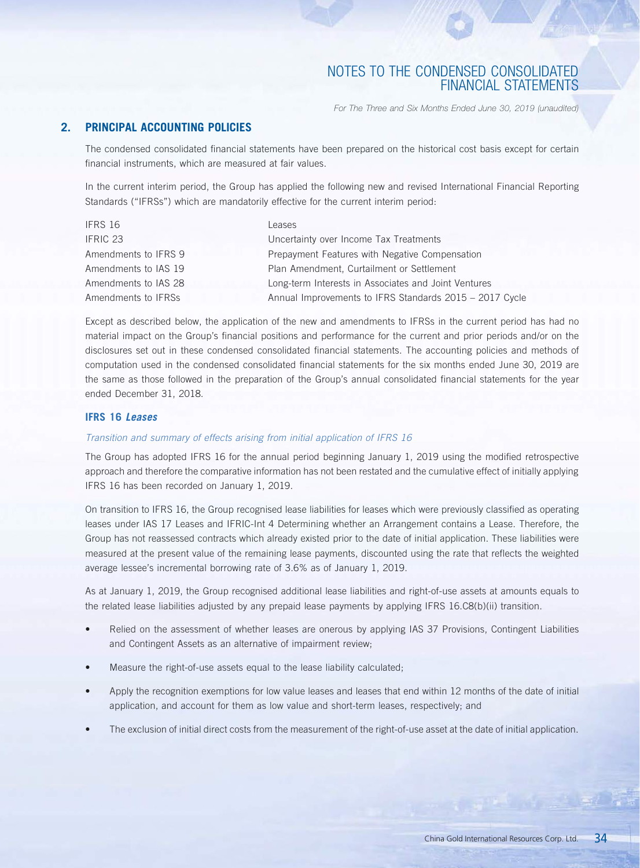*For The Three and Six Months Ended June 30, 2019 (unaudited)*

## **2. PRINCIPAL ACCOUNTING POLICIES**

The condensed consolidated financial statements have been prepared on the historical cost basis except for certain financial instruments, which are measured at fair values.

In the current interim period, the Group has applied the following new and revised International Financial Reporting Standards ("IFRSs") which are mandatorily effective for the current interim period:

| IFRS 16              | Leases                                                  |
|----------------------|---------------------------------------------------------|
| IFRIC 23             | Uncertainty over Income Tax Treatments                  |
| Amendments to IFRS 9 | Prepayment Features with Negative Compensation          |
| Amendments to IAS 19 | Plan Amendment, Curtailment or Settlement               |
| Amendments to IAS 28 | Long-term Interests in Associates and Joint Ventures    |
| Amendments to IFRSs  | Annual Improvements to IFRS Standards 2015 - 2017 Cycle |

Except as described below, the application of the new and amendments to IFRSs in the current period has had no material impact on the Group's financial positions and performance for the current and prior periods and/or on the disclosures set out in these condensed consolidated financial statements. The accounting policies and methods of computation used in the condensed consolidated financial statements for the six months ended June 30, 2019 are the same as those followed in the preparation of the Group's annual consolidated financial statements for the year ended December 31, 2018.

### **IFRS 16** *Leases*

### *Transition and summary of effects arising from initial application of IFRS 16*

The Group has adopted IFRS 16 for the annual period beginning January 1, 2019 using the modified retrospective approach and therefore the comparative information has not been restated and the cumulative effect of initially applying IFRS 16 has been recorded on January 1, 2019.

On transition to IFRS 16, the Group recognised lease liabilities for leases which were previously classified as operating leases under IAS 17 Leases and IFRIC-Int 4 Determining whether an Arrangement contains a Lease. Therefore, the Group has not reassessed contracts which already existed prior to the date of initial application. These liabilities were measured at the present value of the remaining lease payments, discounted using the rate that reflects the weighted average lessee's incremental borrowing rate of 3.6% as of January 1, 2019.

As at January 1, 2019, the Group recognised additional lease liabilities and right-of-use assets at amounts equals to the related lease liabilities adjusted by any prepaid lease payments by applying IFRS 16.C8(b)(ii) transition.

- Relied on the assessment of whether leases are onerous by applying IAS 37 Provisions, Contingent Liabilities and Contingent Assets as an alternative of impairment review;
- Measure the right-of-use assets equal to the lease liability calculated;
- Apply the recognition exemptions for low value leases and leases that end within 12 months of the date of initial application, and account for them as low value and short-term leases, respectively; and
- The exclusion of initial direct costs from the measurement of the right-of-use asset at the date of initial application.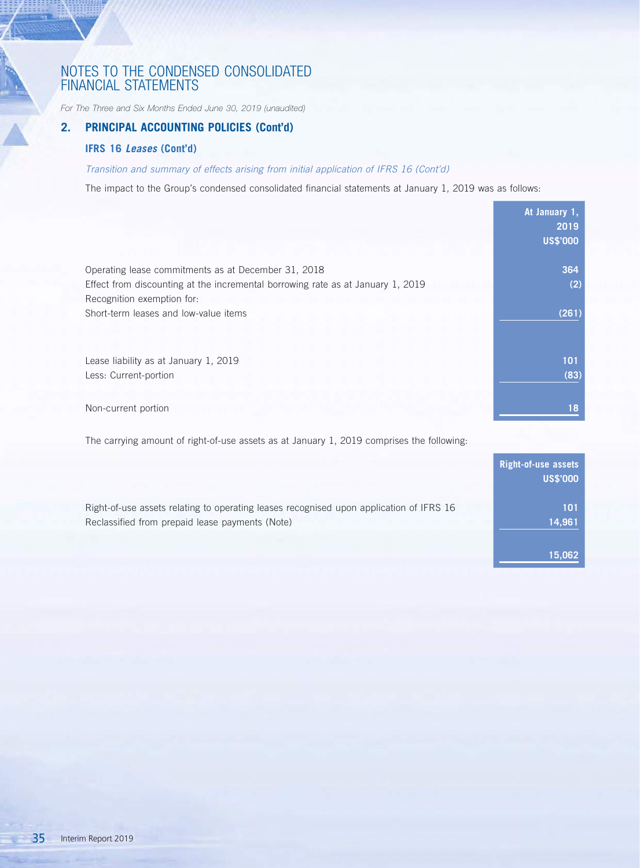*For The Three and Six Months Ended June 30, 2019 (unaudited)*

## **2. PRINCIPAL ACCOUNTING POLICIES (Cont'd)**

### **IFRS 16** *Leases* **(Cont'd)**

 $\frac{1}{\sqrt{2}}$ 

## *Transition and summary of effects arising from initial application of IFRS 16 (Cont'd)*

The impact to the Group's condensed consolidated financial statements at January 1, 2019 was as follows:

|                                                                                                                                                                      | At January 1,<br>2019<br><b>US\$'000</b> |
|----------------------------------------------------------------------------------------------------------------------------------------------------------------------|------------------------------------------|
| Operating lease commitments as at December 31, 2018<br>Effect from discounting at the incremental borrowing rate as at January 1, 2019<br>Recognition exemption for: | 364<br>(2)                               |
| Short-term leases and low-value items                                                                                                                                | (261)                                    |
| Lease liability as at January 1, 2019<br>Less: Current-portion                                                                                                       | 101<br>(83)                              |
| Non-current portion                                                                                                                                                  | 18                                       |

The carrying amount of right-of-use assets as at January 1, 2019 comprises the following:

|                                                                                                                                            | Right-of-use assets<br><b>US\$'000</b> |
|--------------------------------------------------------------------------------------------------------------------------------------------|----------------------------------------|
| Right-of-use assets relating to operating leases recognised upon application of IFRS 16<br>Reclassified from prepaid lease payments (Note) | 101<br>14,961                          |
|                                                                                                                                            | 15.062                                 |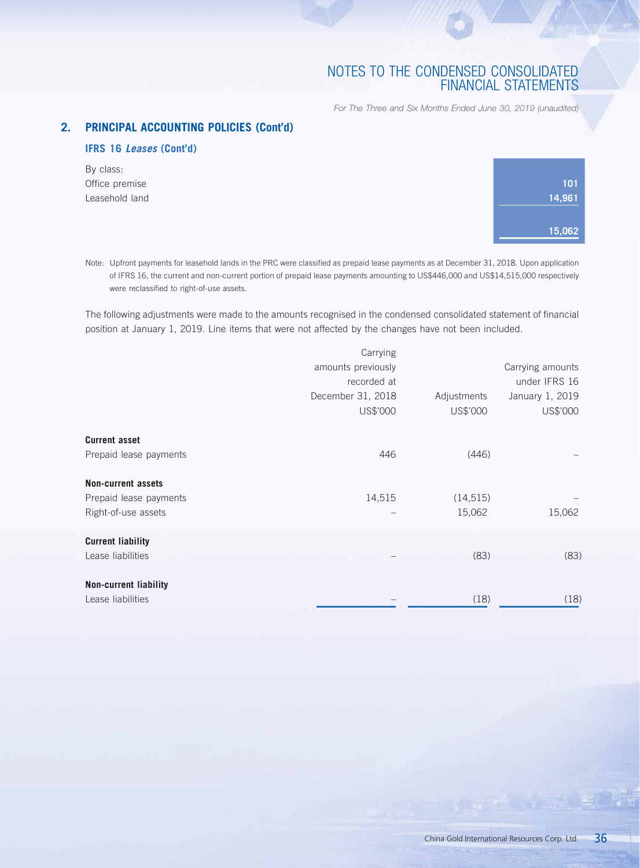*For The Three and Six Months Ended June 30, 2019 (unaudited)*

## **2. PRINCIPAL ACCOUNTING POLICIES (Cont'd)**

## **IFRS 16** *Leases* **(Cont'd)**

By class: Office premise Leasehold land

| 101    |
|--------|
| 14,961 |
|        |
| 15,062 |
|        |

Note: Upfront payments for leasehold lands in the PRC were classified as prepaid lease payments as at December 31, 2018. Upon application of IFRS 16, the current and non-current portion of prepaid lease payments amounting to US\$446,000 and US\$14,515,000 respectively were reclassified to right-of-use assets.

The following adjustments were made to the amounts recognised in the condensed consolidated statement of financial position at January 1, 2019. Line items that were not affected by the changes have not been included.

|                              | Carrying           |             |                  |
|------------------------------|--------------------|-------------|------------------|
|                              | amounts previously |             | Carrying amounts |
|                              | recorded at        |             | under IFRS 16    |
|                              | December 31, 2018  | Adjustments | January 1, 2019  |
|                              | US\$'000           | US\$'000    | US\$'000         |
| <b>Current asset</b>         |                    |             |                  |
| Prepaid lease payments       | 446                | (446)       |                  |
| <b>Non-current assets</b>    |                    |             |                  |
| Prepaid lease payments       | 14,515             | (14, 515)   |                  |
| Right-of-use assets          |                    | 15,062      | 15,062           |
| <b>Current liability</b>     |                    |             |                  |
| Lease liabilities            |                    | (83)        | (83)             |
| <b>Non-current liability</b> |                    |             |                  |
| Lease liabilities            |                    | (18)        | (18)             |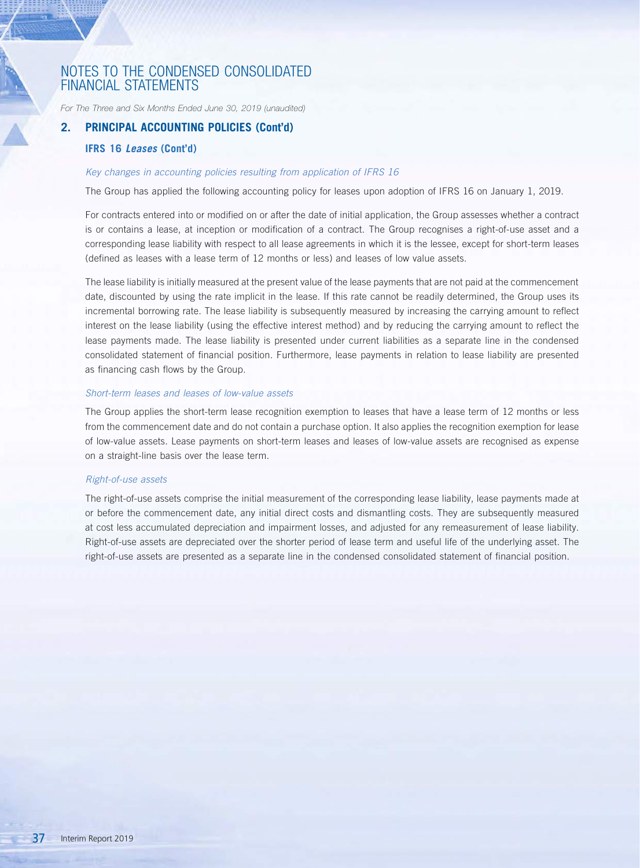*For The Three and Six Months Ended June 30, 2019 (unaudited)*

## **2. PRINCIPAL ACCOUNTING POLICIES (Cont'd)**

### **IFRS 16** *Leases* **(Cont'd)**

### *Key changes in accounting policies resulting from application of IFRS 16*

The Group has applied the following accounting policy for leases upon adoption of IFRS 16 on January 1, 2019.

For contracts entered into or modified on or after the date of initial application, the Group assesses whether a contract is or contains a lease, at inception or modification of a contract. The Group recognises a right-of-use asset and a corresponding lease liability with respect to all lease agreements in which it is the lessee, except for short-term leases (defined as leases with a lease term of 12 months or less) and leases of low value assets.

The lease liability is initially measured at the present value of the lease payments that are not paid at the commencement date, discounted by using the rate implicit in the lease. If this rate cannot be readily determined, the Group uses its incremental borrowing rate. The lease liability is subsequently measured by increasing the carrying amount to reflect interest on the lease liability (using the effective interest method) and by reducing the carrying amount to reflect the lease payments made. The lease liability is presented under current liabilities as a separate line in the condensed consolidated statement of financial position. Furthermore, lease payments in relation to lease liability are presented as financing cash flows by the Group.

#### *Short-term leases and leases of low-value assets*

The Group applies the short-term lease recognition exemption to leases that have a lease term of 12 months or less from the commencement date and do not contain a purchase option. It also applies the recognition exemption for lease of low-value assets. Lease payments on short-term leases and leases of low-value assets are recognised as expense on a straight-line basis over the lease term.

#### *Right-of-use assets*

The right-of-use assets comprise the initial measurement of the corresponding lease liability, lease payments made at or before the commencement date, any initial direct costs and dismantling costs. They are subsequently measured at cost less accumulated depreciation and impairment losses, and adjusted for any remeasurement of lease liability. Right-of-use assets are depreciated over the shorter period of lease term and useful life of the underlying asset. The right-of-use assets are presented as a separate line in the condensed consolidated statement of financial position.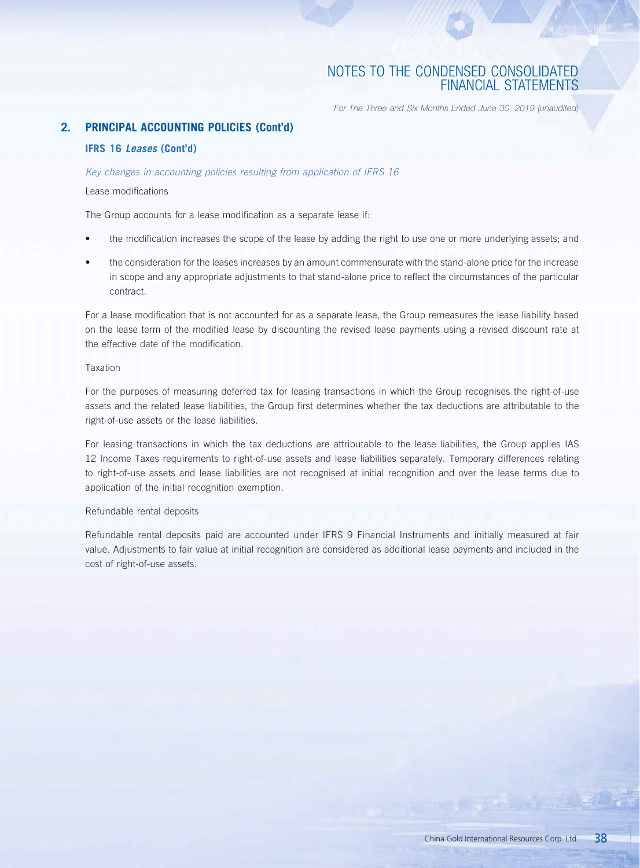*For The Three and Six Months Ended June 30, 2019 (unaudited)*

## **2. PRINCIPAL ACCOUNTING POLICIES (Cont'd)**

### **IFRS 16** *Leases* **(Cont'd)**

### *Key changes in accounting policies resulting from application of IFRS 16*

### Lease modifications

The Group accounts for a lease modification as a separate lease if:

- the modification increases the scope of the lease by adding the right to use one or more underlying assets; and
- the consideration for the leases increases by an amount commensurate with the stand-alone price for the increase in scope and any appropriate adjustments to that stand-alone price to reflect the circumstances of the particular contract.

For a lease modification that is not accounted for as a separate lease, the Group remeasures the lease liability based on the lease term of the modified lease by discounting the revised lease payments using a revised discount rate at the effective date of the modification.

### Taxation

For the purposes of measuring deferred tax for leasing transactions in which the Group recognises the right-of-use assets and the related lease liabilities, the Group first determines whether the tax deductions are attributable to the right-of-use assets or the lease liabilities.

For leasing transactions in which the tax deductions are attributable to the lease liabilities, the Group applies IAS 12 Income Taxes requirements to right-of-use assets and lease liabilities separately. Temporary differences relating to right-of-use assets and lease liabilities are not recognised at initial recognition and over the lease terms due to application of the initial recognition exemption.

### Refundable rental deposits

Refundable rental deposits paid are accounted under IFRS 9 Financial Instruments and initially measured at fair value. Adjustments to fair value at initial recognition are considered as additional lease payments and included in the cost of right-of-use assets.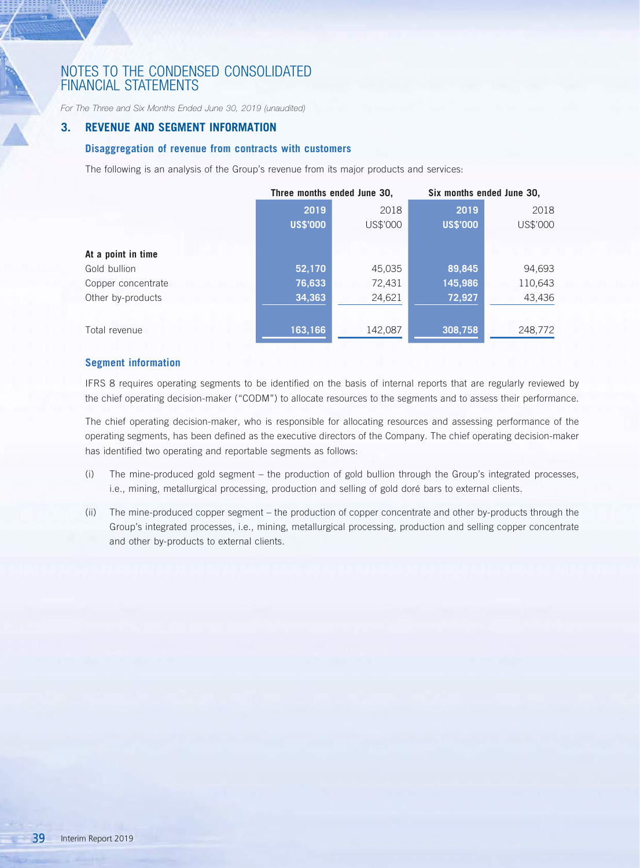*For The Three and Six Months Ended June 30, 2019 (unaudited)*

### **3. REVENUE AND SEGMENT INFORMATION**

### **Disaggregation of revenue from contracts with customers**

The following is an analysis of the Group's revenue from its major products and services:

|                    | Three months ended June 30, |          | Six months ended June 30, |          |  |
|--------------------|-----------------------------|----------|---------------------------|----------|--|
|                    | 2019                        | 2018     | 2019                      | 2018     |  |
|                    | <b>US\$'000</b>             | US\$'000 | <b>US\$'000</b>           | US\$'000 |  |
|                    |                             |          |                           |          |  |
| At a point in time |                             |          |                           |          |  |
| Gold bullion       | 52,170                      | 45,035   | 89,845                    | 94,693   |  |
| Copper concentrate | 76,633                      | 72,431   | 145,986                   | 110,643  |  |
| Other by-products  | 34,363                      | 24,621   | 72,927                    | 43,436   |  |
|                    |                             |          |                           |          |  |
| Total revenue      | 163,166                     | 142,087  | 308,758                   | 248,772  |  |

### **Segment information**

IFRS 8 requires operating segments to be identified on the basis of internal reports that are regularly reviewed by the chief operating decision-maker ("CODM") to allocate resources to the segments and to assess their performance.

The chief operating decision-maker, who is responsible for allocating resources and assessing performance of the operating segments, has been defined as the executive directors of the Company. The chief operating decision-maker has identified two operating and reportable segments as follows:

- (i) The mine-produced gold segment the production of gold bullion through the Group's integrated processes, i.e., mining, metallurgical processing, production and selling of gold doré bars to external clients.
- (ii) The mine-produced copper segment the production of copper concentrate and other by-products through the Group's integrated processes, i.e., mining, metallurgical processing, production and selling copper concentrate and other by-products to external clients.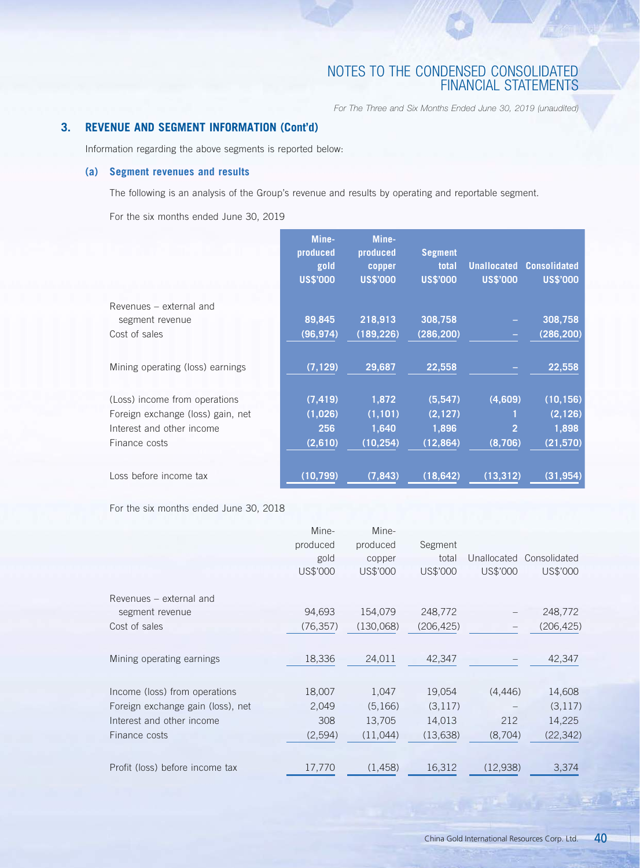*For The Three and Six Months Ended June 30, 2019 (unaudited)*

## **3. REVENUE AND SEGMENT INFORMATION (Cont'd)**

Information regarding the above segments is reported below:

## **(a) Segment revenues and results**

The following is an analysis of the Group's revenue and results by operating and reportable segment.

For the six months ended June 30, 2019

|                                            | Mine-<br>produced<br>gold<br><b>US\$'000</b> | Mine-<br>produced<br>copper<br><b>US\$'000</b> | <b>Segment</b><br>total<br><b>US\$'000</b> | <b>Unallocated</b><br><b>US\$'000</b> | <b>Consolidated</b><br><b>US\$'000</b> |
|--------------------------------------------|----------------------------------------------|------------------------------------------------|--------------------------------------------|---------------------------------------|----------------------------------------|
| Revenues – external and<br>segment revenue | 89,845                                       | 218,913                                        | 308,758                                    |                                       | 308,758                                |
| Cost of sales                              | (96, 974)                                    | (189, 226)                                     | (286, 200)                                 | -                                     | (286, 200)                             |
| Mining operating (loss) earnings           | (7, 129)                                     | 29,687                                         | 22,558                                     |                                       | 22,558                                 |
| (Loss) income from operations              | (7, 419)                                     | 1,872                                          | (5,547)                                    | (4,609)                               | (10, 156)                              |
| Foreign exchange (loss) gain, net          | (1,026)                                      | (1, 101)                                       | (2, 127)                                   |                                       | (2, 126)                               |
| Interest and other income                  | 256                                          | 1,640                                          | 1,896                                      | $\overline{2}$                        | 1,898                                  |
| Finance costs                              | (2,610)                                      | (10, 254)                                      | (12, 864)                                  | (8,706)                               | (21, 570)                              |
|                                            |                                              |                                                |                                            |                                       |                                        |
| Loss before income tax                     | (10, 799)                                    | (7, 843)                                       | (18, 642)                                  | (13, 312)                             | (31, 954)                              |

For the six months ended June 30, 2018

| produced<br>produced<br>Segment<br>Unallocated Consolidated<br>total<br>gold<br>copper<br>US\$'000<br>US\$'000<br>US\$'000<br>US\$'000<br>US\$'000<br>Revenues – external and<br>94,693<br>154,079<br>248,772<br>248,772<br>segment revenue<br>(76, 357)<br>(130,068)<br>(206, 425)<br>(206, 425)<br>Cost of sales |          |
|--------------------------------------------------------------------------------------------------------------------------------------------------------------------------------------------------------------------------------------------------------------------------------------------------------------------|----------|
|                                                                                                                                                                                                                                                                                                                    |          |
|                                                                                                                                                                                                                                                                                                                    |          |
|                                                                                                                                                                                                                                                                                                                    |          |
|                                                                                                                                                                                                                                                                                                                    |          |
|                                                                                                                                                                                                                                                                                                                    |          |
|                                                                                                                                                                                                                                                                                                                    |          |
|                                                                                                                                                                                                                                                                                                                    |          |
| 18,336<br>42,347<br>24,011<br>42,347<br>Mining operating earnings                                                                                                                                                                                                                                                  |          |
| 19,054<br>Income (loss) from operations<br>18,007<br>1,047<br>(4,446)<br>14,608                                                                                                                                                                                                                                    |          |
| 2,049<br>(5,166)<br>(3, 117)<br>Foreign exchange gain (loss), net                                                                                                                                                                                                                                                  | (3, 117) |
| 308<br>14,013<br>212<br>14,225<br>Interest and other income<br>13,705                                                                                                                                                                                                                                              |          |
| (13, 638)<br>(8,704)<br>(22, 342)<br>(2,594)<br>(11,044)<br>Finance costs                                                                                                                                                                                                                                          |          |
|                                                                                                                                                                                                                                                                                                                    |          |
| 16,312<br>(12, 938)<br>Profit (loss) before income tax<br>(1,458)<br>17,770                                                                                                                                                                                                                                        | 3,374    |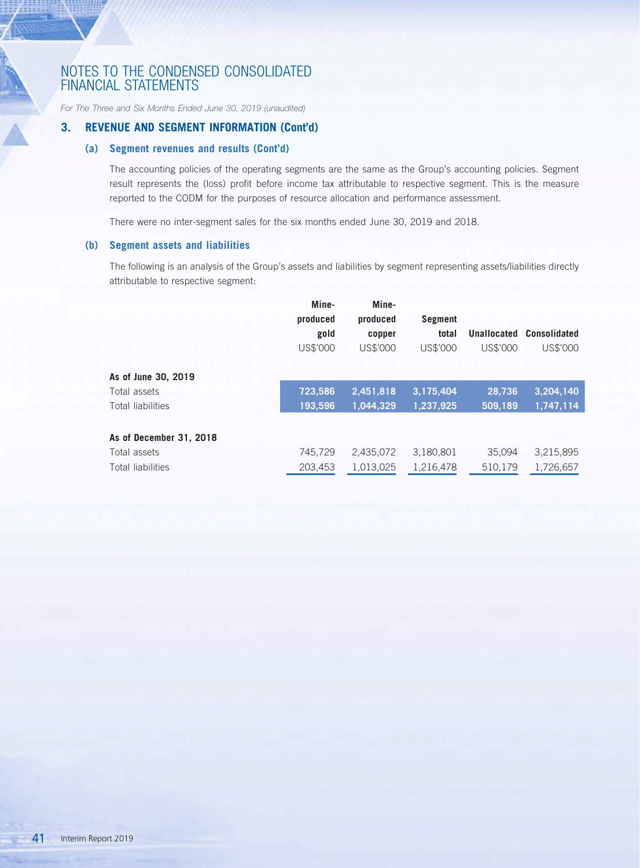*For The Three and Six Months Ended June 30, 2019 (unaudited)*

### **3. REVENUE AND SEGMENT INFORMATION (Cont'd)**

## **(a) Segment revenues and results (Cont'd)**

The accounting policies of the operating segments are the same as the Group's accounting policies. Segment result represents the (loss) profit before income tax attributable to respective segment. This is the measure reported to the CODM for the purposes of resource allocation and performance assessment.

There were no inter-segment sales for the six months ended June 30, 2019 and 2018.

### **(b) Segment assets and liabilities**

The following is an analysis of the Group's assets and liabilities by segment representing assets/liabilities directly attributable to respective segment:

|                         | Mine-<br>produced<br>gold<br>US\$'000 | Mine-<br>produced<br>copper<br>US\$'000 | Segment<br>total<br>US\$'000 | Unallocated<br>US\$'000 | <b>Consolidated</b><br>US\$'000 |
|-------------------------|---------------------------------------|-----------------------------------------|------------------------------|-------------------------|---------------------------------|
| As of June 30, 2019     |                                       |                                         |                              |                         |                                 |
| Total assets            | 723,586                               | 2,451,818                               | 3,175,404                    | 28.736                  | 3,204,140                       |
| Total liabilities       | 193.596                               | 1.044.329                               | 1,237,925                    | 509.189                 | 1,747,114                       |
| As of December 31, 2018 |                                       |                                         |                              |                         |                                 |
| Total assets            | 745,729                               | 2,435,072                               | 3,180,801                    | 35.094                  | 3,215,895                       |
| Total liabilities       | 203,453                               | 1,013,025                               | 1,216,478                    | 510,179                 | 1,726,657                       |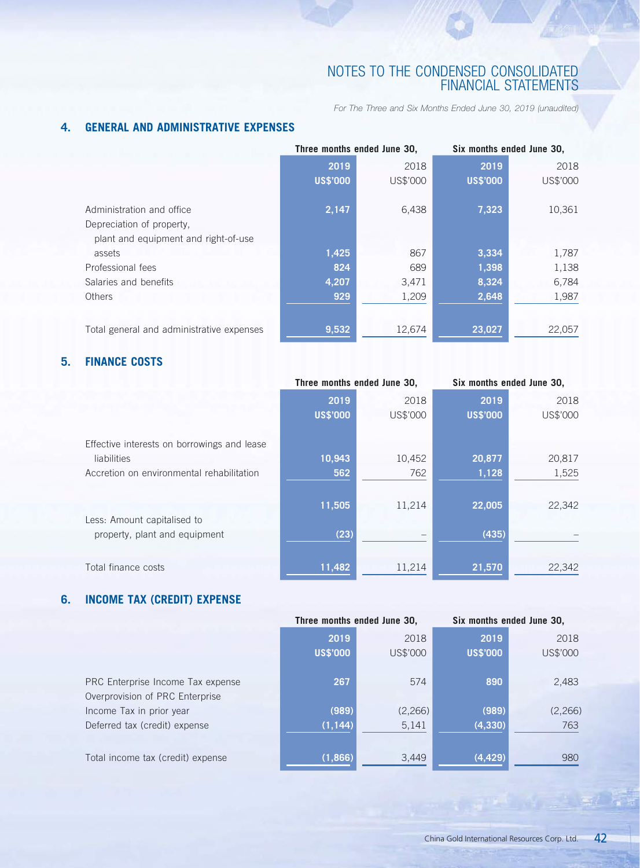*For The Three and Six Months Ended June 30, 2019 (unaudited)*

# **4. GENERAL AND ADMINISTRATIVE EXPENSES**

|                                           |                 | Three months ended June 30, | Six months ended June 30, |          |  |
|-------------------------------------------|-----------------|-----------------------------|---------------------------|----------|--|
|                                           | 2019            | 2018                        | 2019                      | 2018     |  |
|                                           | <b>US\$'000</b> | US\$'000                    | <b>US\$'000</b>           | US\$'000 |  |
| Administration and office                 | 2,147           | 6,438                       | 7,323                     | 10,361   |  |
| Depreciation of property,                 |                 |                             |                           |          |  |
| plant and equipment and right-of-use      |                 |                             |                           |          |  |
| assets                                    | 1,425           | 867                         | 3,334                     | 1,787    |  |
| Professional fees                         | 824             | 689                         | 1,398                     | 1,138    |  |
| Salaries and benefits                     | 4,207           | 3,471                       | 8,324                     | 6,784    |  |
| Others                                    | 929             | 1,209                       | 2,648                     | 1,987    |  |
|                                           |                 |                             |                           |          |  |
| Total general and administrative expenses | 9,532           | 12,674                      | 23,027                    | 22,057   |  |

# **5. FINANCE COSTS**

|                 |          | Six months ended June 30,   |          |
|-----------------|----------|-----------------------------|----------|
| 2019            | 2018     | 2019                        | 2018     |
| <b>US\$'000</b> | US\$'000 | <b>US\$'000</b>             | US\$'000 |
|                 |          |                             |          |
|                 |          |                             |          |
| 10,943          | 10,452   | 20,877                      | 20,817   |
| 562             | 762      | 1,128                       | 1,525    |
|                 |          |                             |          |
| 11,505          | 11,214   | 22,005                      | 22,342   |
|                 |          |                             |          |
| (23)            |          | (435)                       |          |
|                 |          |                             |          |
| 11,482          | 11,214   | 21,570                      | 22,342   |
|                 |          | Three months ended June 30, |          |

# **6. INCOME TAX (CREDIT) EXPENSE**

|                                   | Three months ended June 30, |          | Six months ended June 30, |          |
|-----------------------------------|-----------------------------|----------|---------------------------|----------|
|                                   | 2019                        | 2018     | 2019                      | 2018     |
|                                   | <b>US\$'000</b>             | US\$'000 | <b>US\$'000</b>           | US\$'000 |
|                                   |                             |          |                           |          |
| PRC Enterprise Income Tax expense | 267                         | 574      | 890                       | 2,483    |
| Overprovision of PRC Enterprise   |                             |          |                           |          |
| Income Tax in prior year          | (989)                       | (2, 266) | (989)                     | (2, 266) |
| Deferred tax (credit) expense     | (1, 144)                    | 5,141    | (4, 330)                  | 763      |
|                                   |                             |          |                           |          |
| Total income tax (credit) expense | (1,866)                     | 3,449    | (4, 429)                  | 980      |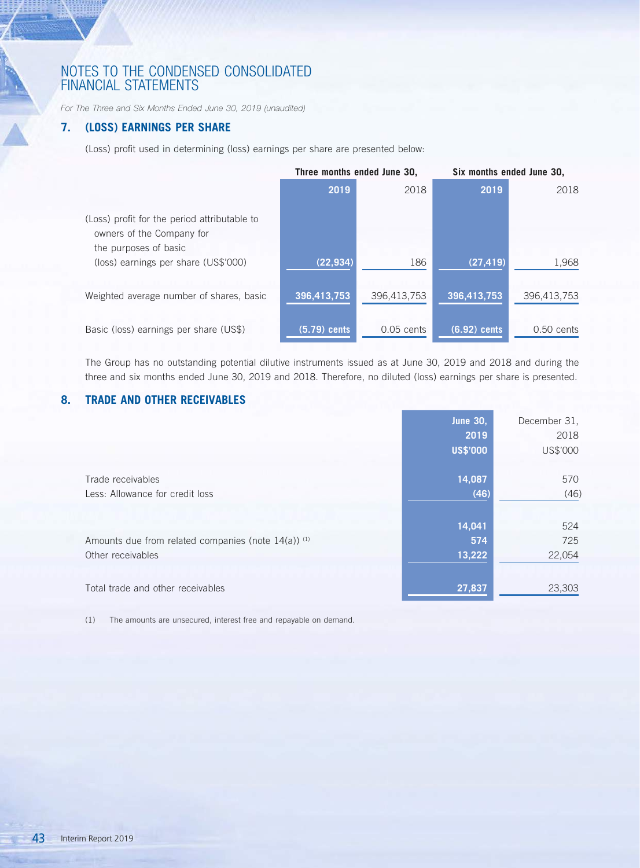*For The Three and Six Months Ended June 30, 2019 (unaudited)*

# **7. (LOSS) EARNINGS PER SHARE**

 $\frac{1}{\sqrt{2}}$ 

(Loss) profit used in determining (loss) earnings per share are presented below:

|                                                                                                    | Three months ended June 30, |              | Six months ended June 30, |              |
|----------------------------------------------------------------------------------------------------|-----------------------------|--------------|---------------------------|--------------|
|                                                                                                    | 2019                        | 2018         | 2019                      | 2018         |
| (Loss) profit for the period attributable to<br>owners of the Company for<br>the purposes of basic |                             |              |                           |              |
| (loss) earnings per share (US\$'000)                                                               | (22, 934)                   | 186          | (27, 419)                 | 1,968        |
| Weighted average number of shares, basic                                                           | 396,413,753                 | 396,413,753  | 396,413,753               | 396,413,753  |
| Basic (loss) earnings per share (US\$)                                                             | $(5.79)$ cents              | $0.05$ cents | (6.92) cents              | $0.50$ cents |

The Group has no outstanding potential dilutive instruments issued as at June 30, 2019 and 2018 and during the three and six months ended June 30, 2019 and 2018. Therefore, no diluted (loss) earnings per share is presented.

# **8. TRADE AND OTHER RECEIVABLES**

|                                                     | <b>June 30,</b><br>2019<br><b>US\$'000</b> | December 31.<br>2018<br>US\$'000 |
|-----------------------------------------------------|--------------------------------------------|----------------------------------|
| Trade receivables                                   | 14,087                                     | 570                              |
| Less: Allowance for credit loss                     | (46)                                       | (46)                             |
|                                                     | 14,041                                     | 524                              |
| Amounts due from related companies (note 14(a)) (1) | 574                                        | 725                              |
| Other receivables                                   | 13,222                                     | 22,054                           |
| Total trade and other receivables                   | 27,837                                     | 23,303                           |

(1) The amounts are unsecured, interest free and repayable on demand.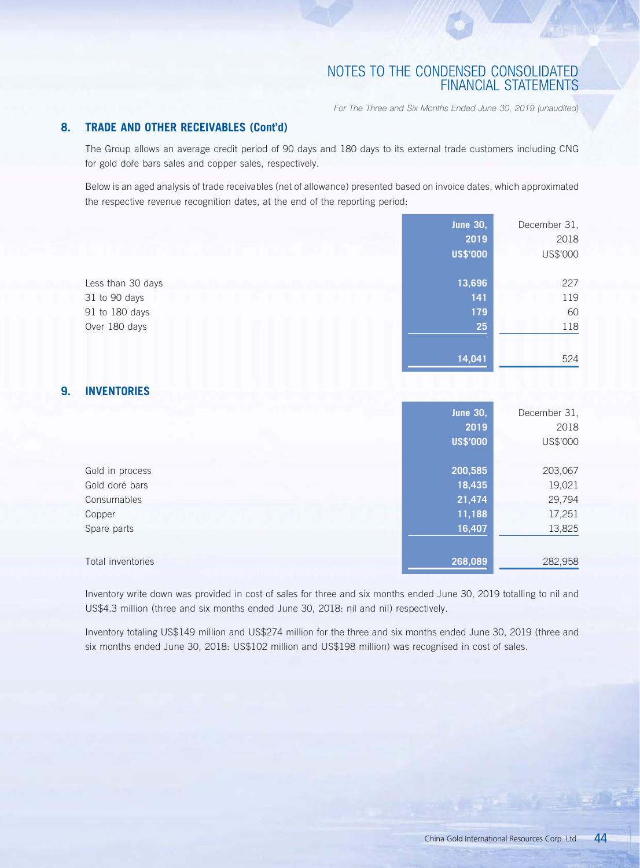*For The Three and Six Months Ended June 30, 2019 (unaudited)*

## **8. TRADE AND OTHER RECEIVABLES (Cont'd)**

The Group allows an average credit period of 90 days and 180 days to its external trade customers including CNG for gold dore bars sales and copper sales, respectively.

Below is an aged analysis of trade receivables (net of allowance) presented based on invoice dates, which approximated the respective revenue recognition dates, at the end of the reporting period:

|                          | <b>June 30,</b><br>2019<br><b>US\$'000</b> | December 31,<br>2018<br>US\$'000 |
|--------------------------|--------------------------------------------|----------------------------------|
| Less than 30 days        | 13,696                                     | 227                              |
| 31 to 90 days            | 141                                        | 119                              |
| 91 to 180 days           | 179                                        | 60                               |
| Over 180 days            | 25                                         | 118                              |
|                          | 14,041                                     | 524                              |
| 9.<br><b>INVENTORIES</b> |                                            |                                  |
|                          | <b>June 30,</b>                            | December 31,                     |
|                          | 2019                                       | 2018                             |
|                          | <b>US\$'000</b>                            | US\$'000                         |
| Gold in process          | 200,585                                    | 203,067                          |
| Gold doré bars           | 18,435                                     | 19,021                           |
| Consumables              | 21,474                                     | 29,794                           |
| Copper                   | 11,188                                     | 17,251                           |
| Spare parts              | 16,407                                     | 13,825                           |
| Total inventories        | 268,089                                    | 282,958                          |

Inventory write down was provided in cost of sales for three and six months ended June 30, 2019 totalling to nil and US\$4.3 million (three and six months ended June 30, 2018: nil and nil) respectively.

Inventory totaling US\$149 million and US\$274 million for the three and six months ended June 30, 2019 (three and six months ended June 30, 2018: US\$102 million and US\$198 million) was recognised in cost of sales.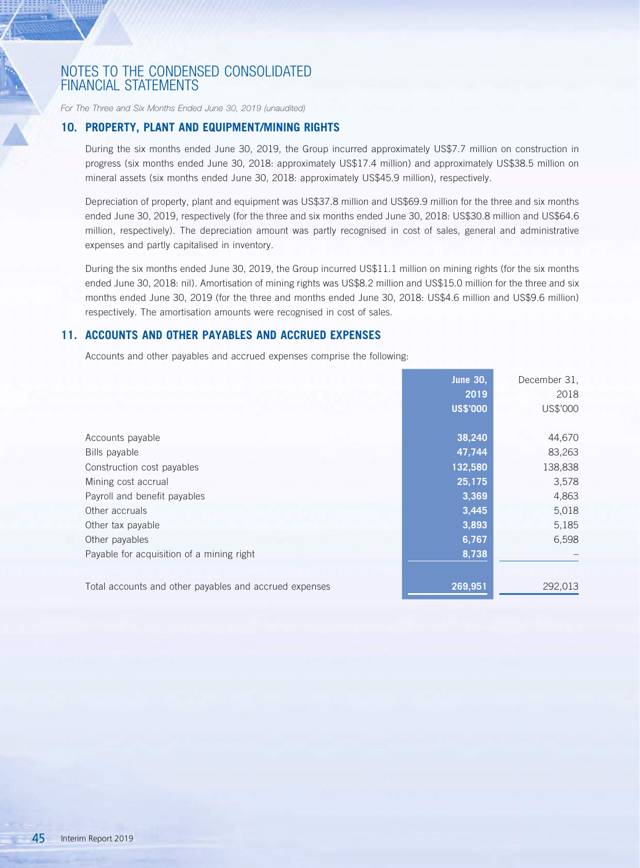*For The Three and Six Months Ended June 30, 2019 (unaudited)*

### **10. PROPERTY, PLANT AND EQUIPMENT/MINING RIGHTS**

During the six months ended June 30, 2019, the Group incurred approximately US\$7.7 million on construction in progress (six months ended June 30, 2018: approximately US\$17.4 million) and approximately US\$38.5 million on mineral assets (six months ended June 30, 2018: approximately US\$45.9 million), respectively.

Depreciation of property, plant and equipment was US\$37.8 million and US\$69.9 million for the three and six months ended June 30, 2019, respectively (for the three and six months ended June 30, 2018: US\$30.8 million and US\$64.6 million, respectively). The depreciation amount was partly recognised in cost of sales, general and administrative expenses and partly capitalised in inventory.

During the six months ended June 30, 2019, the Group incurred US\$11.1 million on mining rights (for the six months ended June 30, 2018: nil). Amortisation of mining rights was US\$8.2 million and US\$15.0 million for the three and six months ended June 30, 2019 (for the three and months ended June 30, 2018: US\$4.6 million and US\$9.6 million) respectively. The amortisation amounts were recognised in cost of sales.

### **11. ACCOUNTS AND OTHER PAYABLES AND ACCRUED EXPENSES**

Accounts and other payables and accrued expenses comprise the following:

|                                                        | <b>June 30,</b> | December 31, |
|--------------------------------------------------------|-----------------|--------------|
|                                                        | 2019            | 2018         |
|                                                        | <b>US\$'000</b> | US\$'000     |
|                                                        |                 |              |
| Accounts payable                                       | 38,240          | 44,670       |
| Bills payable                                          | 47,744          | 83,263       |
| Construction cost payables                             | 132,580         | 138,838      |
| Mining cost accrual                                    | 25,175          | 3,578        |
| Payroll and benefit payables                           | 3,369           | 4,863        |
| Other accruals                                         | 3,445           | 5,018        |
| Other tax payable                                      | 3,893           | 5,185        |
| Other payables                                         | 6,767           | 6,598        |
| Payable for acquisition of a mining right              | 8,738           |              |
|                                                        |                 |              |
| Total accounts and other payables and accrued expenses | 269,951         | 292,013      |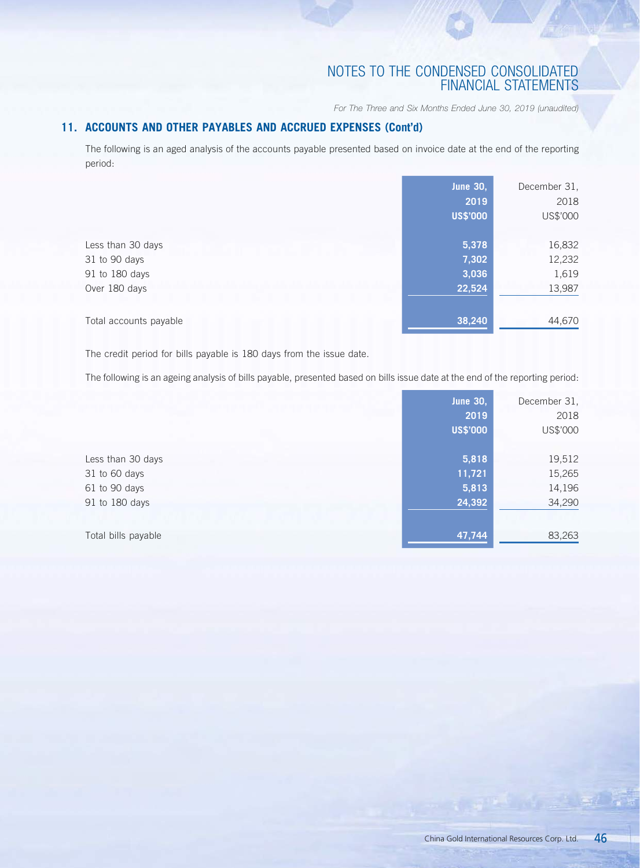*For The Three and Six Months Ended June 30, 2019 (unaudited)*

## **11. ACCOUNTS AND OTHER PAYABLES AND ACCRUED EXPENSES (Cont'd)**

The following is an aged analysis of the accounts payable presented based on invoice date at the end of the reporting period:

|                                                                       | <b>June 30,</b><br>2019<br><b>US\$'000</b> | December 31,<br>2018<br>US\$'000    |
|-----------------------------------------------------------------------|--------------------------------------------|-------------------------------------|
| Less than 30 days<br>31 to 90 days<br>91 to 180 days<br>Over 180 days | 5,378<br>7,302<br>3,036<br>22,524          | 16,832<br>12,232<br>1,619<br>13,987 |
| Total accounts payable                                                | 38,240                                     | 44,670                              |

The credit period for bills payable is 180 days from the issue date.

The following is an ageing analysis of bills payable, presented based on bills issue date at the end of the reporting period:

|                     | June 30,        | December 31, |
|---------------------|-----------------|--------------|
|                     | 2019            | 2018         |
|                     | <b>US\$'000</b> | US\$'000     |
|                     |                 |              |
| Less than 30 days   | 5,818           | 19,512       |
| 31 to 60 days       | 11,721          | 15,265       |
| 61 to 90 days       | 5,813           | 14,196       |
| 91 to 180 days      | 24,392          | 34,290       |
| Total bills payable | 47,744          | 83,263       |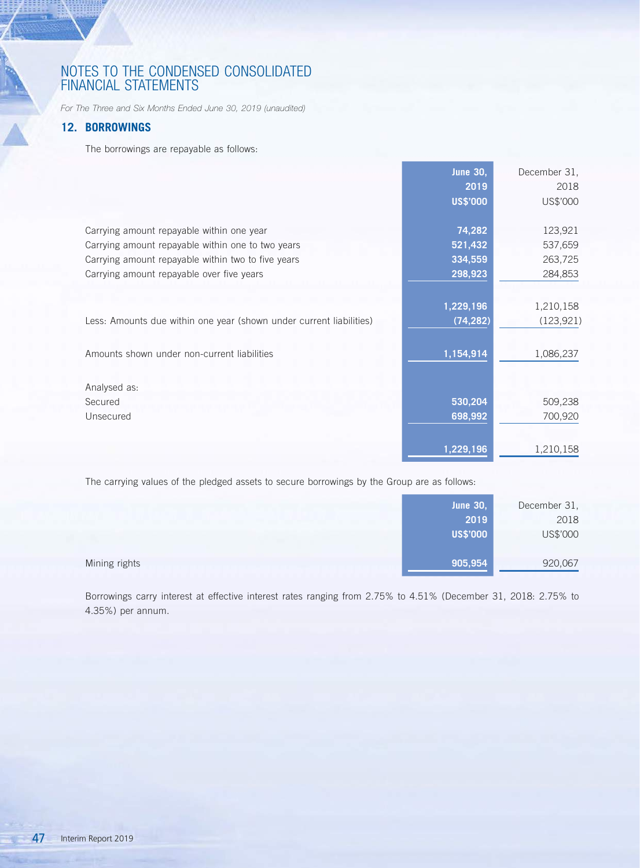*For The Three and Six Months Ended June 30, 2019 (unaudited)*

## **12. BORROWINGS**

 $\frac{1}{\sqrt{2}}$ 

The borrowings are repayable as follows:

|                                                                     | <b>June 30,</b> | December 31, |
|---------------------------------------------------------------------|-----------------|--------------|
|                                                                     | 2019            | 2018         |
|                                                                     | <b>US\$'000</b> | US\$'000     |
| Carrying amount repayable within one year                           | 74,282          | 123,921      |
| Carrying amount repayable within one to two years                   | 521,432         | 537,659      |
| Carrying amount repayable within two to five years                  | 334,559         | 263,725      |
| Carrying amount repayable over five years                           | 298,923         | 284,853      |
|                                                                     | 1,229,196       | 1,210,158    |
| Less: Amounts due within one year (shown under current liabilities) | (74, 282)       | (123, 921)   |
| Amounts shown under non-current liabilities                         | 1,154,914       | 1,086,237    |
| Analysed as:                                                        |                 |              |
| Secured                                                             | 530,204         | 509,238      |
| Unsecured                                                           | 698,992         | 700,920      |
|                                                                     | 1,229,196       | 1,210,158    |

The carrying values of the pledged assets to secure borrowings by the Group are as follows:

|               | <b>June 30,</b> | December 31, |
|---------------|-----------------|--------------|
|               | 2019            | 2018         |
|               | <b>US\$'000</b> | US\$'000     |
|               |                 |              |
| Mining rights | 905,954         | 920,067      |

Borrowings carry interest at effective interest rates ranging from 2.75% to 4.51% (December 31, 2018: 2.75% to 4.35%) per annum.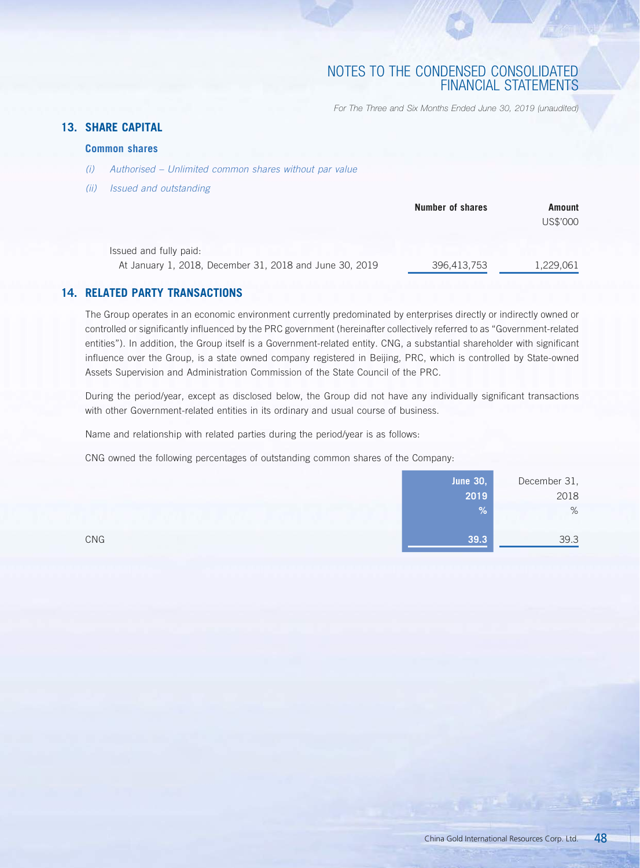*For The Three and Six Months Ended June 30, 2019 (unaudited)*

# **13. SHARE CAPITAL**

## **Common shares**

- *(i) Authorised Unlimited common shares without par value*
- *(ii) Issued and outstanding*

|                                                         | <b>Number of shares</b> | Amount    |
|---------------------------------------------------------|-------------------------|-----------|
|                                                         |                         | US\$'000  |
| Issued and fully paid:                                  |                         |           |
| At January 1, 2018, December 31, 2018 and June 30, 2019 | 396,413,753             | 1,229,061 |

## **14. RELATED PARTY TRANSACTIONS**

The Group operates in an economic environment currently predominated by enterprises directly or indirectly owned or controlled or significantly influenced by the PRC government (hereinafter collectively referred to as "Government-related entities"). In addition, the Group itself is a Government-related entity. CNG, a substantial shareholder with significant influence over the Group, is a state owned company registered in Beijing, PRC, which is controlled by State-owned Assets Supervision and Administration Commission of the State Council of the PRC.

During the period/year, except as disclosed below, the Group did not have any individually significant transactions with other Government-related entities in its ordinary and usual course of business.

Name and relationship with related parties during the period/year is as follows:

CNG owned the following percentages of outstanding common shares of the Company:

|     | <b>June 30,</b> | December 31, |
|-----|-----------------|--------------|
|     | 2019            | 2018         |
|     | %               | %            |
| CNG | 39.3            | 39.3         |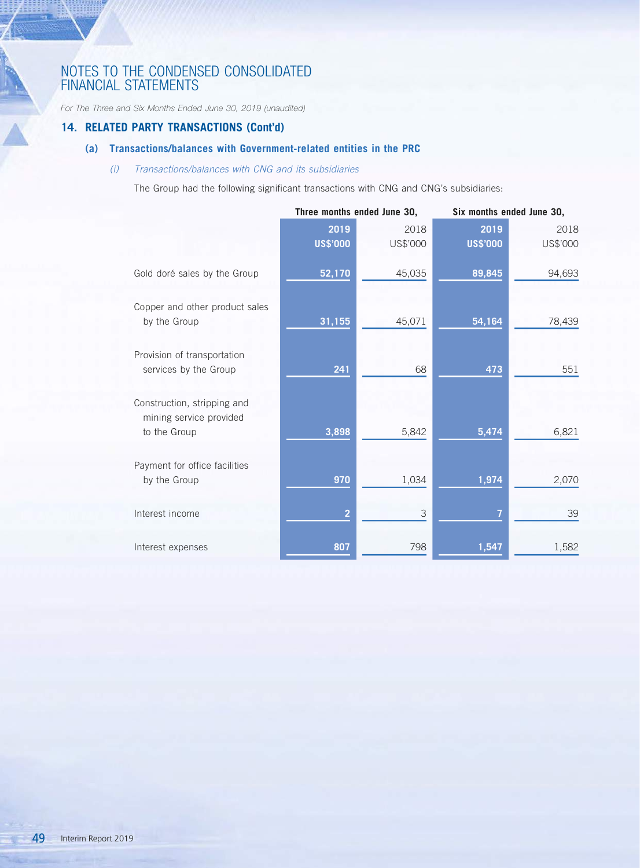*For The Three and Six Months Ended June 30, 2019 (unaudited)*

## **14. RELATED PARTY TRANSACTIONS (Cont'd)**

# **(a) Transactions/balances with Government-related entities in the PRC**

## *(i) Transactions/balances with CNG and its subsidiaries*

The Group had the following significant transactions with CNG and CNG's subsidiaries:

|                                                                        | Three months ended June 30, |                  | Six months ended June 30, |                  |
|------------------------------------------------------------------------|-----------------------------|------------------|---------------------------|------------------|
|                                                                        | 2019<br><b>US\$'000</b>     | 2018<br>US\$'000 | 2019<br><b>US\$'000</b>   | 2018<br>US\$'000 |
| Gold doré sales by the Group                                           | 52,170                      | 45,035           | 89,845                    | 94,693           |
| Copper and other product sales<br>by the Group                         | 31,155                      | 45,071           | 54,164                    | 78,439           |
| Provision of transportation<br>services by the Group                   | 241                         | 68               | 473                       | 551              |
| Construction, stripping and<br>mining service provided<br>to the Group | 3,898                       | 5,842            | 5,474                     | 6,821            |
| Payment for office facilities<br>by the Group                          | 970                         | 1,034            | 1,974                     | 2,070            |
| Interest income                                                        | $\overline{2}$              | 3                |                           | 39               |
| Interest expenses                                                      | 807                         | 798              | 1,547                     | 1,582            |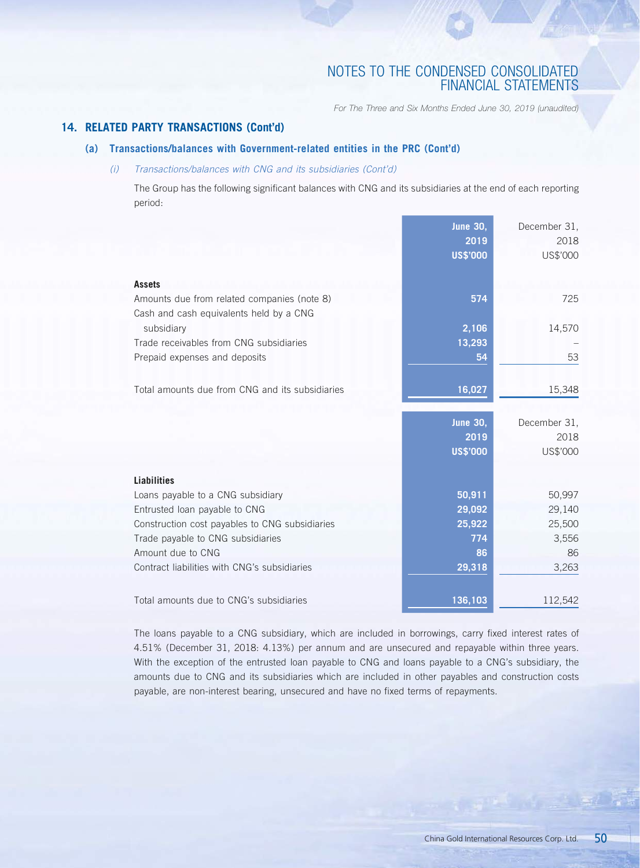*For The Three and Six Months Ended June 30, 2019 (unaudited)*

## **14. RELATED PARTY TRANSACTIONS (Cont'd)**

## **(a) Transactions/balances with Government-related entities in the PRC (Cont'd)**

## *(i) Transactions/balances with CNG and its subsidiaries (Cont'd)*

The Group has the following significant balances with CNG and its subsidiaries at the end of each reporting period:

| Amounts due from related companies (note 8)<br>574<br>725<br>Cash and cash equivalents held by a CNG<br>2,106<br>subsidiary<br>14,570<br>Trade receivables from CNG subsidiaries<br>13,293<br>53<br>Prepaid expenses and deposits<br>54<br>Total amounts due from CNG and its subsidiaries<br>16,027<br>15,348<br><b>June 30,</b><br>December 31,<br>2019<br>2018<br><b>US\$'000</b><br>US\$'000<br><b>Liabilities</b><br>50,911<br>50,997<br>Loans payable to a CNG subsidiary<br>29,092<br>29,140<br>Entrusted loan payable to CNG<br>25,922<br>25,500<br>Construction cost payables to CNG subsidiaries<br>Trade payable to CNG subsidiaries<br>774<br>3,556<br>Amount due to CNG<br>86<br>86<br>Contract liabilities with CNG's subsidiaries<br>29,318<br>3,263<br>Total amounts due to CNG's subsidiaries<br>136,103<br>112,542 | <b>Assets</b> | <b>June 30,</b><br>2019<br><b>US\$'000</b> | December 31,<br>2018<br>US\$'000 |
|--------------------------------------------------------------------------------------------------------------------------------------------------------------------------------------------------------------------------------------------------------------------------------------------------------------------------------------------------------------------------------------------------------------------------------------------------------------------------------------------------------------------------------------------------------------------------------------------------------------------------------------------------------------------------------------------------------------------------------------------------------------------------------------------------------------------------------------|---------------|--------------------------------------------|----------------------------------|
|                                                                                                                                                                                                                                                                                                                                                                                                                                                                                                                                                                                                                                                                                                                                                                                                                                      |               |                                            |                                  |
|                                                                                                                                                                                                                                                                                                                                                                                                                                                                                                                                                                                                                                                                                                                                                                                                                                      |               |                                            |                                  |
|                                                                                                                                                                                                                                                                                                                                                                                                                                                                                                                                                                                                                                                                                                                                                                                                                                      |               |                                            |                                  |
|                                                                                                                                                                                                                                                                                                                                                                                                                                                                                                                                                                                                                                                                                                                                                                                                                                      |               |                                            |                                  |
|                                                                                                                                                                                                                                                                                                                                                                                                                                                                                                                                                                                                                                                                                                                                                                                                                                      |               |                                            |                                  |
|                                                                                                                                                                                                                                                                                                                                                                                                                                                                                                                                                                                                                                                                                                                                                                                                                                      |               |                                            |                                  |
|                                                                                                                                                                                                                                                                                                                                                                                                                                                                                                                                                                                                                                                                                                                                                                                                                                      |               |                                            |                                  |
|                                                                                                                                                                                                                                                                                                                                                                                                                                                                                                                                                                                                                                                                                                                                                                                                                                      |               |                                            |                                  |
|                                                                                                                                                                                                                                                                                                                                                                                                                                                                                                                                                                                                                                                                                                                                                                                                                                      |               |                                            |                                  |
|                                                                                                                                                                                                                                                                                                                                                                                                                                                                                                                                                                                                                                                                                                                                                                                                                                      |               |                                            |                                  |
|                                                                                                                                                                                                                                                                                                                                                                                                                                                                                                                                                                                                                                                                                                                                                                                                                                      |               |                                            |                                  |
|                                                                                                                                                                                                                                                                                                                                                                                                                                                                                                                                                                                                                                                                                                                                                                                                                                      |               |                                            |                                  |
|                                                                                                                                                                                                                                                                                                                                                                                                                                                                                                                                                                                                                                                                                                                                                                                                                                      |               |                                            |                                  |
|                                                                                                                                                                                                                                                                                                                                                                                                                                                                                                                                                                                                                                                                                                                                                                                                                                      |               |                                            |                                  |
|                                                                                                                                                                                                                                                                                                                                                                                                                                                                                                                                                                                                                                                                                                                                                                                                                                      |               |                                            |                                  |
|                                                                                                                                                                                                                                                                                                                                                                                                                                                                                                                                                                                                                                                                                                                                                                                                                                      |               |                                            |                                  |
|                                                                                                                                                                                                                                                                                                                                                                                                                                                                                                                                                                                                                                                                                                                                                                                                                                      |               |                                            |                                  |
|                                                                                                                                                                                                                                                                                                                                                                                                                                                                                                                                                                                                                                                                                                                                                                                                                                      |               |                                            |                                  |

The loans payable to a CNG subsidiary, which are included in borrowings, carry fixed interest rates of 4.51% (December 31, 2018: 4.13%) per annum and are unsecured and repayable within three years. With the exception of the entrusted loan payable to CNG and loans payable to a CNG's subsidiary, the amounts due to CNG and its subsidiaries which are included in other payables and construction costs payable, are non-interest bearing, unsecured and have no fixed terms of repayments.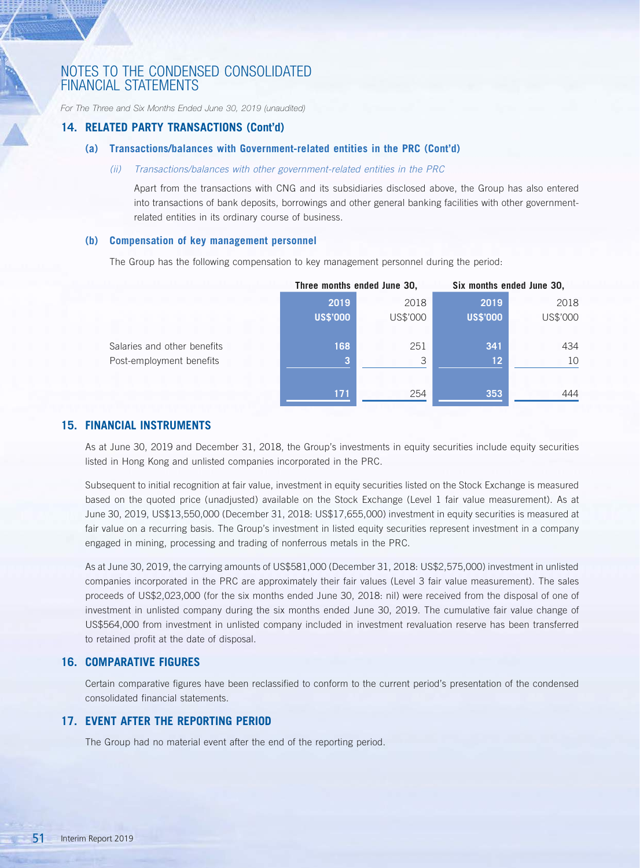*For The Three and Six Months Ended June 30, 2019 (unaudited)*

### **14. RELATED PARTY TRANSACTIONS (Cont'd)**

### **(a) Transactions/balances with Government-related entities in the PRC (Cont'd)**

### *(ii) Transactions/balances with other government-related entities in the PRC*

Apart from the transactions with CNG and its subsidiaries disclosed above, the Group has also entered into transactions of bank deposits, borrowings and other general banking facilities with other governmentrelated entities in its ordinary course of business.

### **(b) Compensation of key management personnel**

The Group has the following compensation to key management personnel during the period:

|                             | Three months ended June 30, |          | Six months ended June 30, |          |
|-----------------------------|-----------------------------|----------|---------------------------|----------|
|                             | 2019                        | 2018     | 2019                      | 2018     |
|                             | <b>US\$'000</b>             | US\$'000 | <b>US\$'000</b>           | US\$'000 |
| Salaries and other benefits | 168                         | 251      | 341                       | 434      |
| Post-employment benefits    |                             | 3        | 12 <sup>2</sup>           | 10       |
|                             |                             |          |                           |          |
|                             | 171                         | 254      | 353                       | 444      |

## **15. FINANCIAL INSTRUMENTS**

As at June 30, 2019 and December 31, 2018, the Group's investments in equity securities include equity securities listed in Hong Kong and unlisted companies incorporated in the PRC.

Subsequent to initial recognition at fair value, investment in equity securities listed on the Stock Exchange is measured based on the quoted price (unadjusted) available on the Stock Exchange (Level 1 fair value measurement). As at June 30, 2019, US\$13,550,000 (December 31, 2018: US\$17,655,000) investment in equity securities is measured at fair value on a recurring basis. The Group's investment in listed equity securities represent investment in a company engaged in mining, processing and trading of nonferrous metals in the PRC.

As at June 30, 2019, the carrying amounts of US\$581,000 (December 31, 2018: US\$2,575,000) investment in unlisted companies incorporated in the PRC are approximately their fair values (Level 3 fair value measurement). The sales proceeds of US\$2,023,000 (for the six months ended June 30, 2018: nil) were received from the disposal of one of investment in unlisted company during the six months ended June 30, 2019. The cumulative fair value change of US\$564,000 from investment in unlisted company included in investment revaluation reserve has been transferred to retained profit at the date of disposal.

### **16. COMPARATIVE FIGURES**

Certain comparative figures have been reclassified to conform to the current period's presentation of the condensed consolidated financial statements.

### **17. EVENT AFTER THE REPORTING PERIOD**

The Group had no material event after the end of the reporting period.